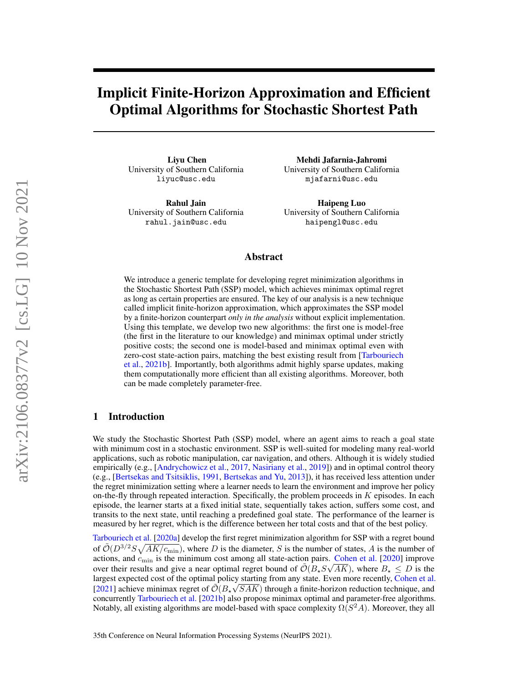# Implicit Finite-Horizon Approximation and Efficient Optimal Algorithms for Stochastic Shortest Path

Liyu Chen University of Southern California liyuc@usc.edu

Rahul Jain University of Southern California rahul.jain@usc.edu

Mehdi Jafarnia-Jahromi University of Southern California mjafarni@usc.edu

Haipeng Luo University of Southern California haipengl@usc.edu

# Abstract

We introduce a generic template for developing regret minimization algorithms in the Stochastic Shortest Path (SSP) model, which achieves minimax optimal regret as long as certain properties are ensured. The key of our analysis is a new technique called implicit finite-horizon approximation, which approximates the SSP model by a finite-horizon counterpart *only in the analysis* without explicit implementation. Using this template, we develop two new algorithms: the first one is model-free (the first in the literature to our knowledge) and minimax optimal under strictly positive costs; the second one is model-based and minimax optimal even with zero-cost state-action pairs, matching the best existing result from [\[Tarbouriech](#page-11-0) [et al.,](#page-11-0) [2021b\]](#page-11-0). Importantly, both algorithms admit highly sparse updates, making them computationally more efficient than all existing algorithms. Moreover, both can be made completely parameter-free.

# 1 Introduction

We study the Stochastic Shortest Path (SSP) model, where an agent aims to reach a goal state with minimum cost in a stochastic environment. SSP is well-suited for modeling many real-world applications, such as robotic manipulation, car navigation, and others. Although it is widely studied empirically (e.g., [\[Andrychowicz et al.,](#page-10-0) [2017,](#page-10-0) [Nasiriany et al.,](#page-10-1) [2019\]](#page-10-1)) and in optimal control theory (e.g., [\[Bertsekas and Tsitsiklis,](#page-10-2) [1991,](#page-10-2) [Bertsekas and Yu,](#page-10-3) [2013\]](#page-10-3)), it has received less attention under the regret minimization setting where a learner needs to learn the environment and improve her policy on-the-fly through repeated interaction. Specifically, the problem proceeds in  $K$  episodes. In each episode, the learner starts at a fixed initial state, sequentially takes action, suffers some cost, and transits to the next state, until reaching a predefined goal state. The performance of the learner is measured by her regret, which is the difference between her total costs and that of the best policy.

[Tarbouriech et al.](#page-11-1) [\[2020a\]](#page-11-1) develop the first regret minimization algorithm for SSP with a regret bound of  $\tilde{\mathcal{O}}(D^{3/2}S\sqrt{AK/c_{\text{min}}})$ , where D is the diameter, S is the number of states, A is the number of actions, and  $c_{\text{min}}$  is the minimum cost among all state-action pairs. [Cohen et al.](#page-10-4) [\[2020\]](#page-10-4) improve over their results and give a near optimal regret bound of  $\tilde{\mathcal{O}}(B_{\star}S\sqrt{AK})$ , where  $B_{\star} \leq D$  is the largest expected cost of the optimal policy starting from any state. Even more recently, [Cohen et al.](#page-10-5) [\[2021\]](#page-10-5) achieve minimax regret of  $\tilde{\mathcal{O}}(B_{\star}\sqrt{SAK})$  through a finite-horizon reduction technique, and concurrently [Tarbouriech et al.](#page-11-0) [\[2021b\]](#page-11-0) also propose minimax optimal and parameter-free algorithms. Notably, all existing algorithms are model-based with space complexity  $\Omega(S^2A)$ . Moreover, they all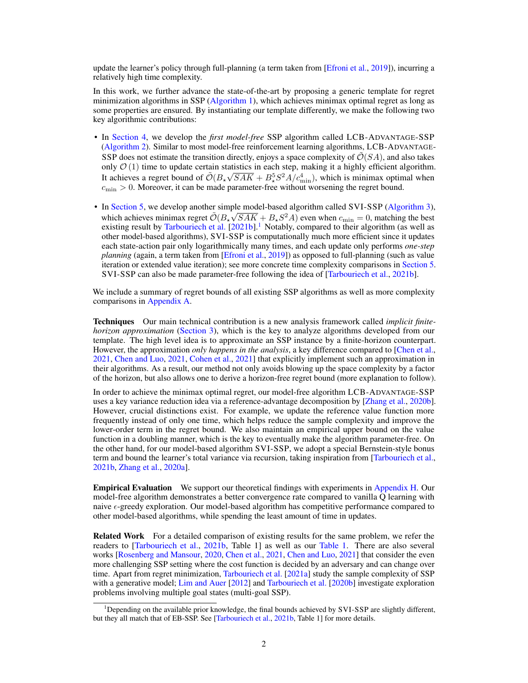update the learner's policy through full-planning (a term taken from [\[Efroni et al.,](#page-10-6) [2019\]](#page-10-6)), incurring a relatively high time complexity.

In this work, we further advance the state-of-the-art by proposing a generic template for regret minimization algorithms in SSP [\(Algorithm 1\)](#page-3-0), which achieves minimax optimal regret as long as some properties are ensured. By instantiating our template differently, we make the following two key algorithmic contributions:

- In [Section 4,](#page-5-0) we develop the *first model-free* SSP algorithm called LCB-ADVANTAGE-SSP [\(Algorithm 2\)](#page-6-0). Similar to most model-free reinforcement learning algorithms, LCB-ADVANTAGE-SSP does not estimate the transition directly, enjoys a space complexity of  $\mathcal{O}(SA)$ , and also takes only  $\mathcal{O}(1)$  time to update certain statistics in each step, making it a highly efficient algorithm. It achieves a regret bound of  $\tilde{\mathcal{O}}(B_{\star}\sqrt{SAK} + B_{\star}^{5}S^{2}A/c_{\text{min}}^{4})$ , which is minimax optimal when  $c<sub>min</sub> > 0$ . Moreover, it can be made parameter-free without worsening the regret bound.
- In [Section 5,](#page-8-0) we develop another simple model-based algorithm called SVI-SSP [\(Algorithm 3\)](#page-8-1), which achieves minimax regret  $\tilde{\mathcal{O}}(B_{\star}\sqrt{SAK} + B_{\star}S^2A)$  even when  $c_{\min} = 0$ , matching the best existing result by [Tarbouriech et al.](#page-11-0)  $[2021b]$ .<sup>[1](#page-1-0)</sup> Notably, compared to their algorithm (as well as other model-based algorithms), SVI-SSP is computationally much more efficient since it updates each state-action pair only logarithmically many times, and each update only performs *one-step planning* (again, a term taken from [\[Efroni et al.,](#page-10-6) [2019\]](#page-10-6)) as opposed to full-planning (such as value iteration or extended value iteration); see more concrete time complexity comparisons in [Section 5.](#page-8-0) SVI-SSP can also be made parameter-free following the idea of [\[Tarbouriech et al.,](#page-11-0) [2021b\]](#page-11-0).

We include a summary of regret bounds of all existing SSP algorithms as well as more complexity comparisons in [Appendix A.](#page-12-0)

Techniques Our main technical contribution is a new analysis framework called *implicit finitehorizon approximation* [\(Section 3\)](#page-3-1), which is the key to analyze algorithms developed from our template. The high level idea is to approximate an SSP instance by a finite-horizon counterpart. However, the approximation *only happens in the analysis*, a key difference compared to [\[Chen et al.,](#page-10-7) [2021,](#page-10-7) [Chen and Luo,](#page-10-8) [2021,](#page-10-8) [Cohen et al.,](#page-10-5) [2021\]](#page-10-5) that explicitly implement such an approximation in their algorithms. As a result, our method not only avoids blowing up the space complexity by a factor of the horizon, but also allows one to derive a horizon-free regret bound (more explanation to follow).

In order to achieve the minimax optimal regret, our model-free algorithm LCB-ADVANTAGE-SSP uses a key variance reduction idea via a reference-advantage decomposition by [\[Zhang et al.,](#page-11-2) [2020b\]](#page-11-2). However, crucial distinctions exist. For example, we update the reference value function more frequently instead of only one time, which helps reduce the sample complexity and improve the lower-order term in the regret bound. We also maintain an empirical upper bound on the value function in a doubling manner, which is the key to eventually make the algorithm parameter-free. On the other hand, for our model-based algorithm SVI-SSP, we adopt a special Bernstein-style bonus term and bound the learner's total variance via recursion, taking inspiration from [\[Tarbouriech et al.,](#page-11-0) [2021b,](#page-11-0) [Zhang et al.,](#page-11-3) [2020a\]](#page-11-3).

Empirical Evaluation We support our theoretical findings with experiments in [Appendix H.](#page-43-0) Our model-free algorithm demonstrates a better convergence rate compared to vanilla Q learning with naive  $\epsilon$ -greedy exploration. Our model-based algorithm has competitive performance compared to other model-based algorithms, while spending the least amount of time in updates.

**Related Work** For a detailed comparison of existing results for the same problem, we refer the readers to [\[Tarbouriech et al.,](#page-11-0) [2021b,](#page-11-0) Table 1] as well as our [Table 1.](#page-12-1) There are also several works [\[Rosenberg and Mansour,](#page-11-4) [2020,](#page-11-4) [Chen et al.,](#page-10-7) [2021,](#page-10-7) [Chen and Luo,](#page-10-8) [2021\]](#page-10-8) that consider the even more challenging SSP setting where the cost function is decided by an adversary and can change over time. Apart from regret minimization, [Tarbouriech et al.](#page-11-5) [\[2021a\]](#page-11-5) study the sample complexity of SSP with a generative model; [Lim and Auer](#page-10-9) [\[2012\]](#page-10-9) and [Tarbouriech et al.](#page-11-6) [\[2020b\]](#page-11-6) investigate exploration problems involving multiple goal states (multi-goal SSP).

<span id="page-1-0"></span><sup>&</sup>lt;sup>1</sup>Depending on the available prior knowledge, the final bounds achieved by SVI-SSP are slightly different, but they all match that of EB-SSP. See [\[Tarbouriech et al.,](#page-11-0) [2021b,](#page-11-0) Table 1] for more details.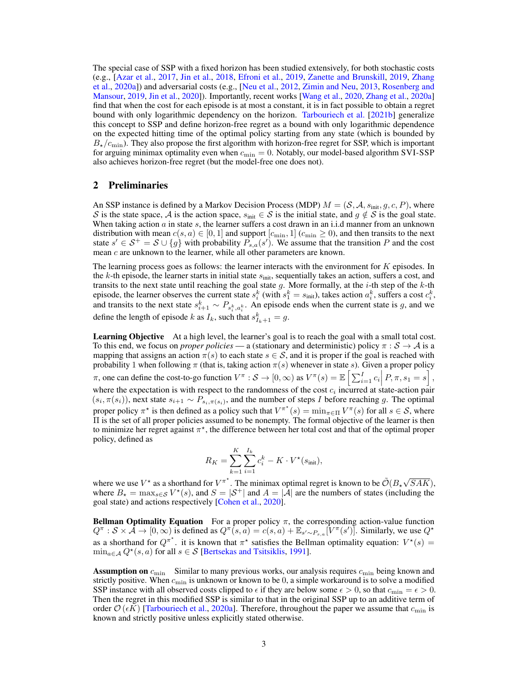The special case of SSP with a fixed horizon has been studied extensively, for both stochastic costs (e.g., [\[Azar et al.,](#page-10-10) [2017,](#page-10-10) [Jin et al.,](#page-10-11) [2018,](#page-10-11) [Efroni et al.,](#page-10-6) [2019,](#page-10-6) [Zanette and Brunskill,](#page-11-7) [2019,](#page-11-7) [Zhang](#page-11-3) [et al.,](#page-11-3) [2020a\]](#page-11-3)) and adversarial costs (e.g., [\[Neu et al.,](#page-11-8) [2012,](#page-11-8) [Zimin and Neu,](#page-11-9) [2013,](#page-11-9) [Rosenberg and](#page-11-10) [Mansour,](#page-11-10) [2019,](#page-11-10) [Jin et al.,](#page-10-12) [2020\]](#page-10-12)). Importantly, recent works [\[Wang et al.,](#page-11-11) [2020,](#page-11-11) [Zhang et al.,](#page-11-3) [2020a\]](#page-11-3) find that when the cost for each episode is at most a constant, it is in fact possible to obtain a regret bound with only logarithmic dependency on the horizon. [Tarbouriech et al.](#page-11-0) [\[2021b\]](#page-11-0) generalize this concept to SSP and define horizon-free regret as a bound with only logarithmic dependence on the expected hitting time of the optimal policy starting from any state (which is bounded by  $B_{\star}/c_{\text{min}}$ ). They also propose the first algorithm with horizon-free regret for SSP, which is important for arguing minimax optimality even when  $c_{\text{min}} = 0$ . Notably, our model-based algorithm SVI-SSP also achieves horizon-free regret (but the model-free one does not).

# <span id="page-2-0"></span>2 Preliminaries

An SSP instance is defined by a Markov Decision Process (MDP)  $M = (S, A, s_{init}, g, c, P)$ , where S is the state space, A is the action space,  $s_{\text{init}} \in S$  is the initial state, and  $g \notin S$  is the goal state. When taking action  $a$  in state  $s$ , the learner suffers a cost drawn in an i.i.d manner from an unknown distribution with mean  $c(s, a) \in [0, 1]$  and support  $[c_{\min}, 1]$   $(c_{\min} \ge 0)$ , and then transits to the next state  $s' \in S^+ = S \cup \{g\}$  with probability  $P_{s,a}(s')$ . We assume that the transition P and the cost mean c are unknown to the learner, while all other parameters are known.

The learning process goes as follows: the learner interacts with the environment for K episodes. In the k-th episode, the learner starts in initial state  $s_{\text{init}}$ , sequentially takes an action, suffers a cost, and transits to the next state until reaching the goal state  $g$ . More formally, at the *i*-th step of the  $k$ -th episode, the learner observes the current state  $s_i^k$  (with  $s_1^k = s_{\text{init}}$ ), takes action  $a_i^k$ , suffers a cost  $c_i^k$ , and transits to the next state  $s_{i+1}^k \sim P_{s_i^k, a_i^k}$ . An episode ends when the current state is g, and we define the length of episode k as  $I_k$ , such that  $s_{I_k+1}^k = g$ .

Learning Objective At a high level, the learner's goal is to reach the goal with a small total cost. To this end, we focus on *proper policies* — a (stationary and deterministic) policy  $\pi : \mathcal{S} \to \mathcal{A}$  is a mapping that assigns an action  $\pi(s)$  to each state  $s \in S$ , and it is proper if the goal is reached with probability 1 when following  $\pi$  (that is, taking action  $\pi(s)$  whenever in state s). Given a proper policy π, one can define the cost-to-go function  $V^{\pi}: S \to [0, \infty)$  as  $V^{\pi}(s) = \mathbb{E} \left[ \sum_{i=1}^{I} c_i \middle| P, \pi, s_1 = s \right]$ , where the expectation is with respect to the randomness of the cost  $c_i$  incurred at state-action pair  $(s_i, \pi(s_i))$ , next state  $s_{i+1} \sim P_{s_i, \pi(s_i)}$ , and the number of steps I before reaching g. The optimal proper policy  $\pi^*$  is then defined as a policy such that  $V^{\pi^*}(s) = \min_{\pi \in \Pi} V^{\pi}(s)$  for all  $s \in \mathcal{S}$ , where Π is the set of all proper policies assumed to be nonempty. The formal objective of the learner is then to minimize her regret against  $\pi^*$ , the difference between her total cost and that of the optimal proper policy, defined as

$$
R_K = \sum_{k=1}^{K} \sum_{i=1}^{I_k} c_i^k - K \cdot V^*(s_{\text{init}}),
$$

where we use  $V^*$  as a shorthand for  $V^{\pi^*}$ . The minimax optimal regret is known to be  $\tilde{\mathcal{O}}(B_{*}\sqrt{\frac{g_{*}g_{*}^2}{2\pi}})$  $SAK),$ where  $B_{\star} = \max_{s \in \mathcal{S}} V^{\star}(s)$ , and  $S = |\mathcal{S}^+|$  and  $A = |\mathcal{A}|$  are the numbers of states (including the goal state) and actions respectively [\[Cohen et al.,](#page-10-4) [2020\]](#page-10-4).

**Bellman Optimality Equation** For a proper policy  $\pi$ , the corresponding action-value function  $Q^{\pi}: \mathcal{S} \times \hat{\mathcal{A}} \to [0,\infty)$  is defined as  $Q^{\pi}(s,a) = c(s,a) + \mathbb{E}_{s' \sim P_{s,a}}[V^{\pi}(s')]$ . Similarly, we use  $Q^{\star}$ as a shorthand for  $Q^{\pi^*}$ . it is known that  $\pi^*$  satisfies the Bellman optimality equation:  $V^*(s)$  =  $\min_{a \in \mathcal{A}} Q^*(s, a)$  for all  $s \in \mathcal{S}$  [\[Bertsekas and Tsitsiklis,](#page-10-2) [1991\]](#page-10-2).

**Assumption on**  $c_{\text{min}}$  Similar to many previous works, our analysis requires  $c_{\text{min}}$  being known and strictly positive. When  $c_{\min}$  is unknown or known to be 0, a simple workaround is to solve a modified SSP instance with all observed costs clipped to  $\epsilon$  if they are below some  $\epsilon > 0$ , so that  $c_{\min} = \epsilon > 0$ . Then the regret in this modified SSP is similar to that in the original SSP up to an additive term of order  $\mathcal{O}(\epsilon K)$  [\[Tarbouriech et al.,](#page-11-1) [2020a\]](#page-11-1). Therefore, throughout the paper we assume that  $c_{\min}$  is known and strictly positive unless explicitly stated otherwise.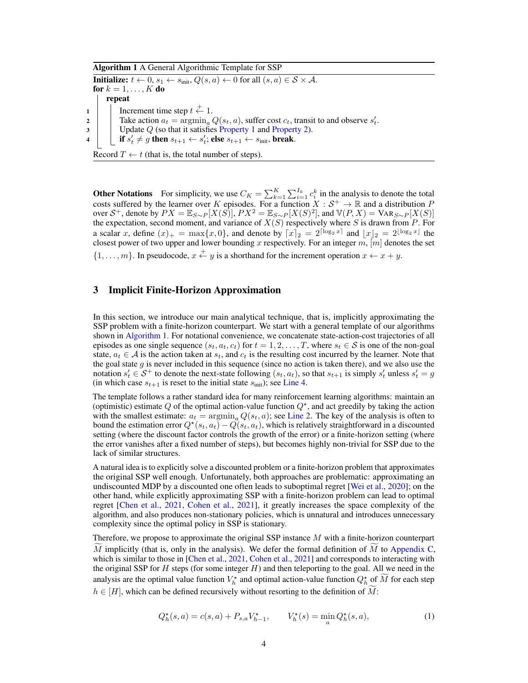Algorithm 1 A General Algorithmic Template for SSP

<span id="page-3-6"></span><span id="page-3-5"></span><span id="page-3-3"></span><span id="page-3-0"></span>**Initialize:**  $t \leftarrow 0$ ,  $s_1 \leftarrow s_{\text{init}}$ ,  $Q(s, a) \leftarrow 0$  for all  $(s, a) \in S \times A$ . for  $k = 1, \ldots, K$  do repeat 1 | Increment time step  $t \stackrel{+}{\leftarrow} 1$ . 2 Take action  $a_t = \operatorname{argmin}_a Q(s_t, a)$ , suffer cost  $c_t$ , transit to and observe  $s'_t$ .  $\vert$  Update Q (so that it satisfies [Property 1](#page-4-0) and [Property 2\)](#page-4-1). 4 if  $s'_t \neq g$  then  $s_{t+1} \leftarrow s'_t$ ; else  $s_{t+1} \leftarrow s_{\text{init}}$ , break. Record  $T \leftarrow t$  (that is, the total number of steps).

<span id="page-3-2"></span>**Other Notations** For simplicity, we use  $C_K = \sum_{k=1}^K \sum_{i=1}^{I_k} c_i^k$  in the analysis to denote the total costs suffered by the learner over K episodes. For a function  $X : S^+ \to \mathbb{R}$  and a distribution P over  $S^+$ , denote by  $PX = \mathbb{E}_{S \sim P}[X(S)]$ ,  $PX^2 = \mathbb{E}_{S \sim P}[X(S)^2]$ , and  $\mathbb{V}(P, X) = \text{VAR}_{S \sim P}[X(S)]$ the expectation, second moment, and variance of  $X(S)$  respectively where S is drawn from P. For a scalar x, define  $(x)_+ = \max\{x, 0\}$ , and denote by  $\lceil x \rceil_2 = 2^{\lceil \log_2 x \rceil}$  and  $\lfloor x \rfloor_2 = 2^{\lfloor \log_2 x \rfloor}$  the closest power of two upper and lower bounding x respectively. For an integer  $m$ ,  $[m]$  denotes the set  $\{1,\ldots,m\}$ . In pseudocode,  $x \stackrel{+}{\leftarrow} y$  is a shorthand for the increment operation  $x \leftarrow x+y$ .

# <span id="page-3-1"></span>3 Implicit Finite-Horizon Approximation

In this section, we introduce our main analytical technique, that is, implicitly approximating the SSP problem with a finite-horizon counterpart. We start with a general template of our algorithms shown in [Algorithm 1.](#page-3-0) For notational convenience, we concatenate state-action-cost trajectories of all episodes as one single sequence  $(s_t, a_t, c_t)$  for  $t = 1, 2, \ldots, T$ , where  $s_t \in S$  is one of the non-goal state,  $a_t \in A$  is the action taken at  $s_t$ , and  $c_t$  is the resulting cost incurred by the learner. Note that the goal state  $g$  is never included in this sequence (since no action is taken there), and we also use the notation  $s'_t \in S^+$  to denote the next-state following  $(s_t, a_t)$ , so that  $s_{t+1}$  is simply  $s'_t$  unless  $s'_t = g$ (in which case  $s_{t+1}$  is reset to the initial state  $s_{\text{init}}$ ); see [Line 4.](#page-3-2)

The template follows a rather standard idea for many reinforcement learning algorithms: maintain an (optimistic) estimate Q of the optimal action-value function  $Q^*$ , and act greedily by taking the action with the smallest estimate:  $a_t = \arg\min_a Q(s_t, a)$ ; see [Line 2.](#page-3-3) The key of the analysis is often to bound the estimation error  $Q^*(s_t, a_t) - Q(s_t, a_t)$ , which is relatively straightforward in a discounted setting (where the discount factor controls the growth of the error) or a finite-horizon setting (where the error vanishes after a fixed number of steps), but becomes highly non-trivial for SSP due to the lack of similar structures.

A natural idea is to explicitly solve a discounted problem or a finite-horizon problem that approximates the original SSP well enough. Unfortunately, both approaches are problematic: approximating an undiscounted MDP by a discounted one often leads to suboptimal regret [\[Wei et al.,](#page-11-12) [2020\]](#page-11-12); on the other hand, while explicitly approximating SSP with a finite-horizon problem can lead to optimal regret [\[Chen et al.,](#page-10-7) [2021,](#page-10-7) [Cohen et al.,](#page-10-5) [2021\]](#page-10-5), it greatly increases the space complexity of the algorithm, and also produces non-stationary policies, which is unnatural and introduces unnecessary complexity since the optimal policy in SSP is stationary.

Therefore, we propose to approximate the original SSP instance M with a finite-horizon counterpart  $\overline{M}$  implicitly (that is, only in the analysis). We defer the formal definition of  $\overline{M}$  to [Appendix C,](#page-13-0) which is similar to those in [\[Chen et al.,](#page-10-7) [2021,](#page-10-7) [Cohen et al.,](#page-10-5) [2021\]](#page-10-5) and corresponds to interacting with the original SSP for  $H$  steps (for some integer  $H$ ) and then teleporting to the goal. All we need in the analysis are the optimal value function  $V_h^*$  and optimal action-value function  $Q_h^*$  of  $\widetilde{M}$  for each step  $h \in [H]$ , which can be defined recursively without resorting to the definition of M:

<span id="page-3-4"></span>
$$
Q_h^{\star}(s, a) = c(s, a) + P_{s,a} V_{h-1}^{\star}, \qquad V_h^{\star}(s) = \min_{a} Q_h^{\star}(s, a), \tag{1}
$$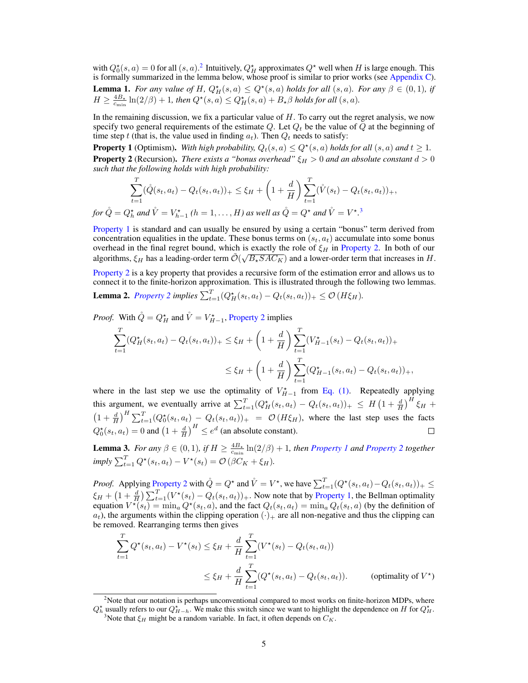<span id="page-4-4"></span>with  $Q_0^*(s, a) = 0$  for all  $(s, a)$ .<sup>[2](#page-4-2)</sup> Intuitively,  $Q_H^*$  approximates  $Q^*$  well when H is large enough. This is formally summarized in the lemma below, whose proof is similar to prior works (see [Appendix C\)](#page-13-0). **Lemma 1.** *For any value of H,*  $Q_H^*(s, a) \le Q^*(s, a)$  *holds for all*  $(s, a)$ *. For any*  $\beta \in (0, 1)$ *, if*  $H \geq \frac{4B_{\star}}{c_{\min}}\ln(2/\beta) + 1$ , then  $Q^{\star}(s, a) \leq Q^{\star}_H(s, a) + B_{\star}\beta$  holds for all  $(s, a)$ .

In the remaining discussion, we fix a particular value of  $H$ . To carry out the regret analysis, we now specify two general requirements of the estimate  $Q$ . Let  $Q_t$  be the value of  $Q$  at the beginning of time step t (that is, the value used in finding  $a_t$ ). Then  $Q_t$  needs to satisfy:

<span id="page-4-1"></span><span id="page-4-0"></span>**Property 1** (Optimism). With high probability,  $Q_t(s, a) \le Q^*(s, a)$  holds for all  $(s, a)$  and  $t \ge 1$ . **Property 2** (Recursion). *There exists a "bonus overhead"*  $\xi_H > 0$  *and an absolute constant*  $d > 0$ *such that the following holds with high probability:*

$$
\sum_{t=1}^{T} (\mathring{Q}(s_t, a_t) - Q_t(s_t, a_t))_+ \le \xi_H + \left(1 + \frac{d}{H}\right) \sum_{t=1}^{T} (\mathring{V}(s_t) - Q_t(s_t, a_t))_+,
$$
  
=  $O^{\star}$  and  $\mathring{V} = V^{\star}$  ( $b = 1$  *H*) as well as  $\mathring{O} = O^{\star}$  and  $\mathring{V} = V^{\star}$ <sup>3</sup>

for  $\dot{Q} = Q_h^{\star}$  and  $\dot{V} = V_{h-1}^{\star}$  ( $h = 1, \ldots, H$ ) as well as  $\dot{Q} = Q^{\star}$  and  $\dot{V} = V^{\star}$ .

[Property 1](#page-4-0) is standard and can usually be ensured by using a certain "bonus" term derived from concentration equalities in the update. These bonus terms on  $(s_t, a_t)$  accumulate into some bonus overhead in the final regret bound, which is exactly the role of  $\xi_H$  in [Property 2.](#page-4-1) In both of our algorithms,  $\xi_H$  has a leading-order term  $\tilde{\mathcal{O}}(\sqrt{B_\star SAC_K})$  and a lower-order term that increases in  $H$ .

[Property 2](#page-4-1) is a key property that provides a recursive form of the estimation error and allows us to connect it to the finite-horizon approximation. This is illustrated through the following two lemmas.

<span id="page-4-5"></span>**Lemma 2.** [Property 2](#page-4-1) implies  $\sum_{t=1}^{T} (Q_H^*(s_t, a_t) - Q_t(s_t, a_t))_+ \leq \mathcal{O}(H\xi_H)$ .

*Proof.* With  $\hat{Q} = Q_H^*$  and  $\hat{V} = V_{H-1}^*$ , [Property 2](#page-4-1) implies

$$
\sum_{t=1}^{T} (Q_H^{\star}(s_t, a_t) - Q_t(s_t, a_t))_{+} \leq \xi_H + \left(1 + \frac{d}{H}\right) \sum_{t=1}^{T} (V_{H-1}^{\star}(s_t) - Q_t(s_t, a_t))_{+}
$$
\n
$$
\leq \xi_H + \left(1 + \frac{d}{H}\right) \sum_{t=1}^{T} (Q_{H-1}^{\star}(s_t, a_t) - Q_t(s_t, a_t))_{+},
$$

where in the last step we use the optimality of  $V_{H-1}^*$  from [Eq. \(1\).](#page-3-4) Repeatedly applying this argument, we eventually arrive at  $\sum_{t=1}^{T} (Q_H^*(s_t, a_t) - Q_t(s_t, a_t))_+ \leq H \left(1 + \frac{d}{H}\right)^H \xi_H +$  $\left(1+\frac{d}{H}\right)^H \sum_{t=1}^T (Q_0^{\star}(s_t, a_t) - Q_t(s_t, a_t))_+ = \mathcal{O}(H\xi_H)$ , where the last step uses the facts  $Q_0^{\star}(s_t, a_t) = 0$  and  $\left(1 + \frac{d}{H}\right)^H \le e^d$  (an absolute constant).

<span id="page-4-6"></span>**Lemma 3.** *For any*  $\beta \in (0,1)$ *, if*  $H \ge \frac{4B_*}{c_{\min}} \ln(2/\beta) + 1$ *, then [Property 1](#page-4-0) and [Property 2](#page-4-1) together*  $imply \sum_{t=1}^{T} Q^{\star}(s_t, a_t) - V^{\star}(s_t) = \mathcal{O}(\beta C_K + \xi_H).$ 

*Proof.* Applying [Property 2](#page-4-1) with  $\mathring{Q} = Q^*$  and  $\mathring{V} = V^*$ , we have  $\sum_{t=1}^T (Q^*(s_t, a_t) - Q_t(s_t, a_t))_+ \leq$  $\xi_H + \left(1 + \frac{d}{H}\right) \sum_{t=1}^T (V^\star(s_t) - Q_t(s_t, a_t))_+$ . Now note that by [Property 1,](#page-4-0) the Bellman optimality equation  $V^*(s_t) = \min_a Q^*(s_t, a)$ , and the fact  $Q_t(s_t, a_t) = \min_a Q_t(s_t, a)$  (by the definition of  $a_t$ ), the arguments within the clipping operation ( $\cdot$ )<sub>+</sub> are all non-negative and thus the clipping can be removed. Rearranging terms then gives

$$
\sum_{t=1}^{T} Q^{\star}(s_t, a_t) - V^{\star}(s_t) \leq \xi_H + \frac{d}{H} \sum_{t=1}^{T} (V^{\star}(s_t) - Q_t(s_t, a_t))
$$
\n
$$
\leq \xi_H + \frac{d}{H} \sum_{t=1}^{T} (Q^{\star}(s_t, a_t) - Q_t(s_t, a_t)). \qquad \text{(optimality of } V^{\star}\text{)}
$$

<span id="page-4-2"></span> $2^2$ Note that our notation is perhaps unconventional compared to most works on finite-horizon MDPs, where  $Q_h^*$  usually refers to our  $Q_{H-h}^*$ . We make this switch since we want to highlight the dependence on H for  $Q_H^*$ .

<span id="page-4-3"></span><sup>&</sup>lt;sup>3</sup>Note that  $\xi_H$  might be a random variable. In fact, it often depends on  $C_K$ .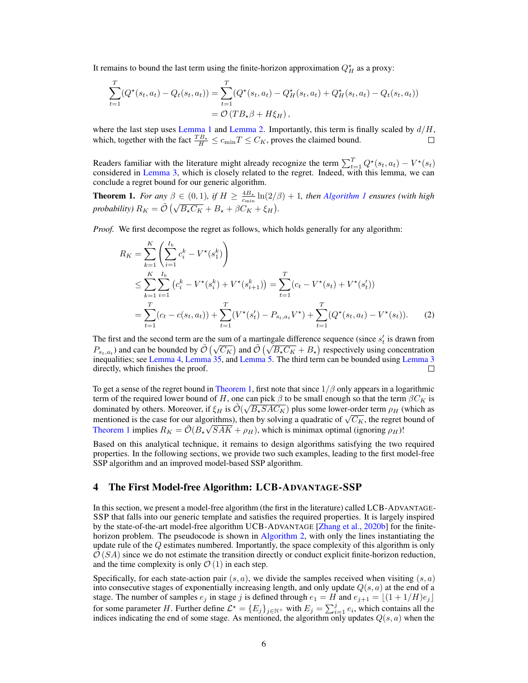It remains to bound the last term using the finite-horizon approximation  $Q_H^*$  as a proxy:

$$
\sum_{t=1}^{T} (Q^*(s_t, a_t) - Q_t(s_t, a_t)) = \sum_{t=1}^{T} (Q^*(s_t, a_t) - Q^*_H(s_t, a_t) + Q^*_H(s_t, a_t) - Q_t(s_t, a_t))
$$
  
=  $\mathcal{O}(TB_*\beta + H\xi_H),$ 

where the last step uses [Lemma 1](#page-4-4) and [Lemma 2.](#page-4-5) Importantly, this term is finally scaled by  $d/H$ , which, together with the fact  $\frac{TB_{\star}}{H} \leq c_{\min}T \leq C_K$ , proves the claimed bound. П

Readers familiar with the literature might already recognize the term  $\sum_{t=1}^{T} Q^{\star}(s_t, a_t) - V^{\star}(s_t)$ considered in [Lemma 3,](#page-4-6) which is closely related to the regret. Indeed, with this lemma, we can conclude a regret bound for our generic algorithm.

<span id="page-5-1"></span>**Theorem 1.** *For any*  $\beta \in (0,1)$ *, if*  $H \ge \frac{4B_*}{c_{\min}} \ln(2/\beta) + 1$ *, then [Algorithm 1](#page-3-0) ensures (with high probability*)  $R_K = \tilde{\mathcal{O}}\left(\sqrt{B_\star C_K} + B_\star + \beta C_K + \xi_H\right)$ .

*Proof.* We first decompose the regret as follows, which holds generally for any algorithm:

<span id="page-5-2"></span>
$$
R_K = \sum_{k=1}^K \left( \sum_{i=1}^{I_k} c_i^k - V^\star(s_1^k) \right)
$$
  
\n
$$
\leq \sum_{k=1}^K \sum_{i=1}^{I_k} \left( c_i^k - V^\star(s_i^k) + V^\star(s_{i+1}^k) \right) = \sum_{t=1}^T (c_t - V^\star(s_t) + V^\star(s_t'))
$$
  
\n
$$
= \sum_{t=1}^T (c_t - c(s_t, a_t)) + \sum_{t=1}^T (V^\star(s_t') - P_{s_t, a_t} V^\star) + \sum_{t=1}^T (Q^\star(s_t, a_t) - V^\star(s_t)).
$$
 (2)

The first and the second term are the sum of a martingale difference sequence (since  $s_t$ ' is drawn from The first and the second term are the sum of a mattingate difference sequence (since  $s_t$  is drawn from<br>  $P_{s_t, a_t}$ ) and can be bounded by  $\tilde{\mathcal{O}}(\sqrt{C_K})$  and  $\tilde{\mathcal{O}}(\sqrt{B_\star C_K} + B_\star)$  respectively using concentration inequalities; see [Lemma 4,](#page-14-0) [Lemma 35,](#page-42-0) and [Lemma 5.](#page-14-1) The third term can be bounded using [Lemma 3](#page-4-6) directly, which finishes the proof.  $\Box$ 

To get a sense of the regret bound in [Theorem 1,](#page-5-1) first note that since  $1/\beta$  only appears in a logarithmic term of the required lower bound of H, one can pick  $\beta$  to be small enough so that the term  $\beta C_K$  is dominated by others. Moreover, if  $\xi_H$  is  $\tilde{\mathcal{O}}(\sqrt{B_{\star}SAC_K})$  plus some lower-order term  $\rho_H$  (which as dominated by others. Moreover, if  $\xi_H$  is  $O(\sqrt{D_*}3AC_K)$  plus some lower-order term  $\rho_H$  (which as<br>mentioned is the case for our algorithms), then by solving a quadratic of  $\sqrt{C_K}$ , the regret bound of [Theorem 1](#page-5-1) implies  $R_K = \tilde{\mathcal{O}}(B_{\star}\sqrt{SAK} + \rho_H)$ , which is minimax optimal (ignoring  $\rho_H$ )!

Based on this analytical technique, it remains to design algorithms satisfying the two required properties. In the following sections, we provide two such examples, leading to the first model-free SSP algorithm and an improved model-based SSP algorithm.

#### <span id="page-5-0"></span>4 The First Model-free Algorithm: LCB-ADVANTAGE-SSP

In this section, we present a model-free algorithm (the first in the literature) called LCB-ADVANTAGE-SSP that falls into our generic template and satisfies the required properties. It is largely inspired by the state-of-the-art model-free algorithm UCB-ADVANTAGE [\[Zhang et al.,](#page-11-2) [2020b\]](#page-11-2) for the finite-horizon problem. The pseudocode is shown in [Algorithm 2,](#page-6-0) with only the lines instantiating the update rule of the  $Q$  estimates numbered. Importantly, the space complexity of this algorithm is only  $\mathcal{O}(SA)$  since we do not estimate the transition directly or conduct explicit finite-horizon reduction, and the time complexity is only  $\mathcal{O}(1)$  in each step.

Specifically, for each state-action pair  $(s, a)$ , we divide the samples received when visiting  $(s, a)$ into consecutive stages of exponentially increasing length, and only update  $Q(s, a)$  at the end of a stage. The number of samples  $e_j$  in stage j is defined through  $e_1 = H$  and  $e_{j+1} = \lfloor (1 + 1/H)e_j \rfloor$ for some parameter H. Further define  $\mathcal{L}^* = \{E_j\}_{j \in \mathbb{N}^+}$  with  $E_j = \sum_{i=1}^j e_i$ , which contains all the indices indicating the end of some stage. As mentioned, the algorithm only updates  $Q(s, a)$  when the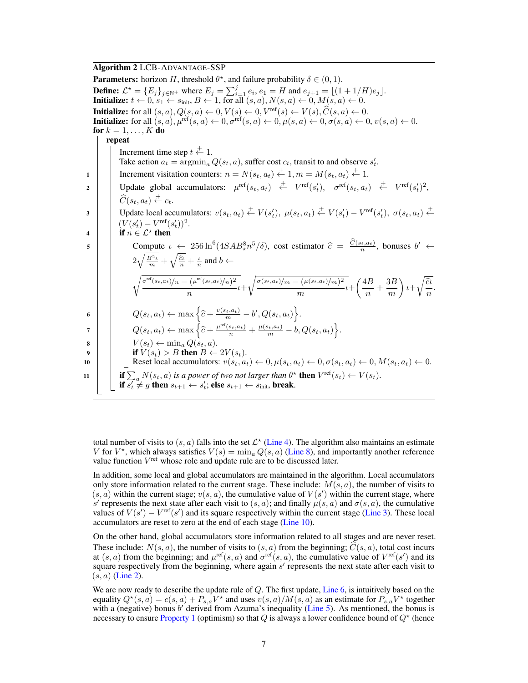## Algorithm 2 LCB-ADVANTAGE-SSP

<span id="page-6-4"></span><span id="page-6-0"></span>**Parameters:** horizon H, threshold  $\theta^*$ , and failure probability  $\delta \in (0, 1)$ . **Define:**  $\mathcal{L}^* = \{E_j\}_{j \in \mathbb{N}^+}$  where  $E_j = \sum_{i=1}^j e_i, e_1 = H$  and  $e_{j+1} = \lfloor (1 + 1/H)e_j \rfloor$ . **Initialize:**  $t \leftarrow 0$ ,  $s_1 \leftarrow s_{\text{init}}$ ,  $B \leftarrow 1$ , for all  $(s, a)$ ,  $N(s, a) \leftarrow 0$ ,  $M(s, a) \leftarrow 0$ . **Initialize:** for all  $(s, a)$ ,  $Q(s, a) \leftarrow 0$ ,  $V(s) \leftarrow 0$ ,  $V^{\text{ref}}(s) \leftarrow V(s)$ ,  $\hat{C}(s, a) \leftarrow 0$ .<br> **Initialize:** for all  $(s, a)$ ,  $\mu^{\text{ref}}(s, a) \leftarrow 0$ ,  $\sigma^{\text{ref}}(s, a) \leftarrow 0$ ,  $\mu(s, a) \leftarrow 0$ ,  $\sigma(s, a) \leftarrow 0$ ,  $v(s, a) \leftarrow 0$ . for  $k = 1, \ldots, K$  do repeat Increment time step  $t \stackrel{+}{\leftarrow} 1$ . Take action  $a_t = \arg\min_a Q(s_t, a)$ , suffer cost  $c_t$ , transit to and observe  $s'_t$ . 1 Increment visitation counters:  $n = N(s_t, a_t) \stackrel{+}{\leftarrow} 1, m = M(s_t, a_t) \stackrel{+}{\leftarrow} 1.$ 2 Update global accumulators:  $\mu^{\text{ref}}(s_t, a_t) \stackrel{+}{\leftarrow} V^{\text{ref}}(s'_t), \quad \sigma^{\text{ref}}(s_t, a_t) \stackrel{+}{\leftarrow} V^{\text{ref}}(s'_t)^2$  $\widehat{C}(s_t, a_t) \stackrel{+}{\leftarrow} c_t.$ 3 Update local accumulators:  $v(s_t, a_t) \stackrel{+}{\leftarrow} V(s'_t)$ ,  $\mu(s_t, a_t) \stackrel{+}{\leftarrow} V(s'_t) - V^{\text{ref}}(s'_t)$ ,  $\sigma(s_t, a_t) \stackrel{+}{\leftarrow}$  $(V(s'_t) - V^{\text{ref}}(s'_t))^2.$ 4 if  $n \in \mathcal{L}^*$  then 5 Compute  $\iota \leftarrow 256 \ln^6(4SAB_\star^8 n^5/\delta)$ , cost estimator  $\hat{c} = \frac{C(s_t, a_t)}{n}$ , bonuses  $b' \leftarrow$  $2\sqrt{\frac{B^2\iota}{m}} + \sqrt{\frac{\widehat{c}\iota}{n}} + \frac{\iota}{n}$  and  $b \leftarrow$  $\int \sigma^{\text{ref}}(s_t,a_t)/n = (\mu^{\text{ref}}(s_t,a_t)/n)^2$  $\frac{(\mu^{\text{ref}}(s_t, a_t)/n)^2}{n} t + \sqrt{\frac{\sigma(s_t, a_t)/m - (\mu(s_t, a_t)/m)^2}{m}}$  $\frac{(\mu(s_t,a_t)/m)^2}{m}t+\left(\frac{4B}{n}\right)$  $\frac{1}{n} + \frac{3B}{m}$ m  $\Big)$ <sub>ι+</sub>  $\sqrt{\frac{\widehat{c}\iota}{n}}$ . 6  $Q(s_t, a_t) \leftarrow \max \left\{ \widehat{c} + \frac{v(s_t, a_t)}{m} - b', Q(s_t, a_t) \right\}.$  $P\begin{bmatrix}Q(s_t,a_t)\leftarrow\max\bigg\{\widehat{c}+\frac{\mu^{\mathrm{ref}}(s_t,a_t)}{n}+\frac{\mu(s_t,a_t)}{m}-b,Q(s_t,a_t)\bigg\}. \end{bmatrix}.$  $\mathbf{s} \quad | \quad | \quad V(s_t) \leftarrow \min_a Q(s_t, a).$  $9$  | | if  $V(s_t) > B$  then  $B \leftarrow 2V(s_t)$ . 10 Reset local accumulators:  $v(s_t, a_t) \leftarrow 0, \mu(s_t, a_t) \leftarrow 0, \sigma(s_t, a_t) \leftarrow 0, M(s_t, a_t) \leftarrow 0.$ 11 **if**  $\sum_a N(s_t, a)$  *is a power of two not larger than*  $\theta^*$  **then**  $V^{\text{ref}}(s_t) \leftarrow V(s_t)$ . if  $s_t^r \neq g$  then  $s_{t+1} \leftarrow s_t^r$ ; else  $s_{t+1} \leftarrow s_{\text{init}}$ , break.

<span id="page-6-7"></span><span id="page-6-6"></span><span id="page-6-5"></span><span id="page-6-3"></span><span id="page-6-2"></span><span id="page-6-1"></span>total number of visits to  $(s, a)$  falls into the set  $\mathcal{L}^*$  [\(Line 4\)](#page-3-2). The algorithm also maintains an estimate V for  $V^*$ , which always satisfies  $V(s) = \min_a Q(s, a)$  [\(Line 8\)](#page-6-1), and importantly another reference value function  $V^{\text{ref}}$  whose role and update rule are to be discussed later.

In addition, some local and global accumulators are maintained in the algorithm. Local accumulators only store information related to the current stage. These include:  $M(s, a)$ , the number of visits to  $(s, a)$  within the current stage;  $v(s, a)$ , the cumulative value of  $V(s')$  within the current stage, where s' represents the next state after each visit to  $(s, a)$ ; and finally  $\mu(s, a)$  and  $\sigma(s, a)$ , the cumulative values of  $V(s') - V^{\text{ref}}(s')$  and its square respectively within the current stage [\(Line 3\)](#page-3-5). These local accumulators are reset to zero at the end of each stage [\(Line 10\)](#page-6-2).

On the other hand, global accumulators store information related to all stages and are never reset. These include:  $N(s, a)$ , the number of visits to  $(s, a)$  from the beginning;  $\hat{C}(s, a)$ , total cost incurs at  $(s, a)$  from the beginning; and  $\mu^{\text{ref}}(s, a)$  and  $\sigma^{\text{ref}}(s, a)$ , the cumulative value of  $V^{\text{ref}}(s')$  and its square respectively from the beginning, where again  $s'$  represents the next state after each visit to  $(s, a)$  [\(Line 2\)](#page-3-3).

We are now ready to describe the update rule of  $Q$ . The first update, [Line 6,](#page-6-3) is intuitively based on the equality  $Q^*(s, a) = c(s, a) + P_{s,a}V^*$  and uses  $v(s, a)/M(s, a)$  as an estimate for  $P_{s,a}V^*$  together with a (negative) bonus  $b'$  derived from Azuma's inequality [\(Line 5\)](#page-6-4). As mentioned, the bonus is necessary to ensure [Property 1](#page-4-0) (optimism) so that Q is always a lower confidence bound of  $Q^*$  (hence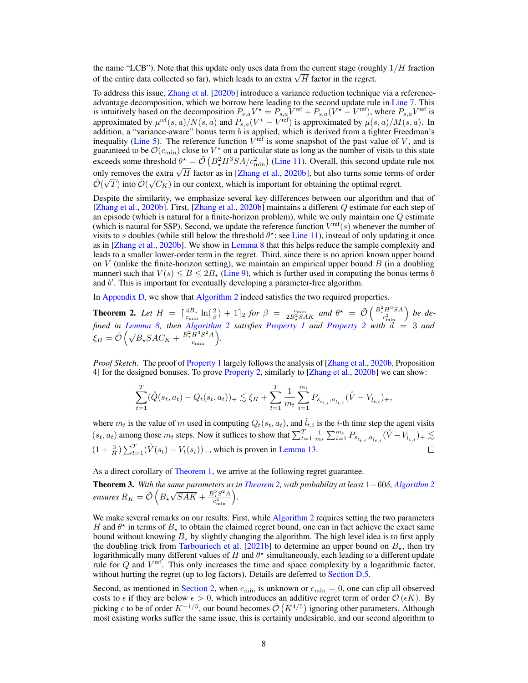the name "LCB"). Note that this update only uses data from the current stage (roughly  $1/H$  fraction The name LCB ). Note that this update only uses data from the current stage (rought) of the entire data collected so far), which leads to an extra  $\sqrt{H}$  factor in the regret.

To address this issue, [Zhang et al.](#page-11-2) [\[2020b\]](#page-11-2) introduce a variance reduction technique via a referenceadvantage decomposition, which we borrow here leading to the second update rule in [Line 7.](#page-6-5) This is intuitively based on the decomposition  $P_{s,a}V^* = P_{s,a}V^{\text{ref}} + P_{s,a}(V^* - V^{\text{ref}})$ , where  $P_{s,a}V^{\text{ref}}$  is approximated by  $\mu^{\text{ref}}(s, a)/N(s, a)$  and  $P_{s,a}(V^* - V^{\text{ref}})$  is approximated by  $\mu(s, a)/M(s, a)$ . In addition, a "variance-aware" bonus term  $b$  is applied, which is derived from a tighter Freedman's inequality [\(Line 5\)](#page-6-4). The reference function  $V^{\text{ref}}$  is some snapshot of the past value of V, and is guaranteed to be  $\mathcal{O}(c_{\min})$  close to  $V^*$  on a particular state as long as the number of visits to this state exceeds some threshold  $\theta^* = \tilde{\mathcal{O}}\left(B_*^2 H^3 SA/c_{\min}^2\right)$  [\(Line 11\)](#page-6-6). Overall, this second update rule not only removes the extra  $\sqrt{H}$  factor as in [\[Zhang et al.,](#page-11-2) [2020b\]](#page-11-2), but also turns some terms of order  $\tilde{A}$ .  $\overline{B}$ .  $\tilde{\mathcal{O}}(\sqrt{T})$  into  $\tilde{\mathcal{O}}(\sqrt{C_K})$  in our context, which is important for obtaining the optimal regret.

Despite the similarity, we emphasize several key differences between our algorithm and that of [\[Zhang et al.,](#page-11-2) [2020b\]](#page-11-2). First, [\[Zhang et al.,](#page-11-2) [2020b\]](#page-11-2) maintains a different Q estimate for each step of an episode (which is natural for a finite-horizon problem), while we only maintain one  $Q$  estimate (which is natural for SSP). Second, we update the reference function  $V^{\text{ref}}(s)$  whenever the number of visits to s doubles (while still below the threshold  $\theta^*$ ; see [Line 11\)](#page-6-6), instead of only updating it once as in [\[Zhang et al.,](#page-11-2) [2020b\]](#page-11-2). We show in [Lemma 8](#page-18-0) that this helps reduce the sample complexity and leads to a smaller lower-order term in the regret. Third, since there is no apriori known upper bound on V (unlike the finite-horizon setting), we maintain an empirical upper bound  $B$  (in a doubling manner) such that  $V(s) \leq B \leq 2B_{\star}$  [\(Line 9\)](#page-6-7), which is further used in computing the bonus terms b and  $b'$ . This is important for eventually developing a parameter-free algorithm.

In [Appendix D,](#page-15-0) we show that [Algorithm 2](#page-6-0) indeed satisfies the two required properties.

<span id="page-7-0"></span>**Theorem 2.** Let  $H = \left[\frac{4B_*}{c_{\min}}\ln(\frac{2}{\beta}) + 1\right]_2$  for  $\beta = \frac{c_{\min}}{2B_*^2SAK}$  and  $\theta^* = \tilde{\mathcal{O}}\left(\frac{B_*^2H^3SA}{c_{\min}^2}\right)$  be de*fined in [Lemma 8,](#page-18-0) then [Algorithm 2](#page-6-0) satisfies [Property 1](#page-4-0) and [Property 2](#page-4-1) with* d = 3 *and*  $\xi_H = \tilde{\mathcal{O}}\left(\sqrt{B_\star S A C_K} + \frac{B_\star^2 H^3 S^2 A}{c_{\min}}\right).$ 

*Proof Sketch.* The proof of [Property 1](#page-4-0) largely follows the analysis of [\[Zhang et al.,](#page-11-2) [2020b,](#page-11-2) Proposition 4] for the designed bonuses. To prove [Property 2,](#page-4-1) similarly to [\[Zhang et al.,](#page-11-2) [2020b\]](#page-11-2) we can show:

$$
\sum_{t=1}^T (\mathring{Q}(s_t, a_t) - Q_t(s_t, a_t))_+ \lesssim \xi_H + \sum_{t=1}^T \frac{1}{m_t} \sum_{i=1}^{m_t} P_{s_{\tilde{l}_{t,i}}, a_{\tilde{l}_{t,i}}} (\mathring{V} - V_{\tilde{l}_{t,i}})_+,
$$

where  $m_t$  is the value of m used in computing  $Q_t(s_t, a_t)$ , and  $\tilde{l}_{t,i}$  is the *i*-th time step the agent visits  $(s_t, a_t)$  among those  $m_t$  steps. Now it suffices to show that  $\sum_{t=1}^{T} \frac{1}{m_t} \sum_{i=1}^{m_t} P_{s_{\hat{l}_{t,i}}, a_{\hat{l}_{t,i}}}(\mathring{V} - V_{\tilde{l}_{t,i}}) + \sum_{t=1}^{T} \frac{1}{m_t} \sum_{i=1}^{m_t} P_{s_{\hat{l}_{t,i}}, a_{\hat{l}_{t,i}}}(\mathring{V} - V_{\tilde{l}_{t,i}})$  $(1 + \frac{3}{H}) \sum_{t=1}^{T} (\dot{V}(s_t) - V_t(s_t))_+,$  which is proven in [Lemma 13.](#page-24-0)  $\Box$ 

As a direct corollary of [Theorem 1,](#page-5-1) we arrive at the following regret guarantee.

<span id="page-7-1"></span>Theorem 3. *With the same parameters as in [Theorem 2,](#page-7-0) with probability at least* 1−60δ*, [Algorithm 2](#page-6-0)* ensures  $R_K = \tilde{\mathcal{O}}\left(B_\star\right)$ √  $\overline{SAK} + \frac{B_{\star}^{5}S^{2}A}{c^{4}}$  $\frac{c_{\min}^5S^2A}{c_{\min}^4}.$ 

We make several remarks on our results. First, while [Algorithm 2](#page-6-0) requires setting the two parameters H and  $\theta^*$  in terms of  $B_*$  to obtain the claimed regret bound, one can in fact achieve the exact same bound without knowing  $B_{\star}$  by slightly changing the algorithm. The high level idea is to first apply the doubling trick from [Tarbouriech et al.](#page-11-0) [\[2021b\]](#page-11-0) to determine an upper bound on  $B_{\star}$ , then try logarithmically many different values of H and  $\theta^*$  simultaneously, each leading to a different update rule for  $Q$  and  $V^{\text{ref}}$ . This only increases the time and space complexity by a logarithmic factor, without hurting the regret (up to log factors). Details are deferred to [Section D.5.](#page-26-0)

Second, as mentioned in [Section 2,](#page-2-0) when  $c_{\min}$  is unknown or  $c_{\min} = 0$ , one can clip all observed costs to  $\epsilon$  if they are below  $\epsilon > 0$ , which introduces an additive regret term of order  $\mathcal{O}(\epsilon K)$ . By picking  $\epsilon$  to be of order  $K^{-1/5}$ , our bound becomes  $\tilde{\mathcal{O}}(K^{4/5})$  ignoring other parameters. Although most existing works suffer the same issue, this is certainly undesirable, and our second algorithm to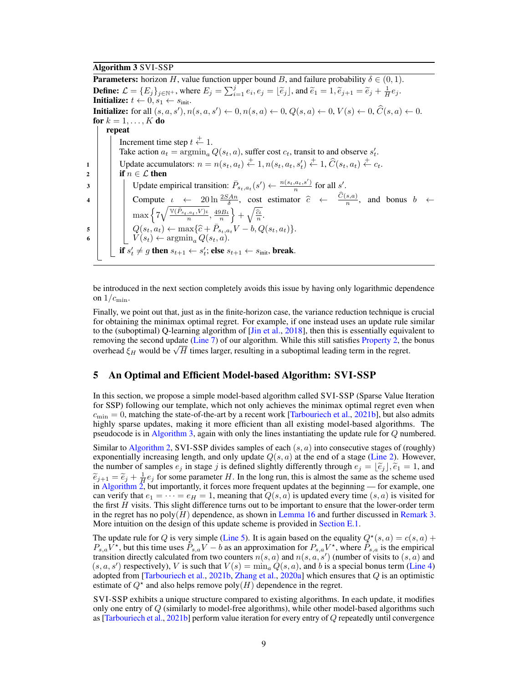# Algorithm 3 SVI-SSP

<span id="page-8-1"></span>**Parameters:** horizon H, value function upper bound B, and failure probability  $\delta \in (0, 1)$ . **Define:**  $\mathcal{L} = \{E_j\}_{j \in \mathbb{N}}$ +, where  $E_j = \sum_{i=1}^j e_i, e_j = \lfloor \tilde{e}_j \rfloor$ , and  $\tilde{e}_1 = 1, \tilde{e}_{j+1} = \tilde{e}_j + \frac{1}{H}e_j$ . Initialize:  $t \leftarrow 0, s_1 \leftarrow s_{\text{init}}$ . **Initialize:** for all  $(s, a, s')$ ,  $n(s, a, s') \leftarrow 0$ ,  $n(s, a) \leftarrow 0$ ,  $Q(s, a) \leftarrow 0$ ,  $V(s) \leftarrow 0$ ,  $\hat{C}(s, a) \leftarrow 0$ . for  $k = 1, \ldots, K$  do repeat Increment time step  $t \stackrel{+}{\leftarrow} 1$ . Take action  $a_t = \arg\min_a Q(s_t, a)$ , suffer cost  $c_t$ , transit to and observe  $s'_t$ . 1 Update accumulators:  $n = n(s_t, a_t) \stackrel{+}{\leftarrow} 1, n(s_t, a_t, s_t') \stackrel{+}{\leftarrow} 1, \widehat{C}(s_t, a_t) \stackrel{+}{\leftarrow} c_t$ . 2 if  $n \in \mathcal{L}$  then 3 Update empirical transition:  $\bar{P}_{s_t, a_t}(s') \leftarrow \frac{n(s_t, a_t, s')}{n}$  for all s'. n 4 Compute  $\iota \leftarrow 20 \ln \frac{25An}{\delta}$ , cost estimator  $\hat{c} \leftarrow \frac{C(s,a)}{n}$ , and bonus  $b \leftarrow$  $\max\left\{7\sqrt{\frac{\mathbb{V}(\bar{P}_{s_t,a_t},V)\mu}{n}}\right\}$  $\left\{\frac{a_t,V\mu}{n},\frac{49B\mu}{n}\right\}+\sqrt{\frac{\widehat{c}\mu}{n}}.$  $\begin{array}{c|c} \mathbf{5} & Q(s_t, a_t) \leftarrow \max\{\hat{c} + \bar{P}_{s_t, a_t} V - b, Q(s_t, a_t)\}. \end{array}$ 6  $\big|$   $\big|$   $\big|$   $V(s_t) \leftarrow \operatorname{argmin}_a Q(s_t, a).$ if  $s_t' \neq g$  then  $s_{t+1} \leftarrow s_t'$ ; else  $s_{t+1} \leftarrow s_{\text{init}}$ , break.

be introduced in the next section completely avoids this issue by having only logarithmic dependence on  $1/c_{\text{min}}$ .

Finally, we point out that, just as in the finite-horizon case, the variance reduction technique is crucial for obtaining the minimax optimal regret. For example, if one instead uses an update rule similar to the (suboptimal) Q-learning algorithm of [\[Jin et al.,](#page-10-11) [2018\]](#page-10-11), then this is essentially equivalent to removing the second update [\(Line 7\)](#page-6-5) of our algorithm. While this still satisfies [Property 2,](#page-4-1) the bonus removing the second update (Line *T*) of our algorithm. While this still satisfies Property 2, the overhead  $\xi_H$  would be  $\sqrt{H}$  times larger, resulting in a suboptimal leading term in the regret.

# <span id="page-8-0"></span>5 An Optimal and Efficient Model-based Algorithm: SVI-SSP

In this section, we propose a simple model-based algorithm called SVI-SSP (Sparse Value Iteration for SSP) following our template, which not only achieves the minimax optimal regret even when  $c_{\text{min}} = 0$ , matching the state-of-the-art by a recent work [\[Tarbouriech et al.,](#page-11-0) [2021b\]](#page-11-0), but also admits highly sparse updates, making it more efficient than all existing model-based algorithms. The pseudocode is in [Algorithm 3,](#page-8-1) again with only the lines instantiating the update rule for Q numbered.

Similar to [Algorithm 2,](#page-6-0) SVI-SSP divides samples of each  $(s, a)$  into consecutive stages of (roughly) exponentially increasing length, and only update  $Q(s, a)$  at the end of a stage [\(Line 2\)](#page-3-3). However, the number of samples  $e_j$  in stage j is defined slightly differently through  $e_j = [\tilde{e}_j], \tilde{e}_1 = 1$ , and  $\tilde{e}_{j+1} = \tilde{e}_j + \frac{1}{H} e_j$  for some parameter H. In the long run, this is almost the same as the scheme used<br>in Algorithm 2 but importantly it forces more frequent undates at the beginning — for example, one in Algorithm  $\overline{2}$ , but importantly, it forces more frequent updates at the beginning — for example, one can verify that  $e_1 = \cdots = e_H = 1$ , meaning that  $Q(s, a)$  is updated every time  $(s, a)$  is visited for the first  $H$  visits. This slight difference turns out to be important to ensure that the lower-order term in the regret has no poly $(H)$  dependence, as shown in [Lemma 16](#page-30-0) and further discussed in [Remark 3.](#page-31-0) More intuition on the design of this update scheme is provided in [Section E.1.](#page-30-1)

The update rule for Q is very simple [\(Line 5\)](#page-6-4). It is again based on the equality  $Q^*(s, a) = c(s, a) +$  $P_{s,a}V^*$ , but this time uses  $\bar{P}_{s,a}V - b$  as an approximation for  $P_{s,a}V^*$ , where  $\bar{P}_{s,a}$  is the empirical transition directly calculated from two counters  $n(s, a)$  and  $n(s, a, s')$  (number of visits to  $(s, a)$  and  $(s, a, s')$  respectively), V is such that  $V(s) = \min_a Q(s, a)$ , and b is a special bonus term [\(Line 4\)](#page-3-2) adopted from [\[Tarbouriech et al.,](#page-11-0) [2021b,](#page-11-0) [Zhang et al.,](#page-11-3) [2020a\]](#page-11-3) which ensures that Q is an optimistic estimate of  $Q^*$  and also helps remove poly $(H)$  dependence in the regret.

SVI-SSP exhibits a unique structure compared to existing algorithms. In each update, it modifies only one entry of  $Q$  (similarly to model-free algorithms), while other model-based algorithms such as [\[Tarbouriech et al.,](#page-11-0) [2021b\]](#page-11-0) perform value iteration for every entry of Q repeatedly until convergence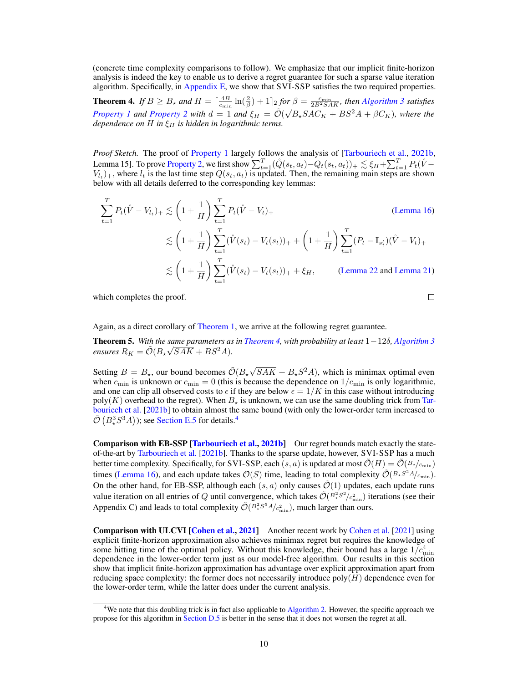(concrete time complexity comparisons to follow). We emphasize that our implicit finite-horizon analysis is indeed the key to enable us to derive a regret guarantee for such a sparse value iteration algorithm. Specifically, in [Appendix E,](#page-30-2) we show that SVI-SSP satisfies the two required properties.

<span id="page-9-0"></span>**Theorem 4.** If  $B \geq B_{\star}$  and  $H = \left[\frac{4B}{c_{\min}}\ln(\frac{2}{\beta}) + 1\right]_2$  for  $\beta = \frac{c_{\min}}{2B^2SAK}$ , then [Algorithm 3](#page-8-1) satisfies *[Property 1](#page-4-0) and [Property 2](#page-4-1) with*  $d = 1$  *and*  $\xi_H = \tilde{O}(\sqrt{B_*SAC_K} + BS^2A + \beta C_K)$ *, where the dependence on*  $H$  *in*  $\xi_H$  *is hidden in logarithmic terms.* 

*Proof Sketch.* The proof of [Property 1](#page-4-0) largely follows the analysis of [\[Tarbouriech et al.,](#page-11-0) [2021b,](#page-11-0) Lemma 15]. To prove [Property 2,](#page-4-1) we first show  $\sum_{t=1}^{T} (\mathring{Q}(s_t, a_t) - Q_t(s_t, a_t))_+ \lesssim \xi_H + \sum_{t=1}^{T} P_t(\mathring{V} V_{l_t})_+$ , where  $l_t$  is the last time step  $Q(s_t, a_t)$  is updated. Then, the remaining main steps are shown below with all details deferred to the corresponding key lemmas:

$$
\sum_{t=1}^{T} P_t(\mathring{V} - V_{t})_+ \lesssim \left(1 + \frac{1}{H}\right) \sum_{t=1}^{T} P_t(\mathring{V} - V_t)_+ \tag{Lemma 16}
$$
\n
$$
\lesssim \left(1 + \frac{1}{H}\right) \sum_{t=1}^{T} (\mathring{V}(s_t) - V_t(s_t))_+ + \left(1 + \frac{1}{H}\right) \sum_{t=1}^{T} (P_t - \mathbb{I}_{s'_t})(\mathring{V} - V_t)_+ \lesssim \left(1 + \frac{1}{H}\right) \sum_{t=1}^{T} (\mathring{V}(s_t) - V_t(s_t))_+ + \xi_H, \qquad \text{(Lemma 22 and Lemma 21)}
$$

which completes the proof.

 $\Box$ 

Again, as a direct corollary of [Theorem 1,](#page-5-1) we arrive at the following regret guarantee.

<span id="page-9-2"></span>Theorem 5. *With the same parameters as in [Theorem 4,](#page-9-0) with probability at least* 1−12δ*, [Algorithm 3](#page-8-1)* √  $ensures R_K = \tilde{\mathcal{O}}(B_\star\sqrt{SAK} + BS^2A).$ 

Setting  $B = B_{\star}$ , our bound becomes  $\tilde{\mathcal{O}}(B_{\star}\sqrt{\frac{B_{\star}^2}{2\epsilon}})$  $\overline{SAK} + B_{\star}S^2A$ , which is minimax optimal even when  $c_{\min}$  is unknown or  $c_{\min} = 0$  (this is because the dependence on  $1/c_{\min}$  is only logarithmic, and one can clip all observed costs to  $\epsilon$  if they are below  $\epsilon = 1/K$  in this case without introducing  $poly(K)$  overhead to the regret). When  $B_{\star}$  is unknown, we can use the same doubling trick from [Tar](#page-11-0)[bouriech et al.](#page-11-0) [\[2021b\]](#page-11-0) to obtain almost the same bound (with only the lower-order term increased to  $\tilde{\mathcal{O}}\left(B_\star^3 S^3 A\right)$ ); see [Section E.5](#page-40-0) for details.<sup>[4](#page-9-1)</sup>

**Comparison with EB-SSP [\[Tarbouriech et al.,](#page-11-0) [2021b\]](#page-11-0)** Our regret bounds match exactly the stateof-the-art by [Tarbouriech et al.](#page-11-0) [\[2021b\]](#page-11-0). Thanks to the sparse update, however, SVI-SSP has a much better time complexity. Specifically, for SVI-SSP, each  $(s, a)$  is updated at most  $\mathcal{O}(H) = \mathcal{O}(B*/_{c_{\min}})$ times [\(Lemma 16\)](#page-30-0), and each update takes  $\mathcal{O}(S)$  time, leading to total complexity  $\tilde{\mathcal{O}}(^{B_*S^2A}/_{c_{\min}})$ . On the other hand, for EB-SSP, although each  $(s, a)$  only causes  $\tilde{\mathcal{O}}(1)$  updates, each update runs value iteration on all entries of Q until convergence, which takes  $\tilde{O}(B_{\star}^2 s^2/c_{\min}^2)$  iterations (see their Appendix C) and leads to total complexity  $\tilde{\mathcal{O}}(B_*^2 S^5 A/c_{\text{min}}^2)$ , much larger than ours.

Comparison with ULCVI [\[Cohen et al.,](#page-10-5) [2021\]](#page-10-5) Another recent work by [Cohen et al.](#page-10-5) [\[2021\]](#page-10-5) using explicit finite-horizon approximation also achieves minimax regret but requires the knowledge of some hitting time of the optimal policy. Without this knowledge, their bound has a large  $1/c_{\text{min}}^4$ dependence in the lower-order term just as our model-free algorithm. Our results in this section show that implicit finite-horizon approximation has advantage over explicit approximation apart from reducing space complexity: the former does not necessarily introduce  $poly(H)$  dependence even for the lower-order term, while the latter does under the current analysis.

<span id="page-9-1"></span><sup>&</sup>lt;sup>4</sup>We note that this doubling trick is in fact also applicable to [Algorithm 2.](#page-6-0) However, the specific approach we propose for this algorithm in [Section D.5](#page-26-0) is better in the sense that it does not worsen the regret at all.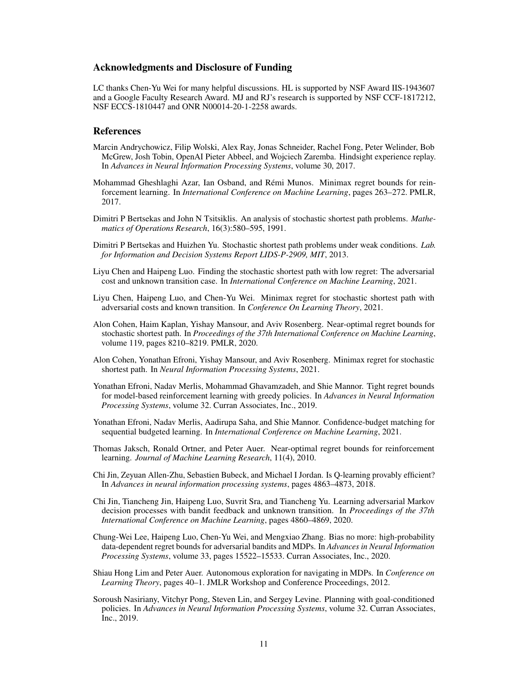## Acknowledgments and Disclosure of Funding

LC thanks Chen-Yu Wei for many helpful discussions. HL is supported by NSF Award IIS-1943607 and a Google Faculty Research Award. MJ and RJ's research is supported by NSF CCF-1817212, NSF ECCS-1810447 and ONR N00014-20-1-2258 awards.

#### References

- <span id="page-10-0"></span>Marcin Andrychowicz, Filip Wolski, Alex Ray, Jonas Schneider, Rachel Fong, Peter Welinder, Bob McGrew, Josh Tobin, OpenAI Pieter Abbeel, and Wojciech Zaremba. Hindsight experience replay. In *Advances in Neural Information Processing Systems*, volume 30, 2017.
- <span id="page-10-10"></span>Mohammad Gheshlaghi Azar, Ian Osband, and Rémi Munos. Minimax regret bounds for reinforcement learning. In *International Conference on Machine Learning*, pages 263–272. PMLR, 2017.
- <span id="page-10-2"></span>Dimitri P Bertsekas and John N Tsitsiklis. An analysis of stochastic shortest path problems. *Mathematics of Operations Research*, 16(3):580–595, 1991.
- <span id="page-10-3"></span>Dimitri P Bertsekas and Huizhen Yu. Stochastic shortest path problems under weak conditions. *Lab. for Information and Decision Systems Report LIDS-P-2909, MIT*, 2013.
- <span id="page-10-8"></span>Liyu Chen and Haipeng Luo. Finding the stochastic shortest path with low regret: The adversarial cost and unknown transition case. In *International Conference on Machine Learning*, 2021.
- <span id="page-10-7"></span>Liyu Chen, Haipeng Luo, and Chen-Yu Wei. Minimax regret for stochastic shortest path with adversarial costs and known transition. In *Conference On Learning Theory*, 2021.
- <span id="page-10-4"></span>Alon Cohen, Haim Kaplan, Yishay Mansour, and Aviv Rosenberg. Near-optimal regret bounds for stochastic shortest path. In *Proceedings of the 37th International Conference on Machine Learning*, volume 119, pages 8210–8219. PMLR, 2020.
- <span id="page-10-5"></span>Alon Cohen, Yonathan Efroni, Yishay Mansour, and Aviv Rosenberg. Minimax regret for stochastic shortest path. In *Neural Information Processing Systems*, 2021.
- <span id="page-10-6"></span>Yonathan Efroni, Nadav Merlis, Mohammad Ghavamzadeh, and Shie Mannor. Tight regret bounds for model-based reinforcement learning with greedy policies. In *Advances in Neural Information Processing Systems*, volume 32. Curran Associates, Inc., 2019.
- <span id="page-10-14"></span>Yonathan Efroni, Nadav Merlis, Aadirupa Saha, and Shie Mannor. Confidence-budget matching for sequential budgeted learning. In *International Conference on Machine Learning*, 2021.
- <span id="page-10-13"></span>Thomas Jaksch, Ronald Ortner, and Peter Auer. Near-optimal regret bounds for reinforcement learning. *Journal of Machine Learning Research*, 11(4), 2010.
- <span id="page-10-11"></span>Chi Jin, Zeyuan Allen-Zhu, Sebastien Bubeck, and Michael I Jordan. Is Q-learning provably efficient? In *Advances in neural information processing systems*, pages 4863–4873, 2018.
- <span id="page-10-12"></span>Chi Jin, Tiancheng Jin, Haipeng Luo, Suvrit Sra, and Tiancheng Yu. Learning adversarial Markov decision processes with bandit feedback and unknown transition. In *Proceedings of the 37th International Conference on Machine Learning*, pages 4860–4869, 2020.
- <span id="page-10-15"></span>Chung-Wei Lee, Haipeng Luo, Chen-Yu Wei, and Mengxiao Zhang. Bias no more: high-probability data-dependent regret bounds for adversarial bandits and MDPs. In *Advances in Neural Information Processing Systems*, volume 33, pages 15522–15533. Curran Associates, Inc., 2020.
- <span id="page-10-9"></span>Shiau Hong Lim and Peter Auer. Autonomous exploration for navigating in MDPs. In *Conference on Learning Theory*, pages 40–1. JMLR Workshop and Conference Proceedings, 2012.
- <span id="page-10-1"></span>Soroush Nasiriany, Vitchyr Pong, Steven Lin, and Sergey Levine. Planning with goal-conditioned policies. In *Advances in Neural Information Processing Systems*, volume 32. Curran Associates, Inc., 2019.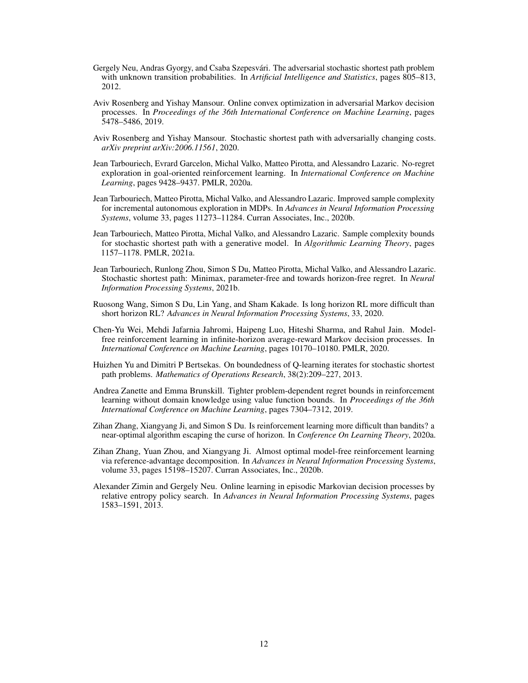- <span id="page-11-8"></span>Gergely Neu, Andras Gyorgy, and Csaba Szepesvári. The adversarial stochastic shortest path problem with unknown transition probabilities. In *Artificial Intelligence and Statistics*, pages 805–813, 2012.
- <span id="page-11-10"></span>Aviv Rosenberg and Yishay Mansour. Online convex optimization in adversarial Markov decision processes. In *Proceedings of the 36th International Conference on Machine Learning*, pages 5478–5486, 2019.
- <span id="page-11-4"></span>Aviv Rosenberg and Yishay Mansour. Stochastic shortest path with adversarially changing costs. *arXiv preprint arXiv:2006.11561*, 2020.
- <span id="page-11-1"></span>Jean Tarbouriech, Evrard Garcelon, Michal Valko, Matteo Pirotta, and Alessandro Lazaric. No-regret exploration in goal-oriented reinforcement learning. In *International Conference on Machine Learning*, pages 9428–9437. PMLR, 2020a.
- <span id="page-11-6"></span>Jean Tarbouriech, Matteo Pirotta, Michal Valko, and Alessandro Lazaric. Improved sample complexity for incremental autonomous exploration in MDPs. In *Advances in Neural Information Processing Systems*, volume 33, pages 11273–11284. Curran Associates, Inc., 2020b.
- <span id="page-11-5"></span>Jean Tarbouriech, Matteo Pirotta, Michal Valko, and Alessandro Lazaric. Sample complexity bounds for stochastic shortest path with a generative model. In *Algorithmic Learning Theory*, pages 1157–1178. PMLR, 2021a.
- <span id="page-11-0"></span>Jean Tarbouriech, Runlong Zhou, Simon S Du, Matteo Pirotta, Michal Valko, and Alessandro Lazaric. Stochastic shortest path: Minimax, parameter-free and towards horizon-free regret. In *Neural Information Processing Systems*, 2021b.
- <span id="page-11-11"></span>Ruosong Wang, Simon S Du, Lin Yang, and Sham Kakade. Is long horizon RL more difficult than short horizon RL? *Advances in Neural Information Processing Systems*, 33, 2020.
- <span id="page-11-12"></span>Chen-Yu Wei, Mehdi Jafarnia Jahromi, Haipeng Luo, Hiteshi Sharma, and Rahul Jain. Modelfree reinforcement learning in infinite-horizon average-reward Markov decision processes. In *International Conference on Machine Learning*, pages 10170–10180. PMLR, 2020.
- <span id="page-11-13"></span>Huizhen Yu and Dimitri P Bertsekas. On boundedness of Q-learning iterates for stochastic shortest path problems. *Mathematics of Operations Research*, 38(2):209–227, 2013.
- <span id="page-11-7"></span>Andrea Zanette and Emma Brunskill. Tighter problem-dependent regret bounds in reinforcement learning without domain knowledge using value function bounds. In *Proceedings of the 36th International Conference on Machine Learning*, pages 7304–7312, 2019.
- <span id="page-11-3"></span>Zihan Zhang, Xiangyang Ji, and Simon S Du. Is reinforcement learning more difficult than bandits? a near-optimal algorithm escaping the curse of horizon. In *Conference On Learning Theory*, 2020a.
- <span id="page-11-2"></span>Zihan Zhang, Yuan Zhou, and Xiangyang Ji. Almost optimal model-free reinforcement learning via reference-advantage decomposition. In *Advances in Neural Information Processing Systems*, volume 33, pages 15198–15207. Curran Associates, Inc., 2020b.
- <span id="page-11-9"></span>Alexander Zimin and Gergely Neu. Online learning in episodic Markovian decision processes by relative entropy policy search. In *Advances in Neural Information Processing Systems*, pages 1583–1591, 2013.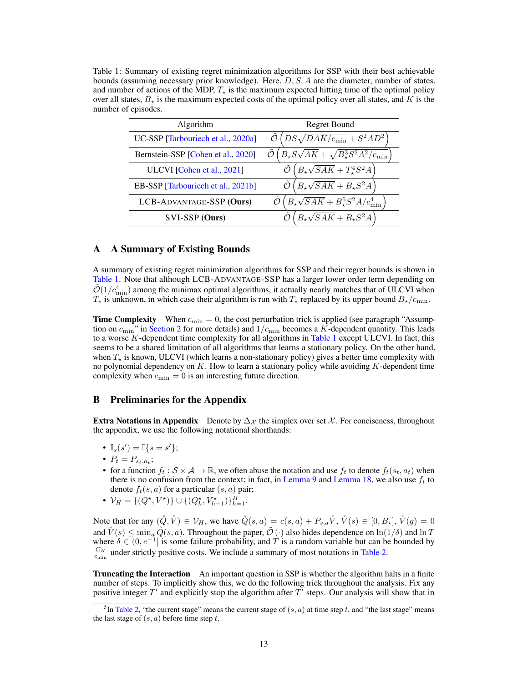<span id="page-12-1"></span>Table 1: Summary of existing regret minimization algorithms for SSP with their best achievable bounds (assuming necessary prior knowledge). Here,  $D$ ,  $S$ ,  $A$  are the diameter, number of states, and number of actions of the MDP,  $T_{\star}$  is the maximum expected hitting time of the optimal policy over all states,  $B_{\star}$  is the maximum expected costs of the optimal policy over all states, and K is the number of episodes.

| Algorithm                          | <b>Regret Bound</b>                                            |  |
|------------------------------------|----------------------------------------------------------------|--|
| UC-SSP [Tarbouriech et al., 2020a] | $DS\sqrt{DAK/c_{\rm min}} + S^2AD^2$                           |  |
| Bernstein-SSP [Cohen et al., 2020] | $B_{\star}S\sqrt{AK}+\sqrt{B_{\star}^3S^2A^2}/c_{\rm min}$     |  |
| ULCVI [Cohen et al., 2021]         | $B_{\star}\sqrt{SAK} + T_{\star}^{4}S^{2}A$                    |  |
| EB-SSP [Tarbouriech et al., 2021b] | $B_{\star}\sqrt{SAK} + B_{\star}S^2A$                          |  |
| LCB-ADVANTAGE-SSP (Ours)           | $B_{\star}\sqrt{SAK} + B_{\star}^{5}S^{2}A/c_{\text{min}}^{4}$ |  |
| SVI-SSP (Ours)                     | $B_{\star}\sqrt{SAK} + B_{\star}S^2A$                          |  |

# <span id="page-12-0"></span>A A Summary of Existing Bounds

A summary of existing regret minimization algorithms for SSP and their regret bounds is shown in [Table 1.](#page-12-1) Note that although LCB-ADVANTAGE-SSP has a larger lower order term depending on  $\tilde{\mathcal{O}}(1/c_{\text{min}}^4)$  among the minimax optimal algorithms, it actually nearly matches that of ULCVI when  $T_{\star}$  is unknown, in which case their algorithm is run with  $T_{\star}$  replaced by its upper bound  $B_{\star}/c_{\text{min}}$ .

**Time Complexity** When  $c_{\min} = 0$ , the cost perturbation trick is applied (see paragraph "Assumption on  $c_{\text{min}}$ " in [Section 2](#page-2-0) for more details) and  $1/c_{\text{min}}$  becomes a K-dependent quantity. This leads to a worse K-dependent time complexity for all algorithms in [Table 1](#page-12-1) except ULCVI. In fact, this seems to be a shared limitation of all algorithms that learns a stationary policy. On the other hand, when  $T_{\star}$  is known, ULCVI (which learns a non-stationary policy) gives a better time complexity with no polynomial dependency on  $K$ . How to learn a stationary policy while avoiding  $K$ -dependent time complexity when  $c_{\min} = 0$  is an interesting future direction.

# B Preliminaries for the Appendix

**Extra Notations in Appendix** Denote by  $\Delta_{\mathcal{X}}$  the simplex over set X. For conciseness, throughout the appendix, we use the following notational shorthands:

- $\mathbb{I}_s(s') = \mathbb{I}\{s = s'\};$
- $P_t = P_{s_t, a_t};$
- for a function  $f_t : \mathcal{S} \times \mathcal{A} \to \mathbb{R}$ , we often abuse the notation and use  $f_t$  to denote  $f_t(s_t, a_t)$  when there is no confusion from the context; in fact, in [Lemma 9](#page-19-0) and [Lemma 18,](#page-32-0) we also use  $f_t$  to denote  $f_t(s, a)$  for a particular  $(s, a)$  pair;
- $V_H = \{(Q^{\star}, V^{\star})\} \cup \{(Q_h^{\star}, V_{h-1}^{\star})\}_{h=1}^H$ .

Note that for any  $(\mathring{Q}, \mathring{V}) \in \mathcal{V}_H$ , we have  $\mathring{Q}(s, a) = c(s, a) + P_{s,a} \mathring{V}, \mathring{V}(s) \in [0, B_\star], \mathring{V}(g) = 0$ and  $\mathring{V}(s) \leq \min_{a} \mathring{Q}(s, a)$ . Throughout the paper,  $\tilde{\mathcal{O}}(\cdot)$  also hides dependence on  $\ln(1/\delta)$  and  $\ln T$ where  $\delta \in (0, e^{-1}]$  is some failure probability, and T is a random variable but can be bounded by  $\frac{C_K}{C_{\text{min}}}$  under strictly positive costs. We include a summary of most notations in [Table 2.](#page-13-1)

**Truncating the Interaction** An important question in SSP is whether the algorithm halts in a finite number of steps. To implicitly show this, we do the following trick throughout the analysis. Fix any positive integer  $T'$  and explicitly stop the algorithm after  $T'$  steps. Our analysis will show that in

<span id="page-12-2"></span><sup>&</sup>lt;sup>5</sup>In [Table 2,](#page-13-1) "the current stage" means the current stage of  $(s, a)$  at time step t, and "the last stage" means the last stage of  $(s, a)$  before time step t.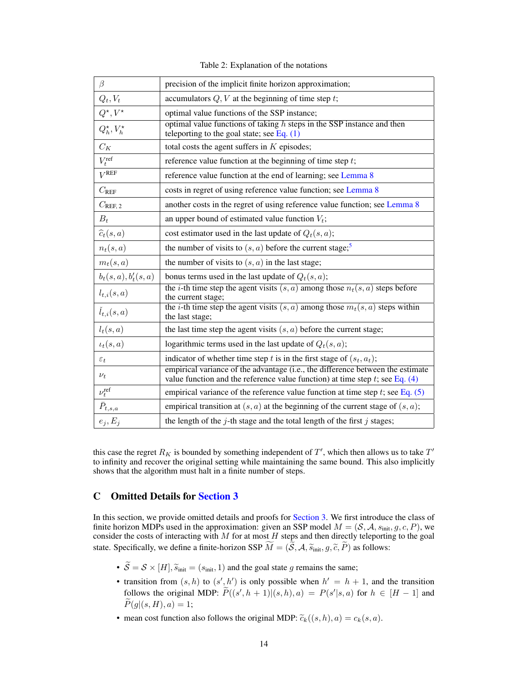Table 2: Explanation of the notations

<span id="page-13-1"></span>

| β                          | precision of the implicit finite horizon approximation;                                                                                                          |
|----------------------------|------------------------------------------------------------------------------------------------------------------------------------------------------------------|
| $Q_t, V_t$                 | accumulators $Q, V$ at the beginning of time step $t$ ;                                                                                                          |
| $Q^\star,V^\star$          | optimal value functions of the SSP instance;                                                                                                                     |
| $Q_h^{\star}, V_h^{\star}$ | optimal value functions of taking $h$ steps in the SSP instance and then<br>teleporting to the goal state; see Eq. $(1)$                                         |
| $C_K$                      | total costs the agent suffers in $K$ episodes;                                                                                                                   |
| $V_t^{\text{ref}}$         | reference value function at the beginning of time step $t$ ;                                                                                                     |
| $V^{\text{REF}}$           | reference value function at the end of learning; see Lemma 8                                                                                                     |
| $C_{\rm REF}$              | costs in regret of using reference value function; see Lemma 8                                                                                                   |
| $C_{\rm REF, 2}$           | another costs in the regret of using reference value function; see Lemma 8                                                                                       |
| $B_t$                      | an upper bound of estimated value function $V_t$ ;                                                                                                               |
| $\widehat{c}_t(s,a)$       | cost estimator used in the last update of $Q_t(s, a)$ ;                                                                                                          |
| $n_t(s,a)$                 | the number of visits to $(s, a)$ before the current stage; <sup>5</sup>                                                                                          |
| $m_t(s,a)$                 | the number of visits to $(s, a)$ in the last stage;                                                                                                              |
| $b_t(s,a), b'_t(s,a)$      | bonus terms used in the last update of $Q_t(s, a)$ ;                                                                                                             |
| $l_{t,i}(s,a)$             | the <i>i</i> -th time step the agent visits $(s, a)$ among those $n_t(s, a)$ steps before<br>the current stage;                                                  |
| $\check{l}_{t,i}(s,a)$     | the <i>i</i> -th time step the agent visits $(s, a)$ among those $m_t(s, a)$ steps within<br>the last stage;                                                     |
| $l_t(s,a)$                 | the last time step the agent visits $(s, a)$ before the current stage;                                                                                           |
| $\iota_t(s,a)$             | logarithmic terms used in the last update of $Q_t(s, a)$ ;                                                                                                       |
| $\varepsilon_t$            | indicator of whether time step t is in the first stage of $(s_t, a_t)$ ;                                                                                         |
| $\nu_t$                    | empirical variance of the advantage (i.e., the difference between the estimate<br>value function and the reference value function) at time step t; see Eq. $(4)$ |
| $\nu_t^{\text{ref}}$       | empirical variance of the reference value function at time step t; see Eq. $(5)$                                                                                 |
| $\bar{P}_{t,s,a}$          | empirical transition at $(s, a)$ at the beginning of the current stage of $(s, a)$ ;                                                                             |
| $e_j, E_j$                 | the length of the $j$ -th stage and the total length of the first $j$ stages;                                                                                    |

this case the regret  $R_K$  is bounded by something independent of  $T'$ , which then allows us to take  $T'$ to infinity and recover the original setting while maintaining the same bound. This also implicitly shows that the algorithm must halt in a finite number of steps.

# <span id="page-13-0"></span>C Omitted Details for [Section 3](#page-3-1)

In this section, we provide omitted details and proofs for [Section 3.](#page-3-1) We first introduce the class of finite horizon MDPs used in the approximation: given an SSP model  $M = (S, A, s_{init}, g, c, P)$ , we consider the costs of interacting with  $M$  for at most  $H$  steps and then directly teleporting to the goal state. Specifically, we define a finite-horizon SSP  $M = (\mathcal{S}, \mathcal{A}, \widetilde{s}_{\text{init}}, g, \widetilde{c}, P)$  as follows:

- $\widetilde{S} = S \times [H], \widetilde{s}_{init} = (s_{init}, 1)$  and the goal state g remains the same;
- transition from  $(s, h)$  to  $(s', h')$  is only possible when  $h' = h + 1$ , and the transition follows the original MDP:  $\widetilde{P}((s', h+1)|(s, h), a) = P(s'|s, a)$  for  $h \in [H-1]$  and  $P(g|(s, H), a) = 1;$
- mean cost function also follows the original MDP:  $\widetilde{c}_k((s, h), a) = c_k(s, a)$ .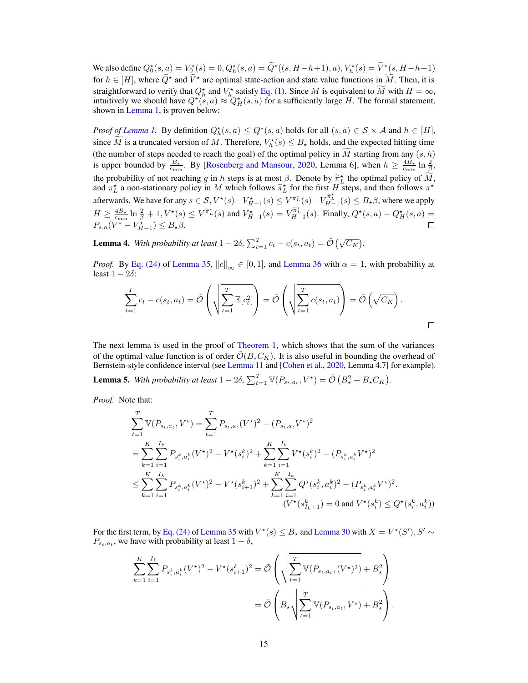We also define  $Q_0^*(s, a) = V_0^*(s) = 0, Q_h^*(s, a) = \tilde{Q}^*((s, H - h + 1), a), V_h^*(s) = \tilde{V}^*(s, H - h + 1)$ for  $h \in [H]$ , where  $\widetilde{Q}^*$  and  $\widetilde{V}^*$  are optimal state-action and state value functions in  $\widetilde{M}$ . Then, it is straightforward to verify that  $Q_h^*$  and  $V_h^*$  satisfy [Eq. \(1\).](#page-3-4) Since M is equivalent to  $\overline{M}$  with  $H = \infty$ , intuitively we should have  $Q^*(s, a) \approx Q_H^*(s, a)$  for a sufficiently large H. The formal statement, shown in [Lemma 1,](#page-4-4) is proven below:

*Proof of [Lemma 1.](#page-4-4)* By definition  $Q_h^*(s, a) \le Q^*(s, a)$  holds for all  $(s, a) \in S \times A$  and  $h \in [H]$ , since  $\tilde{M}$  is a truncated version of M. Therefore,  $V_h^*(s) \leq B_\star$  holds, and the expected hitting time (the number of steps needed to reach the goal) of the optimal policy in  $\tilde{M}$  starting from any  $(s, h)$ is upper bounded by  $\frac{B_*}{c_{\min}}$ . By [\[Rosenberg and Mansour,](#page-11-4) [2020,](#page-11-4) Lemma 6], when  $h \ge \frac{4B_*}{c_{\min}} \ln \frac{2}{\beta}$ , the probability of not reaching g in h steps is at most  $\beta$ . Denote by  $\tilde{\pi}_L^*$  the optimal policy of  $\tilde{M}$ , and  $\pi_L^*$  a non-stationary policy in M which follows  $\tilde{\pi}_L^*$  for the first H steps, and then follow afterwards. We have for any  $s \in \mathcal{S}, V^*(s) - V_{H-1}^*(s) \leq V^{\pi_L^*}(s) - V_{H-1}^{\pi_L^*}(s) \leq B_{\star}\beta$ , where we apply  $H \geq \frac{4B_{\star}}{c_{\min}}\ln\frac{2}{\beta} + 1, V^{\star}(s) \leq V^{\tilde{\pi}_{L}^{\star}}(s)$  and  $V_{H-1}^{\star}(s) = V_{H-1}^{\tilde{\pi}_{L}^{\star}}(s)$ . Finally,  $Q^{\star}(s, a) - Q_{H}^{\star}(s, a) =$  $P_{s,a}(V^* - V_{H-1}^*) \leq B_{\star}\beta.$ 

<span id="page-14-0"></span>**Lemma 4.** With probability at least  $1 - 2\delta$ ,  $\sum_{t=1}^{T} c_t - c(s_t, a_t) = \tilde{\mathcal{O}}(\sqrt{C_K})$ .

*Proof.* By [Eq. \(24\)](#page-42-1) of [Lemma 35,](#page-42-0)  $||c||_{\infty} \in [0, 1]$ , and [Lemma 36](#page-42-2) with  $\alpha = 1$ , with probability at least  $1 - 2\delta$ :

$$
\sum_{t=1}^{T} c_t - c(s_t, a_t) = \tilde{\mathcal{O}}\left(\sqrt{\sum_{t=1}^{T} \mathbb{E}[c_t^2]}\right) = \tilde{\mathcal{O}}\left(\sqrt{\sum_{t=1}^{T} c(s_t, a_t)}\right) = \tilde{\mathcal{O}}\left(\sqrt{C_K}\right).
$$

The next lemma is used in the proof of [Theorem 1,](#page-5-1) which shows that the sum of the variances of the optimal value function is of order  $\tilde{\mathcal{O}}(B_{\star}C_K)$ . It is also useful in bounding the overhead of Bernstein-style confidence interval (see [Lemma 11](#page-22-0) and [\[Cohen et al.,](#page-10-4) [2020,](#page-10-4) Lemma 4.7] for example).

<span id="page-14-1"></span>**Lemma 5.** With probability at least  $1 - 2\delta$ ,  $\sum_{t=1}^{T} \mathbb{V}(P_{s_t, a_t}, V^*) = \tilde{\mathcal{O}}\left(B_*^2 + B_* C_K\right)$ .

*Proof.* Note that:

$$
\sum_{t=1}^{T} \mathbb{V}(P_{s_t, a_t}, V^*) = \sum_{t=1}^{T} P_{s_t, a_t}(V^*)^2 - (P_{s_t, a_t}V^*)^2
$$
\n
$$
= \sum_{k=1}^{K} \sum_{i=1}^{I_k} P_{s_i^k, a_i^k}(V^*)^2 - V^*(s_i^k)^2 + \sum_{k=1}^{K} \sum_{i=1}^{I_k} V^*(s_i^k)^2 - (P_{s_i^k, a_i^k}V^*)^2
$$
\n
$$
\leq \sum_{k=1}^{K} \sum_{i=1}^{I_k} P_{s_i^k, a_i^k}(V^*)^2 - V^*(s_{i+1}^k)^2 + \sum_{k=1}^{K} \sum_{i=1}^{I_k} Q^*(s_i^k, a_i^k)^2 - (P_{s_i^k, a_i^k}V^*)^2.
$$
\n
$$
(V^*(s_{I_k+1}^k) = 0 \text{ and } V^*(s_i^k) \leq Q^*(s_i^k, a_i^k))
$$

For the first term, by [Eq. \(24\)](#page-42-1) of [Lemma 35](#page-42-0) with  $V^*(s) \leq B_\star$  and [Lemma 30](#page-41-0) with  $X = V^*(S'), S' \sim$  $P_{s_t, a_t}$ , we have with probability at least  $1 - \delta$ ,

$$
\sum_{k=1}^{K} \sum_{i=1}^{I_k} P_{s_i^k, a_i^k} (V^*)^2 - V^*(s_{i+1}^k)^2 = \tilde{\mathcal{O}}\left(\sqrt{\sum_{t=1}^{T} \mathbb{V}(P_{s_t, a_t}, (V^*)^2)} + B_{\star}^2\right)
$$
  
=  $\tilde{\mathcal{O}}\left(B_{\star}\sqrt{\sum_{t=1}^{T} \mathbb{V}(P_{s_t, a_t}, V^*)} + B_{\star}^2\right).$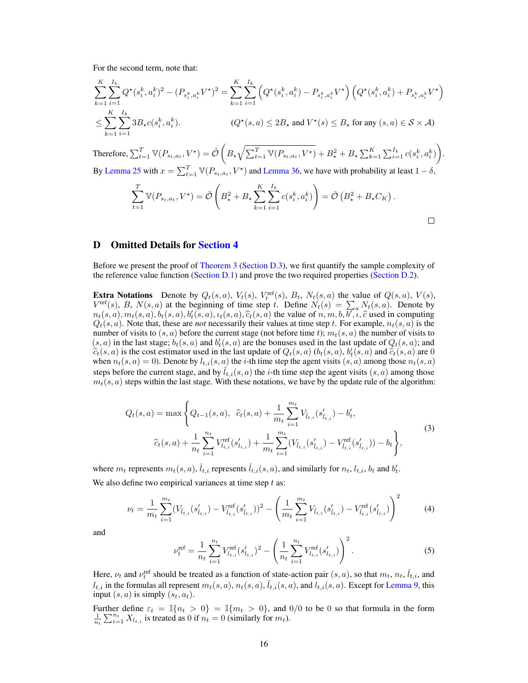For the second term, note that:

$$
\sum_{k=1}^{K} \sum_{i=1}^{I_k} Q^{\star}(s_i^k, a_i^k)^2 - (P_{s_i^k, a_i^k} V^{\star})^2 = \sum_{k=1}^{K} \sum_{i=1}^{I_k} \left( Q^{\star}(s_i^k, a_i^k) - P_{s_i^k, a_i^k} V^{\star} \right) \left( Q^{\star}(s_i^k, a_i^k) + P_{s_i^k, a_i^k} V^{\star} \right)
$$
\n
$$
\leq \sum_{k=1}^{K} \sum_{i=1}^{I_k} 3B_{\star}c(s_i^k, a_i^k).
$$
\n
$$
(Q^{\star}(s, a) \leq 2B_{\star} \text{ and } V^{\star}(s) \leq B_{\star} \text{ for any } (s, a) \in S \times \mathcal{A})
$$

Therefore,  $\sum_{t=1}^T \mathbb{V}(P_{s_t,a_t}, V^\star) = \tilde{\mathcal{O}}\left(B_\star\sqrt{\sum_{t=1}^T \mathbb{V}(P_{s_t,a_t}, V^\star)} + B_\star^2 + B_\star\sum_{k=1}^K\sum_{i=1}^{I_k} c(s_i^k, a_i^k)\right)$ By [Lemma 25](#page-41-1) with  $x = \sum_{t=1}^{T} \mathbb{V}(P_{s_t, a_t}, V^*)$  and [Lemma 36,](#page-42-2) we have with probability at least  $1 - \delta$ ,

$$
\sum_{t=1}^T \mathbb{V}(P_{s_t, a_t}, V^\star) = \tilde{\mathcal{O}}\left(B_\star^2 + B_\star \sum_{k=1}^K \sum_{i=1}^{I_k} c(s_i^k, a_i^k) \right) = \tilde{\mathcal{O}}\left(B_\star^2 + B_\star C_K\right).
$$

# <span id="page-15-0"></span>D Omitted Details for [Section 4](#page-5-0)

Before we present the proof of [Theorem 3](#page-7-1) [\(Section D.3\)](#page-21-0), we first quantify the sample complexity of the reference value function [\(Section D.1\)](#page-16-0) and prove the two required properties [\(Section D.2\)](#page-19-1).

**Extra Notations** Denote by  $Q_t(s, a)$ ,  $V_t(s)$ ,  $V_t^{\text{ref}}(s)$ ,  $B_t$ ,  $N_t(s, a)$  the value of  $Q(s, a)$ ,  $V(s)$ ,  $V^{\text{ref}}(s)$ , B,  $N(s, a)$  at the beginning of time step t. Define  $N_t(s) = \sum_a N_t(s, a)$ . Denote by  $n_t(s, a), m_t(s, a), b_t(s, a), b_t(s, a), t_t(s, a), \hat{c}_t(s, a)$  the value of  $n, m, b, \overline{b}, \overline{t}, \hat{c}$  used in computing  $O_s(s, a)$ . Note that these are *not* necessarily their values at time step  $t$ . For example  $p_s(s, a)$  is the  $Q_t(s, a)$ . Note that, these are *not* necessarily their values at time step t. For example,  $n_t(s, a)$  is the number of visits to  $(s, a)$  before the current stage (not before time t);  $m_t(s, a)$  the number of visits to  $(s, a)$  in the last stage;  $b_t(s, a)$  and  $b'_t(s, a)$  are the bonuses used in the last update of  $Q_t(s, a)$ ; and  $\hat{c}_t(s, a)$  is the cost estimator used in the last update of  $Q_t(s, a)$   $(b_t(s, a), b'_t(s, a)$  and  $\hat{c}_t(s, a)$  are 0<br>when  $p_t(s, a) = 0$ . Denote by  $l_t$  (s, a) the *i*-th time step the agent visits (s, a) among those  $p_t(s, a)$ when  $n_t(s, a) = 0$ ). Denote by  $l_{t,i}(s, a)$  the *i*-th time step the agent visits  $(s, a)$  among those  $n_t(s, a)$ steps before the current stage, and by  $\tilde{l}_{t,i}(s, a)$  the *i*-th time step the agent visits  $(s, a)$  among those  $m_t(s, a)$  steps within the last stage. With these notations, we have by the update rule of the algorithm:

<span id="page-15-3"></span>
$$
Q_t(s, a) = \max \left\{ Q_{t-1}(s, a), \ \hat{c}_t(s, a) + \frac{1}{m_t} \sum_{i=1}^{m_t} V_{\tilde{l}_{t,i}}(s'_{l_{t,i}}) - b'_t, \right\}
$$
  

$$
\hat{c}_t(s, a) + \frac{1}{n_t} \sum_{i=1}^{n_t} V_{l_{t,i}}^{\text{ref}}(s'_{l_{t,i}}) + \frac{1}{m_t} \sum_{i=1}^{m_t} (V_{\tilde{l}_{t,i}}(s'_{l_{t,i}}) - V_{\tilde{l}_{t,i}}^{\text{ref}}(s'_{l_{t,i}})) - b_t \right\},
$$

$$
(3)
$$

where  $m_t$  represents  $m_t(s, a)$ ,  $\tilde{t}_{t,i}$  represents  $\tilde{t}_{t,i}(s, a)$ , and similarly for  $n_t$ ,  $t_{t,i}$ ,  $b_t$  and  $b'_t$ . We also define two empirical variances at time step  $t$  as:

$$
\nu_t = \frac{1}{m_t} \sum_{i=1}^{m_t} (V_{\tilde{l}_{t,i}}(s'_{\tilde{l}_{t,i}}) - V_{\tilde{l}_{t,i}}^{\text{ref}}(s'_{\tilde{l}_{t,i}}))^2 - \left(\frac{1}{m_t} \sum_{i=1}^{m_t} V_{\tilde{l}_{t,i}}(s'_{\tilde{l}_{t,i}}) - V_{\tilde{l}_{t,i}}^{\text{ref}}(s'_{\tilde{l}_{t,i}})\right)^2 \tag{4}
$$

<span id="page-15-2"></span>and

<span id="page-15-1"></span>
$$
\nu_t^{\text{ref}} = \frac{1}{n_t} \sum_{i=1}^{n_t} V_{l_{t,i}}^{\text{ref}} (s'_{l_{t,i}})^2 - \left(\frac{1}{n_t} \sum_{i=1}^{n_t} V_{l_{t,i}}^{\text{ref}} (s'_{l_{t,i}})\right)^2.
$$
 (5)

Here,  $\nu_t$  and  $\nu_t^{\text{ref}}$  should be treated as a function of state-action pair  $(s, a)$ , so that  $m_t$ ,  $n_t$ ,  $\tilde{l}_{t,i}$ , and  $l_{t,i}$  in the formulas all represent  $m_t(s, a)$ ,  $n_t(s, a)$ ,  $\tilde{l}_{t,i}(s, a)$ , and  $l_{t,i}(s, a)$ . Except for [Lemma 9,](#page-19-0) this input  $(s, a)$  is simply  $(s_t, a_t)$ .

Further define  $\varepsilon_t = \mathbb{I}\{n_t > 0\} = \mathbb{I}\{m_t > 0\}$ , and  $0/0$  to be 0 so that formula in the form  $\frac{1}{n_t} \sum_{i=1}^{n_t} X_{l_{t,i}}$  is treated as 0 if  $n_t = 0$  (similarly for  $m_t$ ).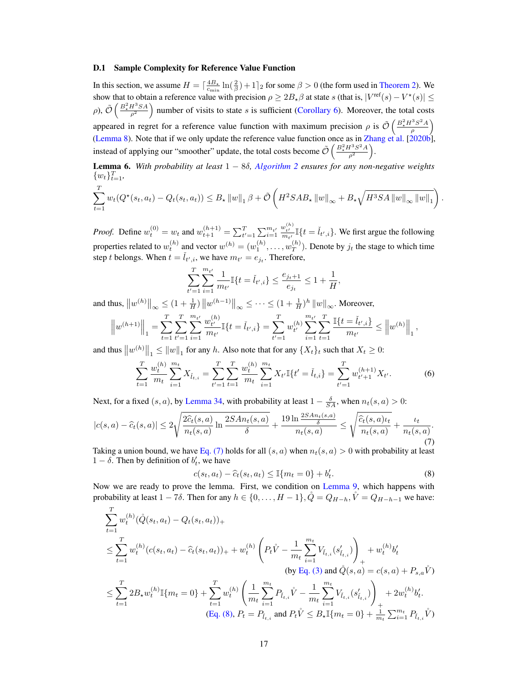#### <span id="page-16-0"></span>D.1 Sample Complexity for Reference Value Function

In this section, we assume  $H = \left[\frac{4B_*}{c_{\min}}\ln(\frac{2}{\beta}) + 1\right]_2$  for some  $\beta > 0$  (the form used in [Theorem 2\)](#page-7-0). We show that to obtain a reference value with precision  $\rho \geq 2B_{\star}\beta$  at state s (that is,  $|V^{\text{ref}}(s) - V^{\star}(s)| \leq$ ρ),  $\tilde{\mathcal{O}}\left(\frac{B_*^2 H^3 SA}{\rho^2}\right)$  number of visits to state s is sufficient [\(Corollary 6\)](#page-18-1). Moreover, the total costs appeared in regret for a reference value function with maximum precision  $\rho$  is  $\tilde{\mathcal{O}}\left(\frac{B_*^2 H^3 S^2 A}{\rho}\right)$  $\left(\frac{3S^2A}{\rho}\right)$ [\(Lemma 8\)](#page-18-0). Note that if we only update the reference value function once as in [Zhang et al.](#page-11-2) [\[2020b\]](#page-11-2), instead of applying our "smoother" update, the total costs become  $\tilde{\mathcal{O}}\left(\frac{B_{\star}^2 H^3 S^2 A}{\sigma^2}\right)$  $\frac{H^3S^2A}{\rho^2}\bigg).$ 

<span id="page-16-4"></span>Lemma 6. *With probability at least* 1 − 8δ*, [Algorithm 2](#page-6-0) ensures for any non-negative weights*  $\{w_t\}_{t=1}^T$ 

$$
\sum_{t=1}^{T} w_t(Q^*(s_t, a_t) - Q_t(s_t, a_t)) \leq B_{\star} ||w||_1 \beta + \tilde{\mathcal{O}}\left(H^2 S A B_{\star} ||w||_{\infty} + B_{\star} \sqrt{H^3 S A ||w||_{\infty} ||w||_1}\right)
$$

<span id="page-16-3"></span><span id="page-16-1"></span>.

*Proof.* Define  $w_t^{(0)} = w_t$  and  $w_{t+1}^{(h+1)} = \sum_{t'=1}^T \sum_{i=1}^{m_{t'}}$  $\frac{w_{t'}^{(h)}}{m_{t'}} \mathbb{I}\{t = \check{l}_{t',i}\}.$  We first argue the following properties related to  $w_t^{(h)}$  and vector  $w^{(h)} = (w_1^{(h)}, \dots, w_T^{(h)})$  $\binom{n}{T}$ . Denote by  $j_t$  the stage to which time step t belongs. When  $t = \tilde{l}_{t',i}$ , we have  $m_{t'} = e_{jt}$ . Therefore,

$$
\sum_{t'=1}^T \sum_{i=1}^{m_{t'}} \frac{1}{m_{t'}} \mathbb{I}\{t = \check{l}_{t',i}\} \le \frac{e_{j_t+1}}{e_{j_t}} \le 1 + \frac{1}{H},
$$

and thus,  $||w^{(h)}||_{\infty} \leq (1 + \frac{1}{H}) ||w^{(h-1)}||_{\infty} \leq \cdots \leq (1 + \frac{1}{H})^h ||w||_{\infty}$ . Moreover,

$$
\left\|w^{(h+1)}\right\|_1 = \sum_{t=1}^T \sum_{t'=1}^T \sum_{i=1}^{m_{t'}} \frac{w_{t'}^{(h)}}{m_{t'}} \mathbb{I}\{t = \check{l}_{t',i}\} = \sum_{t'=1}^T w_{t'}^{(h)} \sum_{i=1}^{m_{t'}} \sum_{t=1}^T \frac{\mathbb{I}\{t = \check{l}_{t',i}\}}{m_{t'}} \leq \left\|w^{(h)}\right\|_1,
$$

and thus  $||w^{(h)}||_1 \le ||w||_1$  for any h. Also note that for any  $\{X_t\}_t$  such that  $X_t \ge 0$ :

$$
\sum_{t=1}^{T} \frac{w_t^{(h)}}{m_t} \sum_{i=1}^{m_t} X_{\check{l}_{t,i}} = \sum_{t'=1}^{T} \sum_{t=1}^{T} \frac{w_t^{(h)}}{m_t} \sum_{i=1}^{m_t} X_{t'} \mathbb{I}\{t' = \check{l}_{t,i}\} = \sum_{t'=1}^{T} w_{t'+1}^{(h+1)} X_{t'}.
$$
 (6)

Next, for a fixed  $(s, a)$ , by [Lemma 34,](#page-42-3) with probability at least  $1 - \frac{\delta}{SA}$ , when  $n_t(s, a) > 0$ :

$$
|c(s,a)-\widehat{c}_t(s,a)| \leq 2\sqrt{\frac{2\widehat{c}_t(s,a)}{n_t(s,a)}\ln\frac{2SAn_t(s,a)}{\delta}} + \frac{19\ln\frac{2SAn_t(s,a)}{\delta}}{n_t(s,a)} \leq \sqrt{\frac{\widehat{c}_t(s,a)\iota_t}{n_t(s,a)}} + \frac{\iota_t}{n_t(s,a)}.
$$
\n(7)

Taking a union bound, we have [Eq. \(7\)](#page-16-1) holds for all  $(s, a)$  when  $n_t(s, a) > 0$  with probability at least  $1 - \delta$ . Then by definition of  $b'_t$ , we have

<span id="page-16-2"></span>
$$
c(s_t, a_t) - \hat{c}_t(s_t, a_t) \le \mathbb{I}\{m_t = 0\} + b'_t.
$$
 (8)

Now we are ready to prove the lemma. First, we condition on [Lemma 9,](#page-19-0) which happens with probability at least  $1 - 7\delta$ . Then for any  $h \in \{0, \ldots, H-1\}$ ,  $\mathcal{Q} = Q_{H-h}$ ,  $\mathcal{V} = Q_{H-h-1}$  we have:

$$
\sum_{t=1}^{T} w_{t}^{(h)}(\mathring{Q}(s_{t}, a_{t}) - Q_{t}(s_{t}, a_{t}))_{+}
$$
\n
$$
\leq \sum_{t=1}^{T} w_{t}^{(h)}(c(s_{t}, a_{t}) - \hat{c}_{t}(s_{t}, a_{t}))_{+} + w_{t}^{(h)} \left( P_{t}\mathring{V} - \frac{1}{m_{t}} \sum_{i=1}^{m_{t}} V_{\tilde{l}_{t,i}}(s_{\tilde{l}_{t,i}}') \right)_{+} + w_{t}^{(h)} b_{t}'
$$
\n
$$
\leq \sum_{t=1}^{T} 2B_{\star} w_{t}^{(h)} \mathbb{I}\{m_{t} = 0\} + \sum_{t=1}^{T} w_{t}^{(h)} \left( \frac{1}{m_{t}} \sum_{i=1}^{m_{t}} P_{\tilde{l}_{t,i}} \mathring{V} - \frac{1}{m_{t}} \sum_{i=1}^{m_{t}} V_{\tilde{l}_{t,i}}(s_{\tilde{l}_{t,i}}') \right)_{+} + 2w_{t}^{(h)} b_{t}'.
$$
\n
$$
(Eq. (8), P_{t} = P_{\tilde{l}_{t,i}} \text{ and } P_{t}\mathring{V} \leq B_{\star} \mathbb{I}\{m_{t} = 0\} + \frac{1}{m_{t}} \sum_{i=1}^{m_{t}} P_{\tilde{l}_{t,i}} \mathring{V})
$$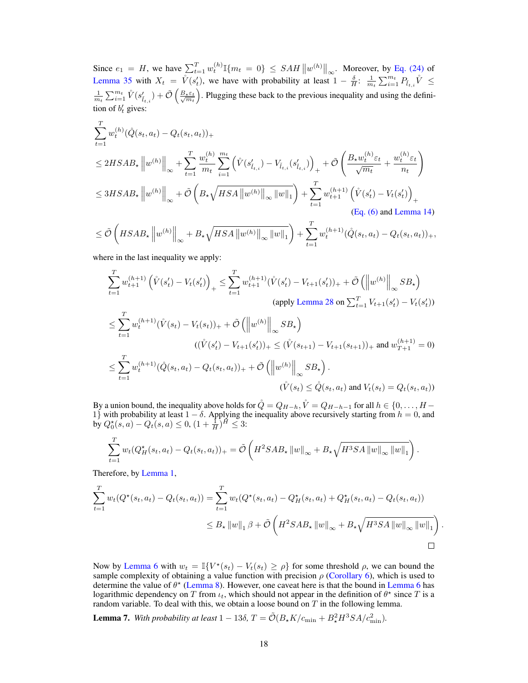Since  $e_1 = H$ , we have  $\sum_{t=1}^{T} w_t^{(h)} \mathbb{I} \{m_t = 0\} \leq \mathcal{SAH} \|w^{(h)}\|_{\infty}$ . Moreover, by [Eq. \(24\)](#page-42-1) of [Lemma 35](#page-42-0) with  $X_t = \dot{V}(s_t)$ , we have with probability at least  $1 - \frac{\delta}{H}$ :  $\frac{1}{m_t} \sum_{i=1}^{m_t} P_{\tilde{t}_{t,i}} \dot{V} \leq$  $\frac{1}{m_t} \sum_{i=1}^{m_t} \hat{V}(s_{\hat{l}_{t,i}}') + \tilde{\mathcal{O}}\left(\frac{B_{\star} \varepsilon_t}{\sqrt{m_t}}\right)$ . Plugging these back to the previous inequality and using the definition of  $b'_t$  gives:

$$
\sum_{t=1}^{T} w_{t}^{(h)}(\mathring{Q}(s_{t}, a_{t}) - Q_{t}(s_{t}, a_{t}))_{+}
$$
\n
$$
\leq 2HSAB_{\star} \|w^{(h)}\|_{\infty} + \sum_{t=1}^{T} \frac{w_{t}^{(h)}}{m_{t}} \sum_{i=1}^{m_{t}} \left( \mathring{V}(s'_{\tilde{l}_{t,i}}) - V_{\tilde{l}_{t,i}}(s'_{\tilde{l}_{t,i}}) \right)_{+} + \tilde{\mathcal{O}} \left( \frac{B_{\star} w_{t}^{(h)} \varepsilon_{t}}{\sqrt{m_{t}}} + \frac{w_{t}^{(h)} \varepsilon_{t}}{n_{t}} \right)
$$
\n
$$
\leq 3HSAB_{\star} \|w^{(h)}\|_{\infty} + \tilde{\mathcal{O}} \left( B_{\star} \sqrt{HSA \|w^{(h)}\|_{\infty} \|w\|_{1}} \right) + \sum_{t=1}^{T} w_{t+1}^{(h+1)} \left( \mathring{V}(s'_{t}) - V_{t}(s'_{t}) \right)_{+}
$$
\n(Eq. (6) and Lemma 14)

$$
\leq \tilde{\mathcal{O}}\left(HSAB_{\star}\left\|w^{(h)}\right\|_{\infty}+B_{\star}\sqrt{HSA\left\|w^{(h)}\right\|_{\infty}\left\|w\right\|_{1}}\right)+\sum_{t=1}^{I}w_{t}^{(h+1)}(\mathring{Q}(s_{t}, a_{t})-Q_{t}(s_{t}, a_{t}))+
$$

where in the last inequality we apply:

$$
\sum_{t=1}^{T} w_{t+1}^{(h+1)} \left( \mathring{V}(s_t') - V_t(s_t') \right)_+ \le \sum_{t=1}^{T} w_{t+1}^{(h+1)} (\mathring{V}(s_t') - V_{t+1}(s_t'))_+ + \tilde{\mathcal{O}} \left( \left\| w^{(h)} \right\|_{\infty} S B_{\star} \right)
$$
\n
$$
\text{(apply Lemma 28 on } \sum_{t=1}^{T} V_{t+1}(s_t') - V_t(s_t'))
$$

$$
\leq \sum_{t=1}^{T} w_t^{(h+1)} (\mathring{V}(s_t) - V_t(s_t))_+ + \tilde{\mathcal{O}} \left( \left\| w^{(h)} \right\|_{\infty} SB_\star \right)
$$
  

$$
((\mathring{V}(s_t') - V_{t+1}(s_t'))_+ \leq (\mathring{V}(s_{t+1}) - V_{t+1}(s_{t+1}))_+ \text{ and } w_{T+1}^{(h+1)} = 0)
$$
  

$$
\leq \sum_{t=1}^{T} w_t^{(h+1)} (\mathring{Q}(s_t, a_t) - Q_t(s_t, a_t))_+ + \tilde{\mathcal{O}} \left( \left\| w^{(h)} \right\|_{\infty} SB_\star \right).
$$
  

$$
(\mathring{V}(s_t) \leq \mathring{Q}(s_t, a_t) \text{ and } V_t(s_t) = Q_t(s_t, a_t))
$$

By a union bound, the inequality above holds for  $\mathring{Q}=Q_{H-h}, \mathring{V}=Q_{H-h-1}$  for all  $h\in\{0,\ldots,H-1\}$ 1} with probability at least  $1 - \delta$ . Applying the inequality above recursively starting from  $h = 0$ , and by  $Q_0^*(s, a) - Q_t(s, a) \le 0$ ,  $(1 + \frac{1}{H})^H \le 3$ :

$$
\sum_{t=1}^T w_t (Q_H^{\star}(s_t, a_t) - Q_t(s_t, a_t))_+ = \tilde{\mathcal{O}}\left( H^2 S A B_{\star} ||w||_{\infty} + B_{\star} \sqrt{H^3 S A ||w||_{\infty} ||w||_1} \right).
$$

Therefore, by [Lemma 1,](#page-4-4)

$$
\sum_{t=1}^{T} w_t(Q^*(s_t, a_t) - Q_t(s_t, a_t)) = \sum_{t=1}^{T} w_t(Q^*(s_t, a_t) - Q_H^*(s_t, a_t) + Q_H^*(s_t, a_t) - Q_t(s_t, a_t))
$$
\n
$$
\leq B_{\star} ||w||_1 \beta + \tilde{\mathcal{O}}\left(H^2 S A B_{\star} ||w||_{\infty} + B_{\star} \sqrt{H^3 S A ||w||_{\infty} ||w||_1}\right).
$$

Now by [Lemma 6](#page-16-4) with  $w_t = \mathbb{I}\{V^*(s_t) - V_t(s_t) \ge \rho\}$  for some threshold  $\rho$ , we can bound the sample complexity of obtaining a value function with precision  $\rho$  [\(Corollary 6\)](#page-18-1), which is used to determine the value of  $\theta^*$  [\(Lemma 8\)](#page-18-0). However, one caveat here is that the bound in [Lemma 6](#page-16-4) has logarithmic dependency on T from  $\iota_t$ , which should not appear in the definition of  $\theta^*$  since T is a random variable. To deal with this, we obtain a loose bound on  $T$  in the following lemma.

<span id="page-17-0"></span>**Lemma 7.** With probability at least  $1 - 13\delta$ ,  $T = \tilde{\mathcal{O}}(B_{\star}K/c_{\text{min}} + B_{\star}^2H^3SA/c_{\text{min}}^2)$ .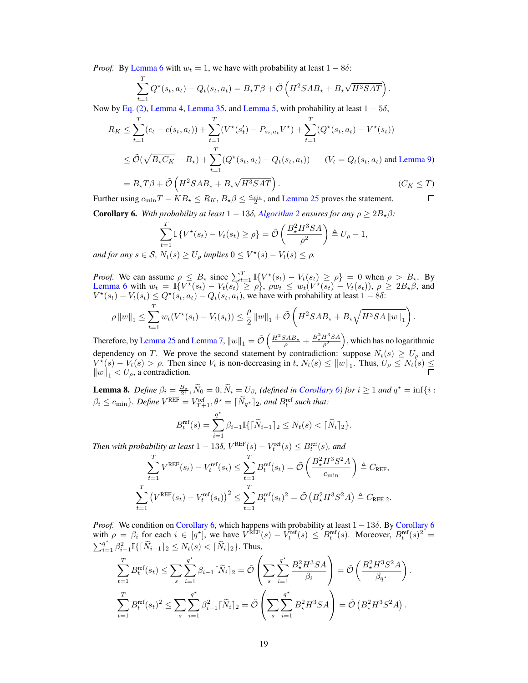*Proof.* By [Lemma 6](#page-16-4) with  $w_t = 1$ , we have with probability at least  $1 - 8\delta$ :

$$
\sum_{t=1}^{T} Q^{\star}(s_t, a_t) - Q_t(s_t, a_t) = B_{\star}T\beta + \tilde{\mathcal{O}}\left(H^2SAB_{\star} + B_{\star}\sqrt{H^3SAT}\right)
$$

.

Now by [Eq. \(2\),](#page-5-2) [Lemma 4,](#page-14-0) [Lemma 35,](#page-42-0) and [Lemma 5,](#page-14-1) with probability at least  $1 - 5\delta$ ,

$$
R_K \leq \sum_{t=1}^T (c_t - c(s_t, a_t)) + \sum_{t=1}^T (V^*(s_t') - P_{s_t, a_t} V^*) + \sum_{t=1}^T (Q^*(s_t, a_t) - V^*(s_t))
$$
  
 
$$
\leq \tilde{\mathcal{O}}(\sqrt{B_\star C_K} + B_\star) + \sum_{t=1}^T (Q^*(s_t, a_t) - Q_t(s_t, a_t)) \qquad (V_t = Q_t(s_t, a_t) \text{ and Lemma 9})
$$

$$
= B_{\star}T\beta + \tilde{\mathcal{O}}\left(H^{2}SAB_{\star} + B_{\star}\sqrt{H^{3}SAT}\right). \qquad (C_{K} \leq T)
$$
  
using  $c_{\min}T - KB_{\star} \leq R_{K}, B_{\star}\beta \leq \frac{c_{\min}}{2}$ , and Lemma 25 proves the statement.

Further using  $c_{\min}T - KB_{\star} \le R_K$ ,  $B_{\star}\beta \le \frac{c_{\min}}{2}$ , and [Lemma 25](#page-41-1) proves the statement.

<span id="page-18-1"></span>**Corollary 6.** With probability at least  $1 - 13\delta$ , *[Algorithm 2](#page-6-0) ensures for any*  $\rho \geq 2B_{\star}\beta$ *:* 

$$
\sum_{t=1}^{T} \mathbb{I} \left\{ V^{\star}(s_t) - V_t(s_t) \ge \rho \right\} = \tilde{\mathcal{O}} \left( \frac{B_{\star}^2 H^3 S A}{\rho^2} \right) \triangleq U_{\rho} - 1,
$$
  
  $N_{\star}(s) > U_{\star}$  implies  $0 \le V^{\star}(s) - V_s(s) \le \rho$ .

*and for any*  $s \in S$ ,  $N_t(s) \geq U_\rho$  *implies*  $0 \leq V^*(s) - V_t(s) \leq \rho$ .

*Proof.* We can assume  $\rho \leq B_{\star}$  since  $\sum_{t=1}^{T} \mathbb{I} \{ V^*(s_t) - V_t(s_t) \geq \rho \} = 0$  when  $\rho > B_{\star}$ . By [Lemma 6](#page-16-4) with  $w_t = \mathbb{I}\lbrace V^{\dagger}(s_t) - V_t(s_t) \geq \rho \rbrace$ ,  $\rho w_t \leq w_t(V^{\dagger}(s_t) - V_t(s_t)), \rho \geq 2B_{\dagger}\beta$ , and  $V^*(s_t) - V_t(s_t) \le Q^*(s_t, a_t) - Q_t(s_t, a_t)$ , we have with probability at least  $1 - 8\delta$ : T

$$
\rho \|w\|_1 \leq \sum_{t=1}^I w_t (V^*(s_t) - V_t(s_t)) \leq \frac{\rho}{2} \|w\|_1 + \tilde{\mathcal{O}}\left(H^2 S A B_{\star} + B_{\star} \sqrt{H^3 S A \|w\|_1}\right).
$$

Therefore, by [Lemma 25](#page-41-1) and [Lemma 7,](#page-17-0)  $\|w\|_1 = \tilde{\mathcal{O}}\left(\frac{H^2SAB_\star}{\rho} + \frac{B_\star^2H^3SA}{\rho^2}\right)$ , which has no logarithmic dependency on T. We prove the second statement by contradiction: suppose  $N_t(s) \geq U_\rho$  and  $V^*(s) - V_t(s) > \rho$ . Then since  $V_t$  is non-decreasing in t,  $N_t(s) \le ||w||_1$ . Thus,  $U_\rho \le N_t(s) \le$  $\|w\|_1 < U_\rho$ , a contradiction.

<span id="page-18-0"></span>**Lemma 8.** *Define*  $\beta_i = \frac{B_*}{2^i}$ ,  $\widetilde{N}_0 = 0$ ,  $\widetilde{N}_i = U_{\beta_i}$  (defined in *[Corollary 6\)](#page-18-1)* for  $i \ge 1$  and  $q^* = \inf\{i :$  $\beta_i \leq c_{\min}$ *}. Define*  $V^{\text{REF}} = V^{\text{ref}}_{T+1}, \theta^* = \lceil \tilde{N}_{q^*} \rceil_2$ *, and*  $B_t^{\text{ref}}$  *such that:* 

$$
B_t^{\text{ref}}(s) = \sum_{i=1}^{q^*} \beta_{i-1} \mathbb{I}\{ [\tilde{N}_{i-1}]_2 \le N_t(s) < [\tilde{N}_i]_2 \}.
$$

*Then with probability at least*  $1 - 13\delta$ ,  $V^{\text{REF}}(s) - V^{\text{ref}}_t(s) \leq B^{\text{ref}}_t(s)$ , and

$$
\sum_{t=1}^{T} V^{\text{REF}}(s_t) - V^{\text{ref}}_t(s_t) \le \sum_{t=1}^{T} B^{\text{ref}}_t(s_t) = \tilde{\mathcal{O}}\left(\frac{B_{\star}^2 H^3 S^2 A}{c_{\min}}\right) \triangleq C_{\text{REF}},
$$
  

$$
\sum_{t=1}^{T} \left(V^{\text{REF}}(s_t) - V^{\text{ref}}_t(s_t)\right)^2 \le \sum_{t=1}^{T} B^{\text{ref}}_t(s_t)^2 = \tilde{\mathcal{O}}\left(B_{\star}^2 H^3 S^2 A\right) \triangleq C_{\text{REF},2}.
$$

*Proof.* We condition on [Corollary 6,](#page-18-1) which happens with probability at least  $1 - 13\delta$ . By [Corollary 6](#page-18-1) with  $\rho = \beta_i$  for each  $i \in [q^*]$ , we have  $V^{\text{REF}}(s) - V_t^{\text{ref}}(s) \leq B_t^{\text{ref}}(s)$ . Moreover,  $B_t^{\text{ref}}(s)^2 =$  $\sum_{i=1}^{q^*} \beta_{i-1}^2 \mathbb{I}\{ \lceil \widetilde{N}_{i-1} \rceil_2 \le N_t(s) < \lceil \widetilde{N}_{i} \rceil_2 \}.$  Thus,

$$
\sum_{t=1}^{T} B_t^{\text{ref}}(s_t) \le \sum_{s} \sum_{i=1}^{q^*} \beta_{i-1} [\tilde{N}_i]_2 = \tilde{\mathcal{O}} \left( \sum_{s} \sum_{i=1}^{q^*} \frac{B_{\star}^2 H^3 SA}{\beta_i} \right) = \tilde{\mathcal{O}} \left( \frac{B_{\star}^2 H^3 S^2 A}{\beta_{q^*}} \right).
$$
  

$$
\sum_{t=1}^{T} B_t^{\text{ref}}(s_t)^2 \le \sum_{s} \sum_{i=1}^{q^*} \beta_{i-1}^2 [\tilde{N}_i]_2 = \tilde{\mathcal{O}} \left( \sum_{s} \sum_{i=1}^{q^*} B_{\star}^2 H^3 SA \right) = \tilde{\mathcal{O}} \left( B_{\star}^2 H^3 S^2 A \right).
$$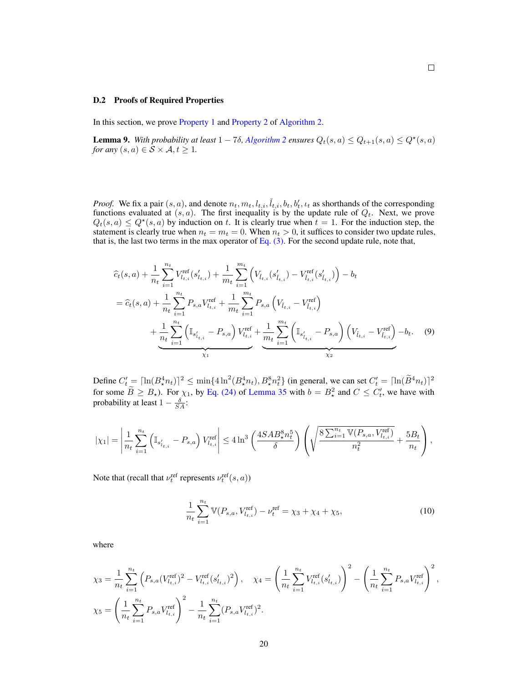#### <span id="page-19-1"></span>D.2 Proofs of Required Properties

In this section, we prove [Property 1](#page-4-0) and [Property 2](#page-4-1) of [Algorithm 2.](#page-6-0)

<span id="page-19-0"></span>**Lemma 9.** With probability at least  $1 - 7\delta$ , [Algorithm 2](#page-6-0) ensures  $Q_t(s, a) \leq Q_{t+1}(s, a) \leq Q^*(s, a)$ *for any*  $(s, a) \in \mathcal{S} \times \mathcal{A}, t \geq 1$ .

<span id="page-19-2"></span> $\Box$ 

*Proof.* We fix a pair  $(s, a)$ , and denote  $n_t, m_t, l_{t,i}, \tilde{l}_{t,i}, b_t, b'_t, l_t$  as shorthands of the corresponding functions evaluated at  $(s, a)$ . The first inequality is by the update rule of  $Q_t$ . Next, we prove  $Q_t(s, a) \leq Q^*(s, a)$  by induction on t. It is clearly true when  $t = 1$ . For the induction step, the statement is clearly true when  $n_t = m_t = 0$ . When  $n_t > 0$ , it suffices to consider two update rules, that is, the last two terms in the max operator of [Eq. \(3\).](#page-15-3) For the second update rule, note that,

$$
\hat{c}_{t}(s,a) + \frac{1}{n_{t}} \sum_{i=1}^{n_{t}} V_{l_{t,i}}^{\text{ref}}(s'_{l_{t,i}}) + \frac{1}{m_{t}} \sum_{i=1}^{m_{t}} \left( V_{l_{t,i}}(s'_{l_{t,i}}) - V_{l_{t,i}}^{\text{ref}}(s'_{l_{t,i}}) \right) - b_{t}
$$
\n
$$
= \hat{c}_{t}(s,a) + \frac{1}{n_{t}} \sum_{i=1}^{n_{t}} P_{s,a} V_{l_{t,i}}^{\text{ref}} + \frac{1}{m_{t}} \sum_{i=1}^{m_{t}} P_{s,a} \left( V_{l_{t,i}} - V_{l_{t,i}}^{\text{ref}} \right)
$$
\n
$$
+ \underbrace{\frac{1}{n_{t}} \sum_{i=1}^{n_{t}} \left( \mathbb{I}_{s'_{t,i}} - P_{s,a} \right) V_{l_{t,i}}^{\text{ref}} + \underbrace{\frac{1}{m_{t}} \sum_{i=1}^{m_{t}} \left( \mathbb{I}_{s'_{t,i}} - P_{s,a} \right) \left( V_{l_{t,i}} - V_{l_{t,i}}^{\text{ref}} \right) - b_{t}}_{\chi_{2}}.
$$
\n(9)

Define  $C_t' = \left[ \ln(B_\star^4 n_t) \right]^2 \le \min\{4 \ln^2(B_\star^4 n_t), B_\star^8 n_t^2\}$  (in general, we can set  $C_t' = \left[ \ln(\widetilde{B}^4 n_t) \right]^2$ for some  $\widetilde{B} \geq B_{\star}$ ). For  $\chi_1$ , by [Eq. \(24\)](#page-42-1) of [Lemma 35](#page-42-0) with  $b = B_{\star}^2$  and  $C \leq C_t^{\prime}$ , we have with probability at least  $1 - \frac{\delta}{SA}$ :

$$
|\chi_1| = \left|\frac{1}{n_t}\sum_{i=1}^{n_t} \left(\mathbb{I}_{s'_{l_{t,i}}} - P_{s,a}\right)V_{l_{t,i}}^{\text{ref}}\right| \le 4\ln^3\left(\frac{4SAB_\star^8 n_t^5}{\delta}\right)\left(\sqrt{\frac{8\sum_{i=1}^{n_t} \mathbb{V}(P_{s,a},V_{l_{t,i}}^{\text{ref}})}{n_t^2}} + \frac{5B_t}{n_t}\right),
$$

Note that (recall that  $\nu_t^{\text{ref}}$  represents  $\nu_t^{\text{ref}}(s, a)$ )

<span id="page-19-3"></span>
$$
\frac{1}{n_t} \sum_{i=1}^{n_t} \mathbb{V}(P_{s,a}, V_{l_{t,i}}^{\text{ref}}) - \nu_t^{\text{ref}} = \chi_3 + \chi_4 + \chi_5,\tag{10}
$$

where

$$
\chi_3 = \frac{1}{n_t} \sum_{i=1}^{n_t} \left( P_{s,a} (V_{l_{t,i}}^{\text{ref}})^2 - V_{l_{t,i}}^{\text{ref}} (s'_{l_{t,i}})^2 \right), \quad \chi_4 = \left( \frac{1}{n_t} \sum_{i=1}^{n_t} V_{l_{t,i}}^{\text{ref}} (s'_{l_{t,i}}) \right)^2 - \left( \frac{1}{n_t} \sum_{i=1}^{n_t} P_{s,a} V_{l_{t,i}}^{\text{ref}} \right)^2,
$$
  

$$
\chi_5 = \left( \frac{1}{n_t} \sum_{i=1}^{n_t} P_{s,a} V_{l_{t,i}}^{\text{ref}} \right)^2 - \frac{1}{n_t} \sum_{i=1}^{n_t} (P_{s,a} V_{l_{t,i}}^{\text{ref}})^2.
$$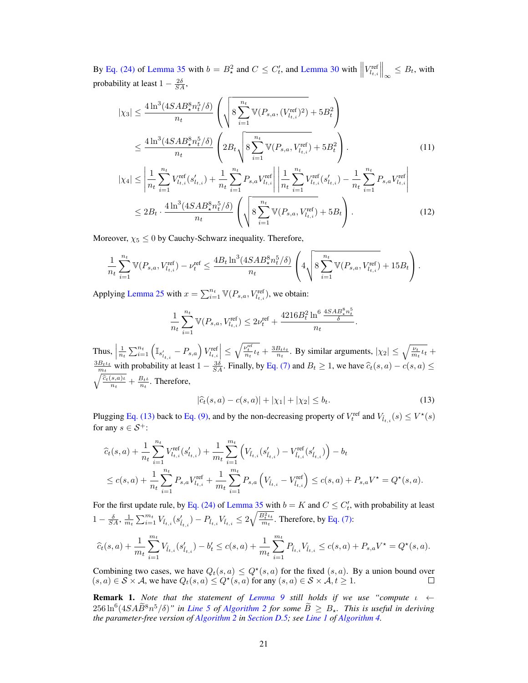By [Eq. \(24\)](#page-42-1) of [Lemma 35](#page-42-0) with  $b = B^2_*$  and  $C \leq C'_t$ , and [Lemma 30](#page-41-0) with  $||V^{\text{ref}}_{l_{t,i}}||_{\infty} \leq B_t$ , with probability at least  $1 - \frac{2\delta}{SA}$ ,

$$
|\chi_{3}| \leq \frac{4 \ln^{3} (4SAB_{\star}^{8} n_{t}^{5}/\delta)}{n_{t}} \left( \sqrt{8 \sum_{i=1}^{n_{t}} \mathbb{V}(P_{s,a}, (V_{l_{t,i}}^{\text{ref}})^{2})} + 5B_{t}^{2} \right)
$$
  

$$
\leq \frac{4 \ln^{3} (4SAB_{\star}^{8} n_{t}^{5}/\delta)}{n_{t}} \left( 2B_{t} \sqrt{8 \sum_{i=1}^{n_{t}} \mathbb{V}(P_{s,a}, V_{l_{t,i}}^{\text{ref}}) + 5B_{t}^{2}} \right).
$$
 (11)  

$$
|\chi_{4}| \leq \left| \frac{1}{n_{t}} \sum_{i=1}^{n_{t}} V_{l_{t,i}}^{\text{ref}}(s'_{l_{t,i}}) + \frac{1}{n_{t}} \sum_{i=1}^{n_{t}} P_{s,a} V_{l_{t,i}}^{\text{ref}} \right| \left| \frac{1}{n_{t}} \sum_{i=1}^{n_{t}} V_{l_{t,i}}^{\text{ref}}(s'_{l_{t,i}}) - \frac{1}{n_{t}} \sum_{i=1}^{n_{t}} P_{s,a} V_{l_{t,i}}^{\text{ref}} \right|
$$

<span id="page-20-1"></span>
$$
\leq 2B_t \cdot \frac{4\ln^3(4SAB_\star^8 n_t^5/\delta)}{n_t} \left( \sqrt{8\sum_{i=1}^{n_t} \mathbb{V}(P_{s,a}, V_{l_{t,i}}^{\text{ref}})} + 5B_t \right). \tag{12}
$$

Moreover,  $\chi_5 \leq 0$  by Cauchy-Schwarz inequality. Therefore,

$$
\frac{1}{n_t} \sum_{i=1}^{n_t} \mathbb{V}(P_{s,a}, V_{l_{t,i}}^{\text{ref}}) - \nu_t^{\text{ref}} \le \frac{4B_t \ln^3(4SAB_*^8 n_t^5 / \delta)}{n_t} \left( 4 \sqrt{8 \sum_{i=1}^{n_t} \mathbb{V}(P_{s,a}, V_{l_{t,i}}^{\text{ref}})} + 15B_t \right).
$$

Applying [Lemma 25](#page-41-1) with  $x = \sum_{i=1}^{n_t} \mathbb{V}(P_{s,a}, V_{l_{t,i}}^{\text{ref}})$ , we obtain:

<span id="page-20-2"></span>
$$
\frac{1}{n_t} \sum_{i=1}^{n_t} \mathbb{V}(P_{s,a}, V_{l_{t,i}}^{\text{ref}}) \le 2\nu_t^{\text{ref}} + \frac{4216B_t^2 \ln^6 \frac{4SAB_s^8 n_t^5}{\delta}}{n_t}.
$$

Thus,  $\Big|$  $\frac{1}{n_t} \sum_{i=1}^{n_t} \left( \mathbb{I}_{s'_{t,i}} - P_{s,a} \right) V_{t,i}^{\text{ref}} \leq \sqrt{\frac{\nu_t^{\text{ref}}}{n_t} \nu_t} + \frac{3B_t \nu_t}{n_t}$ . By similar arguments,  $|\chi_2| \leq \sqrt{\frac{\nu_t}{m_t} \nu_t} +$  $\frac{3B_t t_t}{m_t}$  with probability at least  $1 - \frac{3\delta}{SA}$ . Finally, by [Eq. \(7\)](#page-16-1) and  $B_t \ge 1$ , we have  $\widehat{c}_t(s, a) - c(s, a) \le \widehat{c}_t(s, a)$  $\sqrt{\frac{\widehat{c}_t(s,a)\iota}{n_t}} + \frac{B_t\iota}{n_t}$ . Therefore,

<span id="page-20-0"></span>
$$
|\hat{c}_t(s,a) - c(s,a)| + |\chi_1| + |\chi_2| \le b_t.
$$
 (13)

Plugging [Eq. \(13\)](#page-20-0) back to [Eq. \(9\),](#page-19-2) and by the non-decreasing property of  $V_t^{\text{ref}}$  and  $V_{\tilde{t}_{t,i}}(s) \leq V^{\star}(s)$ for any  $s \in \mathcal{S}^+$ :

$$
\begin{aligned} &\widehat{c}_t(s,a)+\frac{1}{n_t}\sum_{i=1}^{n_t}V_{l_{t,i}}^{\text{ref}}(s'_{l_{t,i}})+\frac{1}{m_t}\sum_{i=1}^{m_t}\Big(V_{\tilde{l}_{t,i}}(s'_{\tilde{l}_{t,i}})-V_{\tilde{l}_{t,i}}^{\text{ref}}(s'_{\tilde{l}_{t,i}})\Big)-b_t\\ &\leq c(s,a)+\frac{1}{n_t}\sum_{i=1}^{n_t}P_{s,a}V_{l_{t,i}}^{\text{ref}}+\frac{1}{m_t}\sum_{i=1}^{m_t}P_{s,a}\left(V_{\tilde{l}_{t,i}}-V_{\tilde{l}_{t,i}}^{\text{ref}}\right)\leq c(s,a)+P_{s,a}V^\star=Q^\star(s,a). \end{aligned}
$$

For the first update rule, by [Eq. \(24\)](#page-42-1) of [Lemma 35](#page-42-0) with  $b = K$  and  $C \leq C'_{t}$ , with probability at least  $1-\frac{\delta}{SA}, \frac{1}{m_t}\sum_{i=1}^{m_t}V_{\tilde{l}_{t,i}}(s'_{\tilde{l}_{t,i}})-P_{\tilde{l}_{t,i}}V_{\tilde{l}_{t,i}}\leq 2\sqrt{\frac{B_{t}^2\iota_t}{m_t}}$  $\frac{\partial_t t}{\partial t}$ . Therefore, by [Eq. \(7\):](#page-16-1)

$$
\widehat{c}_t(s,a) + \frac{1}{m_t}\sum_{i=1}^{m_t} V_{\check{l}_{t,i}}(s'_{\check{l}_{t,i}}) - b'_t \leq c(s,a) + \frac{1}{m_t}\sum_{i=1}^{m_t} P_{\check{l}_{t,i}} V_{\check{l}_{t,i}} \leq c(s,a) + P_{s,a}V^\star = Q^\star(s,a).
$$

Combining two cases, we have  $Q_t(s, a) \leq Q^*(s, a)$  for the fixed  $(s, a)$ . By a union bound over  $(s, a) \in S \times A$ , we have  $Q_t(s, a) \leq Q^*(s, a)$  for any  $(s, a) \in S \times A$ ,  $t \geq 1$ .  $\Box$ 

<span id="page-20-3"></span>Remark 1. *Note that the statement of [Lemma 9](#page-19-0) still holds if we use "compute* ι ←  $256 \ln^6(4SA\widetilde{B}^8n^5/\delta)$ " in *[Line 5](#page-6-4)* of [Algorithm 2](#page-6-0) for some  $\widetilde{B} \geq B_\star$ . This is useful in deriving *the parameter-free version of [Algorithm 2](#page-6-0) in [Section D.5;](#page-26-0) see [Line 1](#page-3-6) of [Algorithm 4.](#page-27-0)*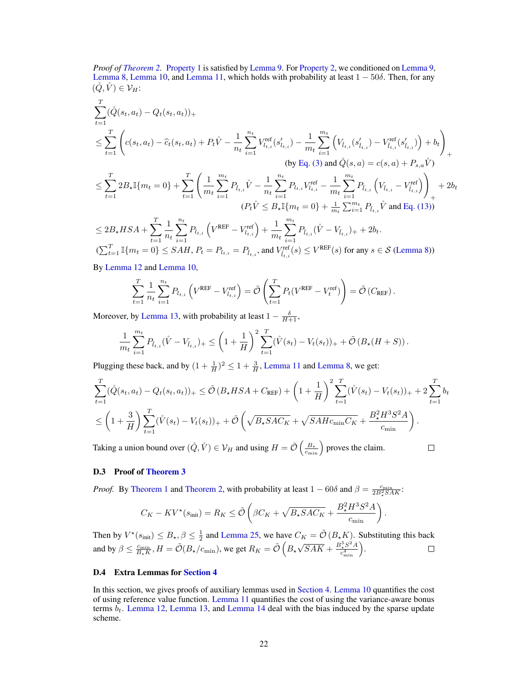*Proof of [Theorem 2.](#page-7-0)* [Property 1](#page-4-0) is satisfied by [Lemma 9.](#page-19-0) For [Property 2,](#page-4-1) we conditioned on [Lemma 9,](#page-19-0) [Lemma 8,](#page-18-0) [Lemma 10,](#page-22-1) and [Lemma 11,](#page-22-0) which holds with probability at least  $1 - 50\delta$ . Then, for any  $(\check{Q}, \check{V}) \in \mathcal{V}_H$ :

$$
\sum_{t=1}^{T} (\hat{Q}(s_t, a_t) - Q_t(s_t, a_t))_{+}
$$
\n
$$
\leq \sum_{t=1}^{T} \left( c(s_t, a_t) - \hat{c}_t(s_t, a_t) + P_t \mathring{V} - \frac{1}{n_t} \sum_{i=1}^{n_t} V_{l_{t,i}}^{ref}(s'_{l_{t,i}}) - \frac{1}{m_t} \sum_{i=1}^{m_t} \left( V_{l_{t,i}}(s'_{l_{t,i}}) - V_{l_{t,i}}^{ref}(s'_{l_{t,i}}) \right) + b_t \right)_{+}
$$
\n(by Eq. (3) and  $\mathring{Q}(s, a) = c(s, a) + P_{s,a} \mathring{V})$   
\n
$$
\leq \sum_{t=1}^{T} 2B_{\star} \mathbb{I}\{m_t = 0\} + \sum_{t=1}^{T} \left( \frac{1}{m_t} \sum_{i=1}^{m_t} P_{l_{t,i}} \mathring{V} - \frac{1}{n_t} \sum_{i=1}^{n_t} P_{l_{t,i}} V_{l_{t,i}}^{ref} - \frac{1}{m_t} \sum_{i=1}^{m_t} P_{l_{t,i}} \left( V_{l_{t,i}} - V_{l_{t,i}}^{ref} \right) \right)_{+} + 2b_t
$$
\n
$$
(P_t \mathring{V} \leq B_{\star} \mathbb{I}\{m_t = 0\} + \frac{1}{m_t} \sum_{i=1}^{m_t} P_{l_{t,i}} \mathring{V} \text{ and Eq. (13))}
$$
\n
$$
\leq 2B_{\star} H S A + \sum_{t=1}^{T} \frac{1}{n_t} \sum_{i=1}^{n_t} P_{l_{t,i}} \left( V^{REF} - V_{l_{t,i}}^{ref} \right) + \frac{1}{m_t} \sum_{i=1}^{m_t} P_{l_{t,i}} (\mathring{V} - V_{l_{t,i}})_{+} + 2b_t.
$$
\n
$$
(\sum_{t=1}^{T} \mathbb{I}\{m_t = 0\} \leq SAH, P_t = P_{l_{t,i}} = P_{l_{t,i}} \text{ and } V_{l_{t,i}}^{ref}(s) \leq V^{REF}(s) \text{ for any } s \in \mathcal{S} \text{ (Lemma 8)}
$$

By [Lemma 12](#page-24-1) and [Lemma 10,](#page-22-1)

$$
\sum_{t=1}^T \frac{1}{n_t} \sum_{i=1}^{n_t} P_{l_{t,i}} \left( V^{\text{REF}} - V^{\text{ref}}_{l_{t,i}} \right) = \tilde{\mathcal{O}} \left( \sum_{t=1}^T P_t (V^{\text{REF}} - V^{\text{ref}}_t) \right) = \tilde{\mathcal{O}} \left( C_{\text{REF}} \right).
$$

Moreover, by [Lemma 13,](#page-24-0) with probability at least  $1 - \frac{\delta}{H+1}$ ,

$$
\frac{1}{m_t} \sum_{i=1}^{m_t} P_{\tilde{l}_{t,i}}(\mathring{V} - V_{\tilde{l}_{t,i}})_+ \leq \left(1 + \frac{1}{H}\right)^2 \sum_{t=1}^T (\mathring{V}(s_t) - V_t(s_t))_+ + \tilde{\mathcal{O}}\left(B_{\star}(H+S)\right).
$$

Plugging these back, and by  $(1 + \frac{1}{H})^2 \le 1 + \frac{3}{H}$ , [Lemma 11](#page-22-0) and [Lemma 8,](#page-18-0) we get:

$$
\sum_{t=1}^{T} (\hat{Q}(s_t, a_t) - Q_t(s_t, a_t))_{+} \leq \tilde{\mathcal{O}}\left(B_{\star}HSA + C_{\text{REF}}\right) + \left(1 + \frac{1}{H}\right)^2 \sum_{t=1}^{T} (\hat{V}(s_t) - V_t(s_t))_{+} + 2 \sum_{t=1}^{T} b_t
$$
\n
$$
\leq \left(1 + \frac{3}{H}\right) \sum_{t=1}^{T} (\hat{V}(s_t) - V_t(s_t))_{+} + \tilde{\mathcal{O}}\left(\sqrt{B_{\star}SAC_K} + \sqrt{SAHc_{\min}C_K} + \frac{B_{\star}^2 H^3 S^2 A}{c_{\min}}\right).
$$

Taking a union bound over  $(\mathring{Q}, \mathring{V}) \in \mathcal{V}_H$  and using  $H = \tilde{\mathcal{O}}\left(\frac{B_*}{c_{\min}}\right)$  proves the claim.

 $\Box$ 

## <span id="page-21-0"></span>D.3 Proof of [Theorem 3](#page-7-1)

*Proof.* By [Theorem 1](#page-5-1) and [Theorem 2,](#page-7-0) with probability at least  $1 - 60\delta$  and  $\beta = \frac{c_{\min}}{2B_*^2SAK}$ :

$$
C_K - KV^*(s_{\text{init}}) = R_K \le \tilde{\mathcal{O}}\left(\beta C_K + \sqrt{B_* SAC_K} + \frac{B_*^2 H^3 S^2 A}{c_{\text{min}}}\right).
$$

Then by  $V^*(s_{\text{init}}) \leq B_{\star}, \beta \leq \frac{1}{2}$  and [Lemma 25,](#page-41-1) we have  $C_K = \tilde{\mathcal{O}}(B_{\star}K)$ . Substituting this back and by  $\beta \le \frac{c_{\min}}{B_{\star}K}$ ,  $H = \tilde{\mathcal{O}}(B_{\star}/c_{\min})$ , we get  $R_K = \tilde{\mathcal{O}}\left(B_{\star}/c_{\min}\right)$ √  $\overline{SAK} + \frac{B_{\star}^{5}S^{2}A}{c^{4}}$  $\frac{c_{\star}^5 S^2 A}{c_{\min}^4}.$ 

#### D.4 Extra Lemmas for [Section 4](#page-5-0)

In this section, we gives proofs of auxiliary lemmas used in [Section 4.](#page-5-0) [Lemma 10](#page-22-1) quantifies the cost of using reference value function. [Lemma 11](#page-22-0) quantifies the cost of using the variance-aware bonus terms  $b_t$ . [Lemma 12,](#page-24-1) [Lemma 13,](#page-24-0) and [Lemma 14](#page-25-0) deal with the bias induced by the sparse update scheme.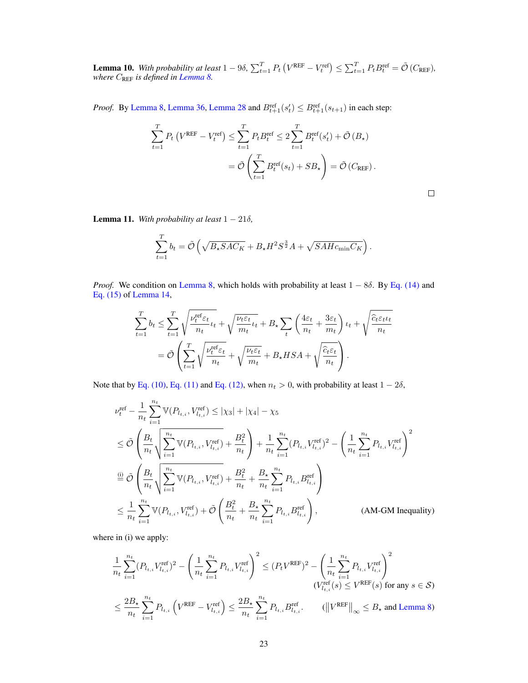<span id="page-22-1"></span>**Lemma 10.** With probability at least  $1-9\delta$ ,  $\sum_{t=1}^{T} P_t (V^{\text{REF}} - V_t^{\text{ref}}) \leq \sum_{t=1}^{T} P_t B_t^{\text{ref}} = \tilde{\mathcal{O}}(C_{\text{REF}})$ , *where* CREF *is defined in [Lemma 8.](#page-18-0)*

*Proof.* By [Lemma 8,](#page-18-0) [Lemma 36,](#page-42-2) [Lemma 28](#page-41-2) and  $B_{t+1}^{\text{ref}}(s_t) \leq B_{t+1}^{\text{ref}}(s_{t+1})$  in each step:

$$
\sum_{t=1}^{T} P_t \left( V^{\text{REF}} - V_t^{\text{ref}} \right) \leq \sum_{t=1}^{T} P_t B_t^{\text{ref}} \leq 2 \sum_{t=1}^{T} B_t^{\text{ref}}(s_t') + \tilde{\mathcal{O}}(B_\star)
$$

$$
= \tilde{\mathcal{O}} \left( \sum_{t=1}^{T} B_t^{\text{ref}}(s_t) + SB_\star \right) = \tilde{\mathcal{O}} \left( C_{\text{REF}} \right).
$$

 $\Box$ 

<span id="page-22-0"></span>**Lemma 11.** With probability at least  $1 - 21\delta$ ,

$$
\sum_{t=1}^{T} b_t = \tilde{\mathcal{O}}\left(\sqrt{B_{\star} S A C_K} + B_{\star} H^2 S^{\frac{3}{2}} A + \sqrt{SA H c_{\min} C_K}\right).
$$

*Proof.* We condition on [Lemma 8,](#page-18-0) which holds with probability at least 1 − 8δ. By [Eq. \(14\)](#page-25-1) and [Eq. \(15\)](#page-25-2) of [Lemma 14,](#page-25-0)

$$
\sum_{t=1}^{T} b_t \le \sum_{t=1}^{T} \sqrt{\frac{\nu_t^{\text{ref}} \varepsilon_t}{n_t} \iota_t} + \sqrt{\frac{\nu_t \varepsilon_t}{m_t} \iota_t} + B_\star \sum_t \left( \frac{4\varepsilon_t}{n_t} + \frac{3\varepsilon_t}{m_t} \right) \iota_t + \sqrt{\frac{\widehat{c}_t \varepsilon_t \iota_t}{n_t}} \n= \tilde{\mathcal{O}} \left( \sum_{t=1}^{T} \sqrt{\frac{\nu_t^{\text{ref}} \varepsilon_t}{n_t}} + \sqrt{\frac{\nu_t \varepsilon_t}{m_t}} + B_\star HSA + \sqrt{\frac{\widehat{c}_t \varepsilon_t}{n_t}} \right).
$$

Note that by [Eq. \(10\),](#page-19-3) [Eq. \(11\)](#page-20-1) and [Eq. \(12\),](#page-20-2) when  $n_t > 0$ , with probability at least  $1 - 2\delta$ ,

$$
\begin{split} &\nu_{t}^{\text{ref}} - \frac{1}{n_{t}} \sum_{i=1}^{n_{t}} \mathbb{V}(P_{l_{t,i}}, V_{l_{t,i}}^{\text{ref}}) \leq |\chi_{3}| + |\chi_{4}| - \chi_{5} \\ & \leq \tilde{\mathcal{O}}\left(\frac{B_{t}}{n_{t}} \sqrt{\sum_{i=1}^{n_{t}} \mathbb{V}(P_{l_{t,i}}, V_{l_{t,i}}^{\text{ref}})} + \frac{B_{t}^{2}}{n_{t}}\right) + \frac{1}{n_{t}} \sum_{i=1}^{n_{t}} (P_{l_{t,i}} V_{l_{t,i}}^{\text{ref}})^{2} - \left(\frac{1}{n_{t}} \sum_{i=1}^{n_{t}} P_{l_{t,i}} V_{l_{t,i}}^{\text{ref}}\right)^{2} \\ & \xrightarrow{\text{(i)}} \tilde{\mathcal{O}}\left(\frac{B_{t}}{n_{t}} \sqrt{\sum_{i=1}^{n_{t}} \mathbb{V}(P_{l_{t,i}}, V_{l_{t,i}}^{\text{ref}})} + \frac{B_{t}^{2}}{n_{t}} + \frac{B_{\star}}{n_{t}} \sum_{i=1}^{n_{t}} P_{l_{t,i}} B_{l_{t,i}}^{\text{ref}}\right) \\ & \leq \frac{1}{n_{t}} \sum_{i=1}^{n_{t}} \mathbb{V}(P_{l_{t,i}}, V_{l_{t,i}}^{\text{ref}}) + \tilde{\mathcal{O}}\left(\frac{B_{t}^{2}}{n_{t}} + \frac{B_{\star}}{n_{t}} \sum_{i=1}^{n_{t}} P_{l_{t,i}} B_{l_{t,i}}^{\text{ref}}\right), \end{split} \tag{AM-GM Inequality}
$$

where in (i) we apply:

$$
\frac{1}{n_t} \sum_{i=1}^{n_t} (P_{l_{t,i}} V_{l_{t,i}}^{\text{ref}})^2 - \left(\frac{1}{n_t} \sum_{i=1}^{n_t} P_{l_{t,i}} V_{l_{t,i}}^{\text{ref}}\right)^2 \le (P_t V^{\text{REF}})^2 - \left(\frac{1}{n_t} \sum_{i=1}^{n_t} P_{l_{t,i}} V_{l_{t,i}}^{\text{ref}}\right)^2
$$
\n
$$
\left(V_{l_{t,i}}^{\text{ref}}(s) \le V^{\text{REF}}(s) \text{ for any } s \in \mathcal{S}\right)
$$
\n
$$
\le \frac{2B_{\star}}{n_t} \sum_{i=1}^{n_t} P_{l_{t,i}} \left(V^{\text{REF}} - V_{l_{t,i}}^{\text{ref}}\right) \le \frac{2B_{\star}}{n_t} \sum_{i=1}^{n_t} P_{l_{t,i}} B_{l_{t,i}}^{\text{ref}}. \qquad (\left\|V^{\text{REF}}\right\|_{\infty} \le B_{\star} \text{ and Lemma 8})
$$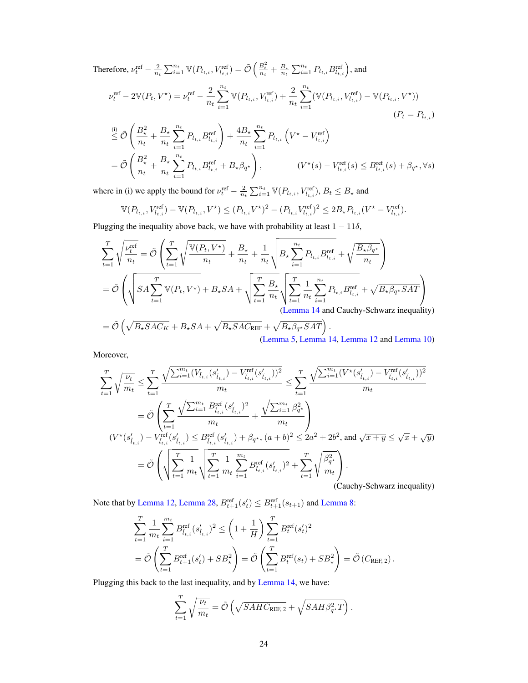Therefore,  $\nu_t^{\text{ref}} - \frac{2}{n_t} \sum_{i=1}^{n_t} \mathbb{V}(P_{l_{t,i}}, V_{l_{t,i}}^{\text{ref}}) = \tilde{\mathcal{O}}\left(\frac{B_t^2}{n_t} + \frac{B_*}{n_t} \sum_{i=1}^{n_t} P_{l_{t,i}} P_{l_{t,i}}^{\text{ref}}\right)$ , and

$$
\nu_t^{\text{ref}} - 2\mathbb{V}(P_t, V^*) = \nu_t^{\text{ref}} - \frac{2}{n_t} \sum_{i=1}^{n_t} \mathbb{V}(P_{l_{t,i}}, V_{l_{t,i}}^{\text{ref}}) + \frac{2}{n_t} \sum_{i=1}^{n_t} (\mathbb{V}(P_{l_{t,i}}, V_{l_{t,i}}^{\text{ref}}) - \mathbb{V}(P_{l_{t,i}}, V^*) )
$$
\n
$$
(P_t = P_{l_{t,i}})
$$
\n
$$
\stackrel{\text{(i)}}{\leq} \tilde{\mathcal{O}}\left(\frac{B_\star^2}{n_t} + \frac{B_\star}{n_t} \sum_{i=1}^{n_t} P_{l_{t,i}} B_{l_{t,i}}^{\text{ref}}\right) + \frac{4B_\star}{n_t} \sum_{i=1}^{n_t} P_{l_{t,i}} \left(V^\star - V_{l_{t,i}}^{\text{ref}}\right)
$$
\n
$$
= \tilde{\mathcal{O}}\left(\frac{B_\star^2}{n_t} + \frac{B_\star}{n_t} \sum_{i=1}^{n_t} P_{l_{t,i}} B_{l_{t,i}}^{\text{ref}} + B_\star \beta_{q^\star}\right), \qquad (V^\star(s) - V_{l_{t,i}}^{\text{ref}}(s) \leq B_{l_{t,i}}^{\text{ref}}(s) + \beta_{q^\star}, \forall s)
$$

where in (i) we apply the bound for  $\nu_t^{\text{ref}} - \frac{2}{n_t} \sum_{i=1}^{n_t} \mathbb{V}(P_{t_{t,i}}, V_{t_{t,i}}^{\text{ref}}), B_t \leq B_{\star}$  and

$$
\mathbb{V}(P_{l_{t,i}}, V^{\text{ref}}_{l_{t,i}}) - \mathbb{V}(P_{l_{t,i}}, V^{\star}) \leq (P_{l_{t,i}} V^{\star})^2 - (P_{l_{t,i}} V^{\text{ref}}_{l_{t,i}})^2 \leq 2B_{\star} P_{l_{t,i}} (V^{\star} - V^{\text{ref}}_{l_{t,i}}).
$$

Plugging the inequality above back, we have with probability at least  $1 - 11\delta$ ,

$$
\sum_{t=1}^{T} \sqrt{\frac{\nu_t^{\text{ref}}}{n_t}} = \tilde{\mathcal{O}} \left( \sum_{t=1}^{T} \sqrt{\frac{\mathbb{V}(P_t, V^*)}{n_t} + \frac{B_{\star}}{n_t} + \frac{1}{n_t} \sqrt{B_{\star} \sum_{i=1}^{n_t} P_{l_{t,i}} B_{l_{t,i}}^{\text{ref}}} + \sqrt{\frac{B_{\star} \beta_{q^{\star}}}{n_t}} \right)
$$
\n
$$
= \tilde{\mathcal{O}} \left( \sqrt{SA \sum_{t=1}^{T} \mathbb{V}(P_t, V^*) + B_{\star} SA + \sqrt{\sum_{t=1}^{T} \frac{B_{\star}}{n_t} \sqrt{\sum_{t=1}^{T} \frac{1}{n_t} \sum_{i=1}^{n_t} P_{l_{t,i}} B_{l_{t,i}}^{\text{ref}}} + \sqrt{B_{\star} \beta_{q^{\star}} SAT} \right)
$$
\n
$$
= \tilde{\mathcal{O}} \left( \sqrt{B_{\star} SAC_{K}} + B_{\star} SA + \sqrt{B_{\star} SAC_{REF}} + \sqrt{B_{\star} \beta_{q^{\star}} SAT} \right).
$$

[\(Lemma 5,](#page-14-1) [Lemma 14,](#page-25-0) [Lemma 12](#page-24-1) and [Lemma 10\)](#page-22-1)

Moreover,

$$
\sum_{t=1}^{T} \sqrt{\frac{\nu_t}{m_t}} \leq \sum_{t=1}^{T} \frac{\sqrt{\sum_{i=1}^{m_t} (V_{\tilde{l}_{t,i}}(s_{\tilde{l}_{t,i}}') - V_{\tilde{l}_{t,i}}^{ref}(s_{\tilde{l}_{t,i}}'))^2}}{m_t} \leq \sum_{t=1}^{T} \frac{\sqrt{\sum_{i=1}^{m_t} (V^{\star}(s_{\tilde{l}_{t,i}}') - V_{\tilde{l}_{t,i}}^{ref}(s_{\tilde{l}_{t,i}}'))^2}}{m_t}
$$
\n
$$
= \tilde{\mathcal{O}} \left( \sum_{t=1}^{T} \frac{\sqrt{\sum_{i=1}^{m_t} B_{\tilde{l}_{t,i}}^{ref}(s_{\tilde{l}_{t,i}}')^2}}{m_t} + \frac{\sqrt{\sum_{i=1}^{m_t} \beta_i^2}}{m_t} \right)
$$
\n
$$
(V^{\star}(s_{\tilde{l}_{t,i}}') - V_{\tilde{l}_{t,i}}^{ref}(s_{\tilde{l}_{t,i}}') \leq B_{\tilde{l}_{t,i}}^{ref}(s_{\tilde{l}_{t,i}}') + \beta_{q^{\star}}, (a+b)^2 \leq 2a^2 + 2b^2, \text{ and } \sqrt{x+y} \leq \sqrt{x} + \sqrt{y})
$$
\n
$$
= \tilde{\mathcal{O}} \left( \sqrt{\sum_{t=1}^{T} \frac{1}{m_t}} \sqrt{\sum_{t=1}^{T} \frac{1}{m_t} \sum_{i=1}^{m_t} B_{\tilde{l}_{t,i}}^{ref}(s_{\tilde{l}_{t,i}}')^2} + \sum_{t=1}^{T} \sqrt{\frac{\beta_{q^{\star}}^2}{m_t}} \right).
$$
\n(Cauchy-Schwarz inequality)

Note that by [Lemma 12,](#page-24-1) [Lemma 28,](#page-41-2)  $B_{t+1}^{\text{ref}}(s_t') \le B_{t+1}^{\text{ref}}(s_{t+1})$  and [Lemma 8:](#page-18-0)

$$
\sum_{t=1}^{T} \frac{1}{m_t} \sum_{i=1}^{m_t} B_{l_{t,i}}^{\text{ref}} (s'_{l_{t,i}})^2 \le \left(1 + \frac{1}{H}\right) \sum_{t=1}^{T} B_t^{\text{ref}} (s'_t)^2
$$
\n
$$
= \tilde{\mathcal{O}}\left(\sum_{t=1}^{T} B_{t+1}^{\text{ref}}(s'_t) + SB_{\star}^2\right) = \tilde{\mathcal{O}}\left(\sum_{t=1}^{T} B_t^{\text{ref}}(s_t) + SB_{\star}^2\right) = \tilde{\mathcal{O}}\left(C_{\text{REF},2}\right).
$$

Plugging this back to the last inequality, and by [Lemma 14,](#page-25-0) we have:

$$
\sum_{t=1}^{T} \sqrt{\frac{\nu_t}{m_t}} = \tilde{\mathcal{O}}\left(\sqrt{SAHC_{\text{REF},2}} + \sqrt{SAH\beta_{q^*}^2T}\right).
$$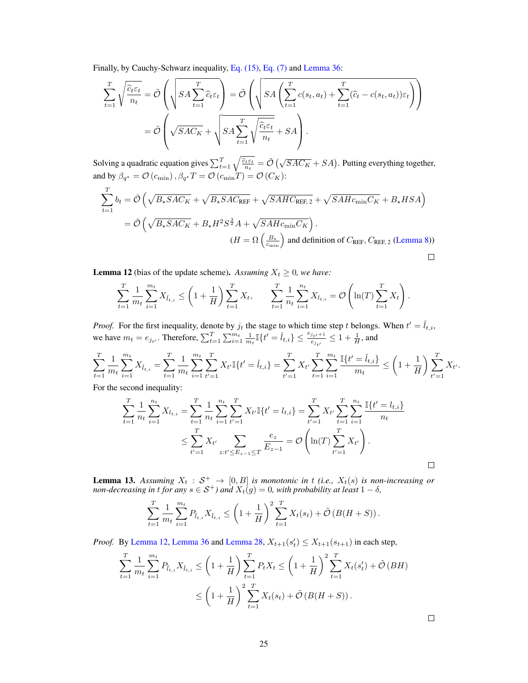Finally, by Cauchy-Schwarz inequality, [Eq. \(15\),](#page-25-2) [Eq. \(7\)](#page-16-1) and [Lemma 36:](#page-42-2)

$$
\sum_{t=1}^{T} \sqrt{\frac{\widehat{c}_{t}\widehat{\epsilon}_{t}}{n_{t}}} = \tilde{\mathcal{O}}\left(\sqrt{SA\sum_{t=1}^{T} \widehat{c}_{t}\widehat{\epsilon}_{t}}\right) = \tilde{\mathcal{O}}\left(\sqrt{SA\left(\sum_{t=1}^{T} c(s_{t}, a_{t}) + \sum_{t=1}^{T} (\widehat{c}_{t} - c(s_{t}, a_{t}))\epsilon_{t}}\right)}\right)
$$
\n
$$
= \tilde{\mathcal{O}}\left(\sqrt{SAC_{K}} + \sqrt{SA\sum_{t=1}^{T} \sqrt{\frac{\widehat{c}_{t}\epsilon_{t}}{n_{t}}} + SA\right).
$$

Solving a quadratic equation gives  $\sum_{t=1}^T \sqrt{\frac{\hat{c}_t \varepsilon_t}{n_t}} = \tilde{\mathcal{O}}\left(\sqrt{SAC_K} + SA\right)$ . Putting everything together, and by  $\beta_{q^*} = \mathcal{O}(c_{\min}), \beta_{q^*}T = \mathcal{O}(c_{\min}T) = \mathcal{O}(C_K)$ :

$$
\sum_{t=1}^{T} b_t = \tilde{\mathcal{O}}\left(\sqrt{B_{\star} SAC_{K}} + \sqrt{B_{\star} SAC_{\text{REF}}} + \sqrt{SAHC_{\text{REF},2}} + \sqrt{SAHc_{\min}C_{K}} + B_{\star}HSA\right)
$$
  
=  $\tilde{\mathcal{O}}\left(\sqrt{B_{\star} SAC_{K}} + B_{\star}H^{2}S^{3}A + \sqrt{SAHc_{\min}C_{K}}\right)$ .  
 $(H = \Omega\left(\frac{B_{\star}}{c_{\min}}\right)$  and definition of  $C_{\text{REF}}$ ,  $C_{\text{REF},2}$  (Lemma 8))

<span id="page-24-1"></span>**Lemma 12** (bias of the update scheme). Assuming  $X_t \geq 0$ , we have:

$$
\sum_{t=1}^{T} \frac{1}{m_t} \sum_{i=1}^{m_t} X_{\check{l}_{t,i}} \le \left(1 + \frac{1}{H}\right) \sum_{t=1}^{T} X_t, \qquad \sum_{t=1}^{T} \frac{1}{n_t} \sum_{i=1}^{n_t} X_{l_{t,i}} = \mathcal{O}\left(\ln(T) \sum_{t=1}^{T} X_t\right).
$$

*Proof.* For the first inequality, denote by  $j_t$  the stage to which time step t belongs. When  $t' = \tilde{l}_{t,i}$ , we have  $m_t = e_{j_{t'}}$ . Therefore,  $\sum_{t=1}^T \sum_{i=1}^{m_t} \frac{1}{m_t} \mathbb{I}\{t' = \tilde{l}_{t,i}\} \le \frac{e_{j_{t'}}+1}{e_{j_{t'}}} \le 1 + \frac{1}{H}$ , and

$$
\sum_{t=1}^T \frac{1}{m_t} \sum_{i=1}^{m_t} X_{\check{l}_{t,i}} = \sum_{t=1}^T \frac{1}{m_t} \sum_{i=1}^{m_t} \sum_{t'=1}^T X_{t'} \mathbb{I}\{t' = \check{l}_{t,i}\} = \sum_{t'=1}^T X_{t'} \sum_{t=1}^T \sum_{i=1}^{m_t} \frac{\mathbb{I}\{t' = \check{l}_{t,i}\}}{m_t} \le \left(1 + \frac{1}{H}\right) \sum_{t'=1}^T X_{t'}.
$$

For the second inequality:

$$
\sum_{t=1}^{T} \frac{1}{n_t} \sum_{i=1}^{n_t} X_{l_{t,i}} = \sum_{t=1}^{T} \frac{1}{n_t} \sum_{i=1}^{n_t} \sum_{t'=1}^{T} X_{t'} \mathbb{I}\{t' = l_{t,i}\} = \sum_{t'=1}^{T} X_{t'} \sum_{t=1}^{T} \sum_{i=1}^{n_t} \frac{\mathbb{I}\{t' = l_{t,i}\}}{n_t}
$$

$$
\leq \sum_{t'=1}^{T} X_{t'} \sum_{z:t' \leq E_{z-1} \leq T} \frac{e_z}{E_{z-1}} = \mathcal{O}\left(\ln(T) \sum_{t'=1}^{T} X_{t'}\right).
$$

<span id="page-24-0"></span>**Lemma 13.** Assuming  $X_t : \mathcal{S}^+ \to [0, B]$  is monotonic in t (i.e.,  $X_t(s)$  is non-increasing or *non-decreasing in t for any*  $s \in S^+$ ) and  $X_t(g) = 0$ , with probability at least  $1 - \delta$ ,

$$
\sum_{t=1}^T \frac{1}{m_t} \sum_{i=1}^{m_t} P_{\tilde{l}_{t,i}} X_{\tilde{l}_{t,i}} \le \left(1 + \frac{1}{H}\right)^2 \sum_{t=1}^T X_t(s_t) + \tilde{\mathcal{O}}\left(B(H+S)\right).
$$

*Proof.* By [Lemma 12,](#page-24-1) [Lemma 36](#page-42-2) and [Lemma 28,](#page-41-2)  $X_{t+1}(s_t) \leq X_{t+1}(s_{t+1})$  in each step,

$$
\sum_{t=1}^{T} \frac{1}{m_t} \sum_{i=1}^{m_t} P_{\tilde{t}_{t,i}} X_{\tilde{t}_{t,i}} \le \left( 1 + \frac{1}{H} \right) \sum_{t=1}^{T} P_t X_t \le \left( 1 + \frac{1}{H} \right)^2 \sum_{t=1}^{T} X_t (s'_t) + \tilde{\mathcal{O}}(BH)
$$
  

$$
\le \left( 1 + \frac{1}{H} \right)^2 \sum_{t=1}^{T} X_t (s_t) + \tilde{\mathcal{O}}(B(H+S)).
$$

 $\Box$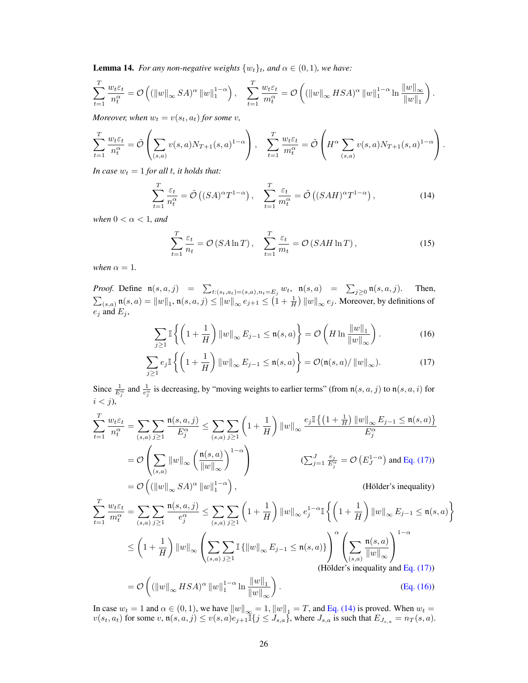<span id="page-25-0"></span>**Lemma 14.** *For any non-negative weights*  $\{w_t\}_t$ *, and*  $\alpha \in (0, 1)$ *, we have:* 

$$
\sum_{t=1}^T\frac{w_t\varepsilon_t}{n_t^\alpha}=\mathcal{O}\left((\|w\|_\infty SA)^\alpha\,\|w\|_1^{1-\alpha}\right),\quad \sum_{t=1}^T\frac{w_t\varepsilon_t}{m_t^\alpha}=\mathcal{O}\left((\|w\|_\infty HSA)^\alpha\,\|w\|_1^{1-\alpha}\ln\frac{\|w\|_\infty}{\|w\|_1}\right).
$$

*Moreover, when*  $w_t = v(s_t, a_t)$  *for some v*,

$$
\sum_{t=1}^{T} \frac{w_t \varepsilon_t}{n_t^{\alpha}} = \tilde{\mathcal{O}}\left(\sum_{(s,a)} v(s,a) N_{T+1}(s,a)^{1-\alpha}\right), \quad \sum_{t=1}^{T} \frac{w_t \varepsilon_t}{m_t^{\alpha}} = \tilde{\mathcal{O}}\left(H^{\alpha} \sum_{(s,a)} v(s,a) N_{T+1}(s,a)^{1-\alpha}\right).
$$

*In case*  $w_t = 1$  *for all t, it holds that:* 

$$
\sum_{t=1}^{T} \frac{\varepsilon_t}{n_t^{\alpha}} = \tilde{\mathcal{O}}\left( (SA)^{\alpha} T^{1-\alpha} \right), \quad \sum_{t=1}^{T} \frac{\varepsilon_t}{m_t^{\alpha}} = \tilde{\mathcal{O}}\left( (SAH)^{\alpha} T^{1-\alpha} \right),\tag{14}
$$

*when*  $0 < \alpha < 1$ *, and* 

<span id="page-25-2"></span><span id="page-25-1"></span>
$$
\sum_{t=1}^{T} \frac{\varepsilon_t}{n_t} = \mathcal{O}\left(SA \ln T\right), \quad \sum_{t=1}^{T} \frac{\varepsilon_t}{m_t} = \mathcal{O}\left(SAH \ln T\right),\tag{15}
$$

*when*  $\alpha = 1$ *.* 

*Proof.* Define  $\mathfrak{n}(s, a, j) = \sum_{t:(s_t, a_t)=(s, a), n_t=E_j} w_t$ ,  $\mathfrak{n}(s, a) = \sum_{j\geq 0} \mathfrak{n}(s, a, j)$ . Then,  $\sum_{(s,a)} \mathfrak{n}(s,a) = \|w\|_1, \mathfrak{n}(s,a,j) \le \|w\|_\infty \, e_{j+1} \le \left(1+\frac{1}{H}\right) \|w\|_\infty \, e_j.$  Moreover, by definitions of  $e_j$  and  $E_j$ ,

<span id="page-25-4"></span><span id="page-25-3"></span>
$$
\sum_{j\geq 1} \mathbb{I}\left\{ \left(1 + \frac{1}{H}\right) \|w\|_{\infty} E_{j-1} \leq \mathfrak{n}(s, a) \right\} = \mathcal{O}\left(H \ln \frac{\|w\|_1}{\|w\|_{\infty}}\right). \tag{16}
$$

$$
\sum_{j\geq 1} e_j \mathbb{I}\left\{ \left(1 + \frac{1}{H}\right) \|w\|_{\infty} E_{j-1} \leq \mathfrak{n}(s, a) \right\} = \mathcal{O}(\mathfrak{n}(s, a) / \|w\|_{\infty}). \tag{17}
$$

Since  $\frac{1}{E_j^{\alpha}}$  and  $\frac{1}{e_j^{\alpha}}$  is decreasing, by "moving weights to earlier terms" (from  $\mathfrak{n}(s, a, j)$  to  $\mathfrak{n}(s, a, i)$  for  $i < j$ ),

$$
\sum_{t=1}^{T} \frac{w_t \varepsilon_t}{n_t^{\alpha}} = \sum_{(s,a)} \sum_{j\geq 1} \frac{\mathfrak{n}(s,a,j)}{E_j^{\alpha}} \leq \sum_{(s,a)} \sum_{j\geq 1} \left(1 + \frac{1}{H}\right) \|w\|_{\infty} \frac{e_j \mathbb{I}\left\{\left(1 + \frac{1}{H}\right) \|w\|_{\infty} E_{j-1} \leq \mathfrak{n}(s,a)\right\}}{E_j^{\alpha}}
$$

$$
= \mathcal{O}\left(\sum_{(s,a)} \|w\|_{\infty} \left(\frac{\mathfrak{n}(s,a)}{\|w\|_{\infty}}\right)^{1-\alpha}\right) \qquad (\sum_{j=1}^{J} \frac{e_j}{E_j^{\alpha}}) \text{ and Eq. (17))}
$$

$$
= \mathcal{O}\left((\|w\|_{\infty} SA)^{\alpha} \|w\|_{1}^{1-\alpha}\right), \qquad (\text{Hölder's inequality})
$$

$$
\sum_{t=1}^{T} \frac{w_t \varepsilon_t}{m_t^{\alpha}} = \sum_{(s,a)} \sum_{j\geq 1} \frac{\mathfrak{n}(s,a,j)}{e_j^{\alpha}} \leq \sum_{(s,a)} \sum_{j\geq 1} \left(1 + \frac{1}{H}\right) \|w\|_{\infty} e_j^{1-\alpha} \mathbb{I} \left\{ \left(1 + \frac{1}{H}\right) \|w\|_{\infty} E_{j-1} \leq \mathfrak{n}(s,a) \right\}
$$

$$
\leq \left(1 + \frac{1}{H}\right) \|w\|_{\infty} \left( \sum_{(s,a)} \sum_{j\geq 1} \mathbb{I} \left\{ \|w\|_{\infty} E_{j-1} \leq \mathfrak{n}(s,a) \right\} \right)^{\alpha} \left( \sum_{(s,a)} \frac{\mathfrak{n}(s,a)}{\|w\|_{\infty}} \right)^{1-\alpha}
$$
(Hölder's inequality and Eq. (17))
$$
= \mathcal{O}\left( (\|w\|_{\infty} HSA)^{\alpha} \|w\|_{1}^{1-\alpha} \ln \frac{\|w\|_{1}}{\|w\|_{\infty}} \right).
$$
(Eq. (16))

In case  $w_t = 1$  and  $\alpha \in (0, 1)$ , we have  $||w||_{\infty} = 1$ ,  $||w||_1 = T$ , and [Eq. \(14\)](#page-25-1) is proved. When  $w_t =$  $v(s_t, a_t)$  for some  $v, \mathfrak{n}(s, a, j) \le v(s, a)e_{j+1}\mathbb{I} \{j \le J_{s,a}\}\,$ , where  $J_{s,a}$  is such that  $E_{J_{s,a}} = n_T(s, a)$ .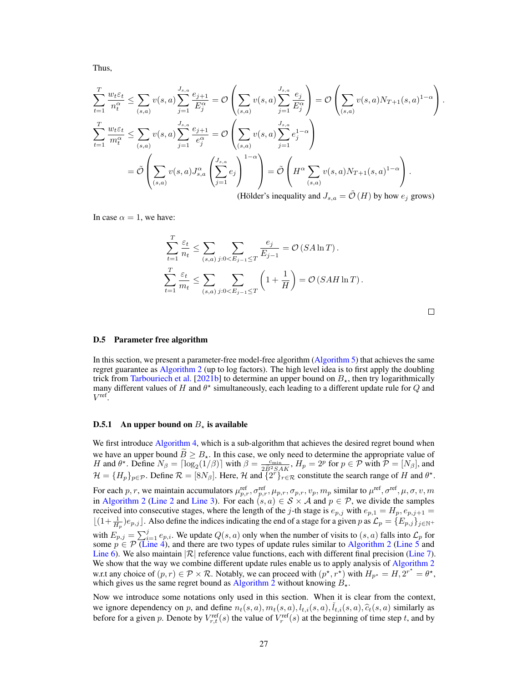Thus,

$$
\sum_{t=1}^{T} \frac{w_t \varepsilon_t}{n_t^{\alpha}} \le \sum_{(s,a)} v(s,a) \sum_{j=1}^{J_{s,a}} \frac{e_{j+1}}{E_j^{\alpha}} = \mathcal{O}\left(\sum_{(s,a)} v(s,a) \sum_{j=1}^{J_{s,a}} \frac{e_j}{E_j^{\alpha}}\right) = \mathcal{O}\left(\sum_{(s,a)} v(s,a) N_{T+1}(s,a)^{1-\alpha}\right).
$$
\n
$$
\sum_{t=1}^{T} \frac{w_t \varepsilon_t}{m_t^{\alpha}} \le \sum_{(s,a)} v(s,a) \sum_{j=1}^{J_{s,a}} \frac{e_{j+1}}{e_j^{\alpha}} = \mathcal{O}\left(\sum_{(s,a)} v(s,a) \sum_{j=1}^{J_{s,a}} e_j^{1-\alpha}\right)
$$
\n
$$
= \tilde{\mathcal{O}}\left(\sum_{(s,a)} v(s,a) J_{s,a}^{\alpha}\left(\sum_{j=1}^{J_{s,a}} e_j\right)^{1-\alpha}\right) = \tilde{\mathcal{O}}\left(H^{\alpha} \sum_{(s,a)} v(s,a) N_{T+1}(s,a)^{1-\alpha}\right).
$$
\n(1314a) is usually used to find  $I$ ,  $\tilde{\mathcal{O}}(H)$  by being, we can

(Hölder's inequality and  $J_{s,a} = \mathcal{O}(H)$  by how  $e_j$  grows)

In case  $\alpha = 1$ , we have:

$$
\sum_{t=1}^{T} \frac{\varepsilon_t}{n_t} \le \sum_{(s,a)} \sum_{j:0 < E_{j-1} \le T} \frac{e_j}{E_{j-1}} = \mathcal{O}(S A \ln T).
$$
\n
$$
\sum_{t=1}^{T} \frac{\varepsilon_t}{m_t} \le \sum_{(s,a)} \sum_{j:0 < E_{j-1} \le T} \left(1 + \frac{1}{H}\right) = \mathcal{O}(S A H \ln T).
$$

#### <span id="page-26-0"></span>D.5 Parameter free algorithm

In this section, we present a parameter-free model-free algorithm [\(Algorithm 5\)](#page-29-0) that achieves the same regret guarantee as [Algorithm 2](#page-6-0) (up to log factors). The high level idea is to first apply the doubling trick from [Tarbouriech et al.](#page-11-0) [\[2021b\]](#page-11-0) to determine an upper bound on  $B_{\star}$ , then try logarithmically many different values of H and  $\theta^*$  simultaneously, each leading to a different update rule for Q and  $V^{\text{ref}}$ .

#### **D.5.1** An upper bound on  $B_{\star}$  is available

We first introduce [Algorithm 4,](#page-27-0) which is a sub-algorithm that achieves the desired regret bound when we have an upper bound  $B \ge B_{\star}$ . In this case, we only need to determine the appropriate value of  $H$  and  $\theta^{\star}$ . Define  $N_{\beta} = \lceil \log_2(1/\beta) \rceil$  with  $\beta = \frac{c_{\min}}{2B^2SAK}$ ,  $H_p = 2^p$  for  $p \in \mathcal{P}$  with  $\mathcal{P} = [N_{\beta$  $\mathcal{H} = \{H_p\}_{p \in \mathcal{P}}$ . Define  $\mathcal{R} = [8N_\beta]$ . Here,  $\mathcal{H}$  and  $\{2^r\}_{r \in \mathcal{R}}$  constitute the search range of  $H$  and  $\theta^*$ .

For each p, r, we maintain accumulators  $\mu_{p,r}^{\text{ref}}, \sigma_{p,r}^{\text{ref}}, \mu_{p,r}, \sigma_{p,r}, v_p, m_p$  similar to  $\mu^{\text{ref}}, \sigma^{\text{ref}}, \mu, \sigma, v, m$ in [Algorithm 2](#page-6-0) [\(Line 2](#page-3-3) and [Line 3\)](#page-3-5). For each  $(s, a) \in S \times A$  and  $p \in P$ , we divide the samples received into consecutive stages, where the length of the j-th stage is  $e_{p,j}$  with  $e_{p,1} = H_p, e_{p,j+1} =$  $\lfloor (1 + \frac{1}{H_p})e_{p,j} \rfloor$ . Also define the indices indicating the end of a stage for a given p as  $\mathcal{L}_p = \{E_{p,j}\}_{j \in \mathbb{N}^+}$ with  $E_{p,j} = \sum_{i=1}^{j} e_{p,i}$ . We update  $Q(s, a)$  only when the number of visits to  $(s, a)$  falls into  $\mathcal{L}_p$  for some  $p \in \mathcal{P}$  [\(Line 4\)](#page-3-2), and there are two types of update rules similar to [Algorithm 2](#page-6-0) [\(Line 5](#page-6-4) and [Line 6\)](#page-6-3). We also maintain  $|\mathcal{R}|$  reference value functions, each with different final precision [\(Line 7\)](#page-6-5). We show that the way we combine different update rules enable us to apply analysis of [Algorithm 2](#page-6-0) w.r.t any choice of  $(p, r) \in \mathcal{P} \times \mathcal{R}$ . Notably, we can proceed with  $(p^*, r^*)$  with  $H_{p^*} = H, 2^{r^*} = \theta^*$ , which gives us the same regret bound as [Algorithm 2](#page-6-0) without knowing  $B_{\star}$ .

Now we introduce some notations only used in this section. When it is clear from the context, we ignore dependency on p, and define  $n_t(s, a), m_t(s, a), l_{t,i}(s, a), \tilde{l}_{t,i}(s, a), \hat{c}_t(s, a)$  similarly as before for a given p. Denote by  $V_{r,t}^{\text{ref}}(s)$  the value of  $V_r^{\text{ref}}(s)$  at the beginning of time step t, and by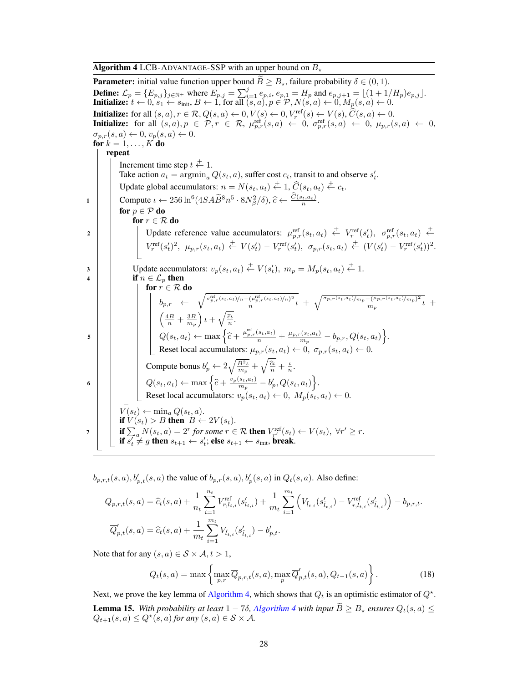**Algorithm 4** LCB-ADVANTAGE-SSP with an upper bound on  $B$ .

<span id="page-27-0"></span>**Parameter:** initial value function upper bound  $B \geq B_{\star}$ , failure probability  $\delta \in (0,1)$ . **Define:**  $\mathcal{L}_p = \{E_{p,j}\}_{j \in \mathbb{N}}$ + where  $E_{p,j} = \sum_{i=1}^j e_{p,i}, e_{p,1} = H_p$  and  $e_{p,j+1} = \lfloor (1 + 1/H_p)e_{p,j} \rfloor$ . **Initialize:**  $t \leftarrow 0$ ,  $s_1 \leftarrow s_{\text{init}}$ ,  $B \leftarrow 1$ , for all  $(s, a)$ ,  $p \in \mathcal{P}$ ,  $N(s, a) \leftarrow 0$ ,  $M_p(s, a) \leftarrow 0$ . **Initialize:** for all  $(s, a)$ ,  $r \in \mathcal{R}$ ,  $Q(s, a) \leftarrow 0$ ,  $V(s) \leftarrow 0$ ,  $V_r^{\text{ref}}(s) \leftarrow V(s)$ ,  $\hat{C}(s, a) \leftarrow 0$ .<br> **Initialize:** for all  $(s, a)$ ,  $p \in \mathcal{P}$ ,  $r \in \mathcal{R}$ ,  $\mu_{p,r}^{\text{ref}}(s, a) \leftarrow 0$ ,  $\sigma_{p,r}^{\text{ref}}(s, a) \leftarrow 0$ ,  $\mu_{$  $\sigma_{p,r}(s,a) \leftarrow 0, v_p(s,a) \leftarrow 0.$ for  $k = 1, \ldots, K$  do repeat Increment time step  $t \stackrel{+}{\leftarrow} 1$ . Take action  $a_t = \arg\min_a Q(s_t, a)$ , suffer cost  $c_t$ , transit to and observe  $s'_t$ . Update global accumulators:  $n = N(s_t, a_t) \stackrel{+}{\leftarrow} 1$ ,  $\widehat{C}(s_t, a_t) \stackrel{+}{\leftarrow} c_t$ . 1 Compute  $\iota \leftarrow 256 \ln^6(4SA\widetilde{B}^8 n^5 \cdot 8N_\beta^2/\delta), \widehat{c} \leftarrow \frac{C(s_t, a_t)}{n}.$ for  $p \in \mathcal{P}$  do for  $r \in \mathcal{R}$  do 2 Update reference value accumulators:  $\mu_{p,r}^{\text{ref}}(s_t, a_t) \stackrel{+}{\leftarrow} V_r^{\text{ref}}(s'_t), \sigma_{p,r}^{\text{ref}}(s_t, a_t) \stackrel{+}{\leftarrow}$  $V_r^{\text{ref}}(s_t')^2, \ \mu_{p,r}(s_t, a_t) \stackrel{+}{\leftarrow} V(s_t') - V_r^{\text{ref}}(s_t'), \ \sigma_{p,r}(s_t, a_t) \stackrel{+}{\leftarrow} (V(s_t') - V_r^{\text{ref}}(s_t'))^2.$  $3 \mid \cdot \mid \cdot$  Update accumulators:  $v_p(s_t, a_t) \stackrel{+}{\leftarrow} V(s'_t), m_p = M_p(s_t, a_t) \stackrel{+}{\leftarrow} 1.$ 4 | | if  $n \in \mathcal{L}_p$  then for  $r \in \mathcal{R}$  do  $b_{p,r} \leftarrow \sqrt{\frac{\sigma_{p,r}^{\text{ref}}(s_t,a_t)}{n} \frac{(\mu_{p,r}^{\text{ref}}(s_t,a_t)/n)^2}{n}}$  $\frac{(\mu_{p,r}^{\rm ref}(s_t,a_t)/n)^2}{n}t + \sqrt{\frac{\sigma_{p,r}(s_t,a_t)/m_p-(\mu_{p,r}(s_t,a_t)/m_p)^2}{m_p}}$  $\frac{(-\mu_{p,r}(s_t,a_t)/m_p)^2}{m_p}t +$  $\left(\frac{4B}{n} + \frac{3B}{m_p}\right)\iota + \sqrt{\frac{\widehat{c}\iota}{n}}.$ 5  $Q(s_t, a_t) \leftarrow \max \left\{ \widehat{c} + \frac{\mu_{p,r}^{\text{ref}}(s_t, a_t)}{n} + \frac{\mu_{p,r}(s_t, a_t)}{m_p} \right\}$  $\frac{b_{n}(s_t, a_t)}{m_p} - b_{p,r}, Q(s_t, a_t) \bigg\}.$ Reset local accumulators:  $\mu_{p,r}(s_t, a_t) \leftarrow 0$ ,  $\sigma_{p,r}(s_t, a_t) \leftarrow 0$ . Compute bonus  $b'_p \leftarrow 2\sqrt{\frac{B^2 t}{m_p}} + \sqrt{\frac{\hat{c}t}{n}} + \frac{t}{n}$ . 6  $Q(s_t, a_t) \leftarrow \max \left\{ \widehat{c} + \frac{v_p(s_t, a_t)}{m_p} \right\}$  $\left\{\frac{s_t,a_t)}{m_p}-b'_p,Q(s_t,a_t)\right\}.$ Reset local accumulators:  $v_p(s_t, a_t) \leftarrow 0$ ,  $M_p(s_t, a_t) \leftarrow 0$ .  $V(s_t) \leftarrow \min_a Q(s_t, a).$ if  $V(s_t) > B$  then  $B \leftarrow 2V(s_t)$ .  $\begin{array}{ll} \pi & \text{if } \sum_a N(s_t, a) = 2^r \text{ for some } r \in \mathcal{R} \text{ then } V_{r'}^{\text{ref}}(s_t) \leftarrow V(s_t), \ \forall r' \geq r. \end{array}$ if  $s_t^r \neq g$  then  $s_{t+1} \leftarrow s_t^r$ ; else  $s_{t+1} \leftarrow s_{\text{init}}$ , break.

 $b_{p,r,t}(s, a), b'_{p,t}(s, a)$  the value of  $b_{p,r}(s, a), b'_{p}(s, a)$  in  $Q_t(s, a)$ . Also define:

$$
\begin{aligned} & \overline{Q}_{p,r,t}(s,a) = \widehat{c}_t(s,a) + \frac{1}{n_t} \sum_{i=1}^{n_t} V_{r,l_{t,i}}^{\text{ref}}(s'_{l_{t,i}}) + \frac{1}{m_t} \sum_{i=1}^{m_t} \Big( V_{\bar{l}_{t,i}}(s'_{\bar{l}_{t,i}}) - V_{r,\bar{l}_{t,i}}^{\text{ref}}(s'_{\bar{l}_{t,i}}) \Big) - b_{p,r,t}. \\ & \overline{Q}'_{p,t}(s,a) = \widehat{c}_t(s,a) + \frac{1}{m_t} \sum_{i=1}^{m_t} V_{\bar{l}_{t,i}}(s'_{\bar{l}_{t,i}}) - b'_{p,t}. \end{aligned}
$$

Note that for any  $(s, a) \in S \times A, t > 1$ ,

<span id="page-27-1"></span>
$$
Q_t(s,a) = \max\left\{\max_{p,r} \overline{Q}_{p,r,t}(s,a), \max_p \overline{Q}'_{p,t}(s,a), Q_{t-1}(s,a)\right\}.
$$
 (18)

Next, we prove the key lemma of [Algorithm 4,](#page-27-0) which shows that  $Q_t$  is an optimistic estimator of  $Q^*$ . **Lemma 15.** With probability at least  $1 - 7\delta$ , [Algorithm 4](#page-27-0) with input  $\tilde{B} \geq B_{\star}$  ensures  $Q_t(s, a) \leq$  $Q_{t+1}(s, a) \leq Q^{\star}(s, a)$  for any  $(s, a) \in S \times A$ .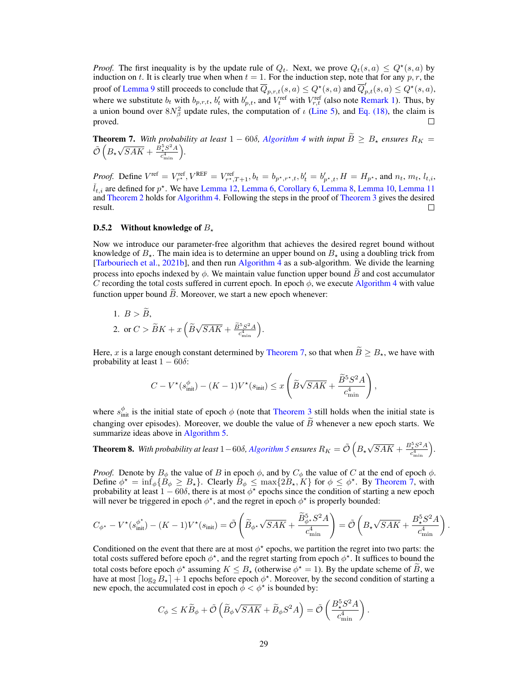*Proof.* The first inequality is by the update rule of  $Q_t$ . Next, we prove  $Q_t(s, a) \leq Q^*(s, a)$  by induction on t. It is clearly true when when  $t = 1$ . For the induction step, note that for any p, r, the proof of [Lemma 9](#page-19-0) still proceeds to conclude that  $\overline{Q}_{p,r,t}(s, a) \le Q^*(s, a)$  and  $\overline{Q}'_{p,t}(s, a) \le Q^*(s, a)$ , where we substitute  $b_t$  with  $b_{p,r,t}$ ,  $b_t'$  with  $b_{p,t}'$ , and  $\overline{V_t^{\text{ref}}}$  with  $V_{r,t}^{\text{ref}}$  (also note [Remark 1\)](#page-20-3). Thus, by a union bound over  $8N_{\beta}^2$  update rules, the computation of  $\iota$  [\(Line 5\)](#page-6-4), and [Eq. \(18\),](#page-27-1) the claim is proved.

<span id="page-28-0"></span>**Theorem 7.** With probability at least  $1 - 60\delta$ , *[Algorithm 4](#page-27-0) with input*  $B \geq B_{\star}$  *ensures*  $R_K = \frac{B_{\star} \delta}{\epsilon_0}$  $\tilde{\mathcal{O}}\left(B_\star\right)$ √  $\overline{SAK} + \frac{B_{\star}^{5}S^{2}A}{c^{4}}$  $\frac{c_{\star}^5 S^2 A}{c_{\min}^4}$ .

*Proof.* Define  $V^{\text{ref}} = V_{r^*}^{\text{ref}}, V^{\text{REF}} = V_{r^*,T+1}^{\text{ref}}, b_t = b_{p^*,r^*,t}, b_t' = b_{p^*,t}', H = H_{p^*}$ , and  $n_t, m_t, l_{t,i}$ ,  $\tilde{l}_{t,i}$  are defined for  $p^*$ . We have [Lemma 12,](#page-24-1) [Lemma 6,](#page-16-4) [Corollary 6,](#page-18-1) [Lemma 8,](#page-18-0) [Lemma 10,](#page-22-1) [Lemma 11](#page-22-0) and [Theorem 2](#page-7-0) holds for [Algorithm 4.](#page-27-0) Following the steps in the proof of [Theorem 3](#page-7-1) gives the desired result. П

# D.5.2 Without knowledge of  $B_{\star}$

Now we introduce our parameter-free algorithm that achieves the desired regret bound without knowledge of  $B_{\star}$ . The main idea is to determine an upper bound on  $B_{\star}$  using a doubling trick from [\[Tarbouriech et al.,](#page-11-0) [2021b\]](#page-11-0), and then run [Algorithm 4](#page-27-0) as a sub-algorithm. We divide the learning process into epochs indexed by  $\phi$ . We maintain value function upper bound  $\hat{B}$  and cost accumulator C recording the total costs suffered in current epoch. In epoch  $\phi$ , we execute [Algorithm 4](#page-27-0) with value function upper bound  $\ddot{B}$ . Moreover, we start a new epoch whenever:

1. 
$$
B > \widetilde{B}
$$
,  
2. or  $C > \widetilde{B}K + x\left(\widetilde{B}\sqrt{SAK} + \frac{\widetilde{B}^5S^2A}{c_{\min}^4}\right)$ .

Here, x is a large enough constant determined by [Theorem 7,](#page-28-0) so that when  $\widetilde{B} > B_{\star}$ , we have with probability at least  $1 - 60\delta$ :

$$
C - V^{\star}(s_{\text{init}}^{\phi}) - (K - 1)V^{\star}(s_{\text{init}}) \le x \left( \widetilde{B} \sqrt{SAK} + \frac{\widetilde{B}^{5}S^{2}A}{c_{\text{min}}^{4}} \right),
$$

where  $s_{\text{init}}^{\phi}$  is the initial state of epoch  $\phi$  (note that [Theorem 3](#page-7-1) still holds when the initial state is changing over episodes). Moreover, we double the value of  $\widetilde{B}$  whenever a new epoch starts. We summarize ideas above in [Algorithm 5.](#page-29-0)

Theorem 8. With probability at least  $1-60\delta$ , [Algorithm 5](#page-29-0) ensures  $R_K = \tilde{\mathcal{O}}\left(B_\star\right)$ √  $\overline{SAK} + \frac{B_{\star}^{5}S^{2}A}{c^{4}}$  $\frac{e^{5}_{\star}S^{2}A}{e^{4}_{\min}}$ .

*Proof.* Denote by  $B_{\phi}$  the value of B in epoch  $\phi$ , and by  $C_{\phi}$  the value of C at the end of epoch  $\phi$ . Define  $\phi^* = \inf_{\phi} \{ B_{\phi} \geq B_{\star} \}$ . Clearly  $B_{\phi} \leq \max \{ 2B_{\star}, K \}$  for  $\phi \leq \phi^*$ . By [Theorem 7,](#page-28-0) with probability at least  $1 - 60\delta$ , there is at most  $\phi^*$  epochs since the condition of starting a new epoch will never be triggered in epoch  $\phi^*$ , and the regret in epoch  $\phi^*$  is properly bounded:

$$
C_{\phi^{\star}} - V^{\star}(s_{\text{init}}^{\phi^{\star}}) - (K - 1)V^{\star}(s_{\text{init}}) = \tilde{\mathcal{O}}\left(\tilde{B}_{\phi^{\star}}\sqrt{SAK} + \frac{\tilde{B}_{\phi^{\star}}^{5}S^{2}A}{c_{\text{min}}^{4}}\right) = \tilde{\mathcal{O}}\left(B_{\star}\sqrt{SAK} + \frac{B_{\star}^{5}S^{2}A}{c_{\text{min}}^{4}}\right)
$$

.

.

Conditioned on the event that there are at most  $\phi^*$  epochs, we partition the regret into two parts: the total costs suffered before epoch  $\phi^*$ , and the regret starting from epoch  $\phi^*$ . It suffices to bound the total costs before epoch  $\phi^*$  assuming  $K \leq B_*$  (otherwise  $\phi^* = 1$ ). By the update scheme of  $\tilde{B}$ , we have at most line  $B$ . have at most  $\lceil \log_2 B_\star \rceil + 1$  epochs before epoch  $\phi^*$ . Moreover, by the second condition of starting a new epoch, the accumulated cost in epoch  $\phi < \phi^*$  is bounded by:

$$
C_{\phi} \leq K \widetilde{B}_{\phi} + \widetilde{\mathcal{O}}\left(\widetilde{B}_{\phi}\sqrt{SAK} + \widetilde{B}_{\phi}S^2A\right) = \widetilde{\mathcal{O}}\left(\frac{B_{\star}^5S^2A}{c_{\min}^4}\right)
$$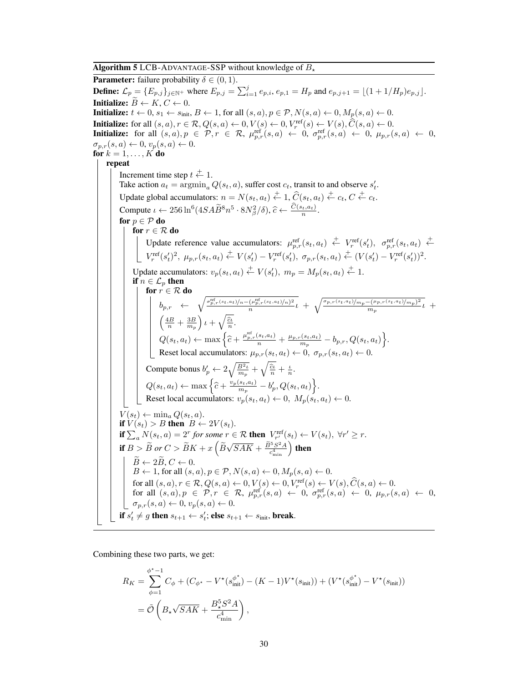**Algorithm 5** LCB-ADVANTAGE-SSP without knowledge of  $B$ .

<span id="page-29-0"></span>**Parameter:** failure probability  $\delta \in (0, 1)$ . **Define:**  $\mathcal{L}_p = \{E_{p,j}\}_{j \in \mathbb{N}}$ + where  $E_{p,j} = \sum_{i=1}^j e_{p,i}, e_{p,1} = H_p$  and  $e_{p,j+1} = \lfloor (1 + 1/H_p)e_{p,j} \rfloor$ . **Initialize:**  $B \leftarrow K, C \leftarrow 0$ . **Initialize:**  $t \leftarrow 0$ ,  $s_1 \leftarrow s_{\text{init}}$ ,  $B \leftarrow 1$ , for all  $(s, a)$ ,  $p \in \mathcal{P}$ ,  $N(s, a) \leftarrow 0$ ,  $M_p(s, a) \leftarrow 0$ . **Initialize:** for all  $(s, a)$ ,  $r \in \mathcal{R}$ ,  $Q(s, a) \leftarrow 0$ ,  $V(s) \leftarrow 0$ ,  $V_r^{\text{ref}}(s) \leftarrow V(s)$ ,  $\hat{C}(s, a) \leftarrow 0$ .<br> **Initialize:** for all  $(s, a)$ ,  $p \in \mathcal{P}$ ,  $r \in \mathcal{R}$ ,  $\mu_{p,r}^{\text{ref}}(s, a) \leftarrow 0$ ,  $\sigma_{p,r}^{\text{ref}}(s, a) \leftarrow 0$ ,  $\mu_{$  $\sigma_{p,r}(s,a) \leftarrow 0, v_p(s,a) \leftarrow 0.$ for  $k = 1, \ldots, K$  do repeat Increment time step  $t \stackrel{+}{\leftarrow} 1$ . Take action  $a_t = \arg\min_a Q(s_t, a)$ , suffer cost  $c_t$ , transit to and observe  $s'_t$ . Update global accumulators:  $n = N(s_t, a_t) \stackrel{+}{\leftarrow} 1$ ,  $\widehat{C}(s_t, a_t) \stackrel{+}{\leftarrow} c_t$ ,  $C \stackrel{+}{\leftarrow} c_t$ . Compute  $\iota \leftarrow 256 \ln^6(4SA\widetilde{B}^8n^5 \cdot 8N_\beta^2/\delta), \widehat{c} \leftarrow \frac{C(s_t, a_t)}{n}.$ for  $p \in \mathcal{P}$  do for  $r \in \mathcal{R}$  do Update reference value accumulators:  $\mu_{p,r}^{\text{ref}}(s_t, a_t) \stackrel{+}{\leftarrow} V_r^{\text{ref}}(s'_t), \sigma_{p,r}^{\text{ref}}(s_t, a_t) \stackrel{+}{\leftarrow}$  $V_r^{\text{ref}}(s_t')^2, \ \mu_{p,r}(s_t, a_t) \stackrel{+}{\leftarrow} V(s_t') - V_r^{\text{ref}}(s_t'), \ \sigma_{p,r}(s_t, a_t) \stackrel{+}{\leftarrow} (V(s_t') - V_r^{\text{ref}}(s_t'))^2.$ Update accumulators:  $v_p(s_t, a_t) \stackrel{+}{\leftarrow} V(s'_t)$ ,  $m_p = M_p(s_t, a_t) \stackrel{+}{\leftarrow} 1$ . if  $n \in \mathcal{L}_p$  then for  $r \in \mathcal{R}$  do  $b_{p,r} \leftarrow \sqrt{\frac{\sigma_{p,r}^{\text{ref}}(s_t,a_t)}{n}(n-\mu_p^{\text{ref}},(s_t,a_t)/n)^2}$  $\frac{(\mu_{p,r}^{\rm ref}(s_t,a_t)/n)^2}{n}t + \sqrt{\frac{\sigma_{p,r}(s_t,a_t)/m_p-(\mu_{p,r}(s_t,a_t)/m_p)^2}{m_p}}$  $\frac{(-\mu_{p,r}(s_t,a_t)/m_p)^2}{m_p}t +$  $\left(\frac{4B}{n} + \frac{3B}{m_p}\right)\iota + \sqrt{\frac{\widehat{c}\iota}{n}}.$  $Q(s_t, a_t) \leftarrow \max \left\{ \widehat{c} + \frac{\mu_{p,r}^{\text{ref}}(s_t, a_t)}{n} + \frac{\mu_{p,r}(s_t, a_t)}{m_p} \right\}$  $\frac{b_{n}(s_t,a_t)}{m_p}-b_{p,r},Q(s_t,a_t)\bigg\}.$ Reset local accumulators:  $\mu_{p,r}(s_t, a_t) \leftarrow 0$ ,  $\sigma_{p,r}(s_t, a_t) \leftarrow 0$ . Compute bonus  $b'_p \leftarrow 2\sqrt{\frac{B^2 t}{m_p}} + \sqrt{\frac{\hat{c}t}{n}} + \frac{t}{n}$ .  $Q(s_t, a_t) \leftarrow \max\left\{\widehat{c} + \frac{v_p(s_t, a_t)}{m_p}\right\}$  $\left\{\frac{s_t,a_t)}{m_p}-b'_p,Q(s_t,a_t)\right\}.$ Reset local accumulators:  $v_p(s_t, a_t) \leftarrow 0$ ,  $M_p(s_t, a_t) \leftarrow 0$ .  $V(s_t) \leftarrow \min_a Q(s_t, a).$ if  $V(s_t) > B$  then  $B \leftarrow 2V(s_t)$ . **if**  $\sum_a N(s_t, a) = 2^r$  for some  $r \in \mathcal{R}$  **then**  $V_{r'}^{\text{ref}}(s_t) \leftarrow V(s_t)$ ,  $\forall r' \geq r$ . **if**  $B > \widetilde{B}$  or  $C > \widetilde{B}K + x\left(\widetilde{B}\right)$ √  $\overline{SAK} + \frac{\widetilde{B}^5S^2A}{c_{\text{min}}^4} \Big)$  then  $\widetilde{B} \leftarrow 2\widetilde{B}, C \leftarrow 0.$  $B \leftarrow 1$ , for all  $(s, a), p \in \mathcal{P}, N(s, a) \leftarrow 0, M_p(s, a) \leftarrow 0$ .  $\text{for all } (s, a), r \in \mathcal{R}, Q(s, a) \leftarrow 0, V(s) \leftarrow 0, V_r^{\text{ref}}(s) \leftarrow V(s), \widetilde{C}(s, a) \leftarrow 0.$ <br>  $\text{for all } (s, a), p \in \mathcal{P}, r \in \mathcal{R}, \ \mu_{p,r}^{\text{ref}}(s, a) \leftarrow 0, \ \sigma_{p,r}^{\text{ref}}(s, a) \leftarrow 0, \ \mu_{p,r}(s, a) \leftarrow 0,$  $\sigma_{p,r}(s,a) \leftarrow 0, v_p(s,a) \leftarrow 0.$ if  $s_t' \neq g$  then  $s_{t+1} \leftarrow s_t'$ ; else  $s_{t+1} \leftarrow s_{\text{init}}$ , break.

Combining these two parts, we get:

$$
R_K = \sum_{\phi=1}^{\phi^* - 1} C_{\phi} + (C_{\phi^*} - V^*(s_{\text{init}}^{\phi^*}) - (K - 1)V^*(s_{\text{init}})) + (V^*(s_{\text{init}}^{\phi^*}) - V^*(s_{\text{init}}))
$$
  
=  $\tilde{\mathcal{O}}\left(B_{\star}\sqrt{SAK} + \frac{B_{\star}^5 S^2 A}{c_{\text{min}}^4}\right),$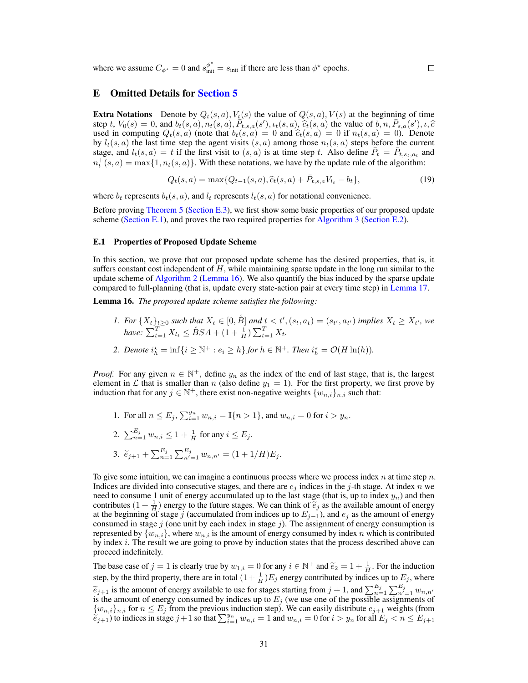where we assume  $C_{\phi^*} = 0$  and  $s_{\text{init}}^{\phi^*} = s_{\text{init}}$  if there are less than  $\phi^*$  epochs.

## <span id="page-30-2"></span>E Omitted Details for [Section 5](#page-8-0)

**Extra Notations** Denote by  $Q_t(s, a)$ ,  $V_t(s)$  the value of  $Q(s, a)$ ,  $V(s)$  at the beginning of time step t,  $V_0(s) = 0$ , and  $b_t(s, a), n_t(s, a), \overline{P}_{t,s,a}(s'), t_t(s, a), \overline{\hat{c}_t}(s, a)$  the value of  $b, n, \overline{P}_{s,a}(s'), t, \hat{c}$ <br>used in computing  $O_s(s, a)$  (note that  $b_s(s, a) = 0$  and  $\hat{c}_s(s, a) = 0$  if  $n_s(s, a) = 0$ ). Denote used in computing  $Q_t(s, a)$  (note that  $b_t(s, a) = 0$  and  $\hat{c}_t(s, a) = 0$  if  $n_t(s, a) = 0$ ). Denote by  $l_t(s, a)$  the last time step the agent visits  $(s, a)$  among those  $n_t(s, a)$  steps before the current stage, and  $l_t(s, a) = t$  if the first visit to  $(s, a)$  is at time step t. Also define  $\bar{P}_t = \bar{P}_{t, s_t, a_t}$  and  $n_t^+(s, a) = \max\{1, n_t(s, a)\}.$  With these notations, we have by the update rule of the algorithm:

<span id="page-30-3"></span>
$$
Q_t(s, a) = \max\{Q_{t-1}(s, a), \hat{c}_t(s, a) + \bar{P}_{t,s,a}V_{t_t} - b_t\},\tag{19}
$$

where  $b_t$  represents  $b_t(s, a)$ , and  $l_t$  represents  $l_t(s, a)$  for notational convenience.

Before proving [Theorem 5](#page-9-2) [\(Section E.3\)](#page-35-0), we first show some basic properties of our proposed update scheme [\(Section E.1\)](#page-30-1), and proves the two required properties for [Algorithm 3](#page-8-1) [\(Section E.2\)](#page-32-1).

#### <span id="page-30-1"></span>E.1 Properties of Proposed Update Scheme

In this section, we prove that our proposed update scheme has the desired properties, that is, it suffers constant cost independent of  $H$ , while maintaining sparse update in the long run similar to the update scheme of [Algorithm 2](#page-6-0) [\(Lemma 16\)](#page-30-0). We also quantify the bias induced by the sparse update compared to full-planning (that is, update every state-action pair at every time step) in [Lemma 17.](#page-31-1)

<span id="page-30-0"></span>Lemma 16. *The proposed update scheme satisfies the following:*

- *1.* For  $\{X_t\}_{t\geq0}$  such that  $X_t \in [0, \mathring{B}]$  and  $t < t'$ ,  $(s_t, a_t) = (s_{t'}, a_{t'})$  implies  $X_t \geq X_{t'}$ , we *have:*  $\sum_{t=1}^{T} X_{l_t} \leq \mathring{B}SA + (1 + \frac{1}{H})\sum_{t=1}^{T} X_t$ .
- 2. Denote  $i_h^* = \inf\{i \geq \mathbb{N}^+ : e_i \geq h\}$  for  $h \in \mathbb{N}^+$ . Then  $i_h^* = \mathcal{O}(H \ln(h))$ .

*Proof.* For any given  $n \in \mathbb{N}^+$ , define  $y_n$  as the index of the end of last stage, that is, the largest element in  $\mathcal L$  that is smaller than n (also define  $y_1 = 1$ ). For the first property, we first prove by induction that for any  $j \in \mathbb{N}^+$ , there exist non-negative weights  $\{w_{n,i}\}_{n,i}$  such that:

- 1. For all  $n \le E_j$ ,  $\sum_{i=1}^{y_n} w_{n,i} = \mathbb{I}\{n > 1\}$ , and  $w_{n,i} = 0$  for  $i > y_n$ .
- 2.  $\sum_{n=1}^{E_j} w_{n,i} \leq 1 + \frac{1}{H}$  for any  $i \leq E_j$ .
- 3.  $\widetilde{e}_{j+1} + \sum_{n=1}^{E_j} \sum_{n'=1}^{E_j} w_{n,n'} = (1 + 1/H)E_j.$

To give some intuition, we can imagine a continuous process where we process index  $n$  at time step  $n$ . Indices are divided into consecutive stages, and there are  $e_i$  indices in the j-th stage. At index n we need to consume 1 unit of energy accumulated up to the last stage (that is, up to index  $y_n$ ) and then contributes  $(1 + \frac{1}{H})$  energy to the future stages. We can think of  $\tilde{e}_j$  as the available amount of energy at the beginning of stage *i* (accumulated from indices up to  $E_{i+1}$ ) and  $e_j$  as the amount of energy at the beginning of stage j (accumulated from indices up to  $E_{j-1}$ ), and  $e_j$  as the amount of energy consumed in stage  $j$  (one unit by each index in stage  $j$ ). The assignment of energy consumption is represented by  $\{w_{n,i}\}$ , where  $w_{n,i}$  is the amount of energy consumed by index n which is contributed by index  $i$ . The result we are going to prove by induction states that the process described above can proceed indefinitely.

The base case of  $j = 1$  is clearly true by  $w_{1,i} = 0$  for any  $i \in \mathbb{N}^+$  and  $\tilde{e}_2 = 1 + \frac{1}{H}$ . For the induction step, by the third property, there are in total  $(1 + \frac{1}{H})E_j$  energy contributed by indices up to  $E_j$ , where  $\widetilde{e}_{j+1}$  is the amount of energy available to use for stages starting from  $j + 1$ , and  $\sum_{i=1}^{E_j} \sum_{i=1}^{E_j} w_{n,n'}$ <br>is the amount of energy consumed by indices up to E. (we use one of the possible assignments of is the amount of energy consumed by indices up to  $E_j$  (we use one of the possible assignments of  $\{w_{n,i}\}_{n,i}$  for  $n \leq E_j$  from the previous induction step). We can easily distribute  $e_{j+1}$  weights (from  $\sum_{i=1}^{\infty} w_{n,i}$ , indices in stage  $j+1$  so that  $\sum_{i=1}^{y_n} w_{n,i} = 1$  and  $w_{n,i} = 0$  for  $i > y_n$  for all  $E_j < n \le E_{j+1}$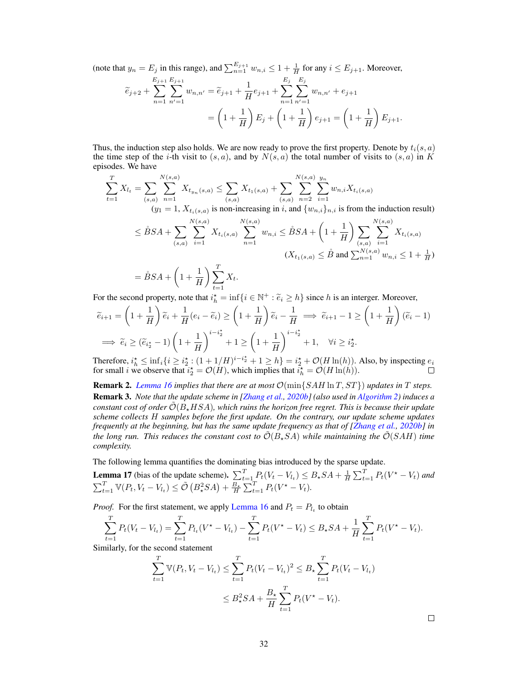(note that  $y_n = E_j$  in this range), and  $\sum_{n=1}^{E_{j+1}} w_{n,i} \leq 1 + \frac{1}{H}$  for any  $i \leq E_{j+1}$ . Moreover,

$$
\widetilde{e}_{j+2} + \sum_{n=1}^{E_{j+1}} \sum_{n'=1}^{E_{j+1}} w_{n,n'} = \widetilde{e}_{j+1} + \frac{1}{H} e_{j+1} + \sum_{n=1}^{E_j} \sum_{n'=1}^{E_j} w_{n,n'} + e_{j+1}
$$

$$
= \left(1 + \frac{1}{H}\right) E_j + \left(1 + \frac{1}{H}\right) e_{j+1} = \left(1 + \frac{1}{H}\right) E_{j+1}.
$$

Thus, the induction step also holds. We are now ready to prove the first property. Denote by  $t_i(s, a)$ the time step of the *i*-th visit to  $(s, a)$ , and by  $N(s, a)$  the total number of visits to  $(s, a)$  in K episodes. We have

$$
\sum_{t=1}^{T} X_{l_{t}} = \sum_{(s,a)} \sum_{n=1}^{N(s,a)} X_{t_{y_{n}}(s,a)} \leq \sum_{(s,a)} X_{t_{1}(s,a)} + \sum_{(s,a)} \sum_{n=2}^{N(s,a)} \sum_{i=1}^{y_{n}} w_{n,i} X_{t_{i}(s,a)}
$$
\n
$$
(y_{1} = 1, X_{t_{i}(s,a)} \text{ is non-increasing in } i, \text{ and } \{w_{n,i}\}_{n,i} \text{ is from the induction result})
$$
\n
$$
\leq \mathring{B}SA + \sum_{(s,a)} \sum_{i=1}^{N(s,a)} X_{t_{i}(s,a)} \sum_{n=1}^{N(s,a)} w_{n,i} \leq \mathring{B}SA + \left(1 + \frac{1}{H}\right) \sum_{(s,a)} \sum_{i=1}^{N(s,a)} X_{t_{i}(s,a)}
$$
\n
$$
(X_{t_{1}(s,a)} \leq \mathring{B} \text{ and } \sum_{n=1}^{N(s,a)} w_{n,i} \leq 1 + \frac{1}{H})
$$
\n
$$
= \mathring{B}SA + \left(1 + \frac{1}{H}\right) \sum_{t=1}^{T} X_{t}.
$$

For the second property, note that  $i_h^* = \inf\{i \in \mathbb{N}^+ : \tilde{e}_i \ge h\}$  since h is an interger. Moreover,

$$
\widetilde{e}_{i+1} = \left(1 + \frac{1}{H}\right)\widetilde{e}_i + \frac{1}{H}(e_i - \widetilde{e}_i) \ge \left(1 + \frac{1}{H}\right)\widetilde{e}_i - \frac{1}{H} \implies \widetilde{e}_{i+1} - 1 \ge \left(1 + \frac{1}{H}\right)(\widetilde{e}_i - 1)
$$
\n
$$
\implies \widetilde{e}_i \ge (\widetilde{e}_{i_2^*} - 1)\left(1 + \frac{1}{H}\right)^{i - i_2^*} + 1 \ge \left(1 + \frac{1}{H}\right)^{i - i_2^*} + 1, \quad \forall i \ge i_2^*.
$$

Therefore,  $i_h^* \le \inf_i \{i \ge i_2^* : (1 + 1/H)^{i - i_2^*} + 1 \ge h\} = i_2^* + \mathcal{O}(H \ln(h))$ . Also, by inspecting  $e_i$ for small *i* we observe that  $i_2^* = \mathcal{O}(H)$ , which implies that  $i_h^* = \mathcal{O}(H \ln(h)).$ 

<span id="page-31-0"></span>**Remark 2.** *[Lemma 16](#page-30-0) implies that there are at most*  $\mathcal{O}(\min\{SAH \ln T, ST\})$  *updates in* T *steps.* Remark 3. *Note that the update scheme in [\[Zhang et al.,](#page-11-2) [2020b\]](#page-11-2) (also used in [Algorithm 2\)](#page-6-0) induces a constant cost of order*  $\tilde{\mathcal{O}}(B_*HSA)$ *, which ruins the horizon free regret. This is because their update scheme collects* H *samples before the first update. On the contrary, our update scheme updates frequently at the beginning, but has the same update frequency as that of [\[Zhang et al.,](#page-11-2) [2020b\]](#page-11-2) in the long run. This reduces the constant cost to*  $\tilde{\mathcal{O}}(B_{\star}SA)$  *while maintaining the*  $\tilde{\mathcal{O}}(SAH)$  *time complexity.*

The following lemma quantifies the dominating bias introduced by the sparse update.

<span id="page-31-1"></span>**Lemma 17** (bias of the update scheme). 
$$
\sum_{t=1}^{T} P_t(V_t - V_{l_t}) \leq B_{\star}SA + \frac{1}{H} \sum_{t=1}^{T} P_t(V^* - V_t)
$$
 and  $\sum_{t=1}^{T} \mathbb{V}(P_t, V_t - V_{l_t}) \leq \tilde{\mathcal{O}}\left(B_{\star}^2 SA\right) + \frac{B_{\star}}{H} \sum_{t=1}^{T} P_t(V^* - V_t)$ .

*Proof.* For the first statement, we apply [Lemma 16](#page-30-0) and  $P_t = P_{t_t}$  to obtain

$$
\sum_{t=1}^{T} P_t (V_t - V_{l_t}) = \sum_{t=1}^{T} P_{l_t} (V^* - V_{l_t}) - \sum_{t=1}^{T} P_t (V^* - V_t) \leq B_{\star} S A + \frac{1}{H} \sum_{t=1}^{T} P_t (V^* - V_t).
$$

Similarly, for the second statement

$$
\sum_{t=1}^{T} \mathbb{V}(P_t, V_t - V_{l_t}) \le \sum_{t=1}^{T} P_t (V_t - V_{l_t})^2 \le B_\star \sum_{t=1}^{T} P_t (V_t - V_{l_t})
$$
  

$$
\le B_\star^2 SA + \frac{B_\star}{H} \sum_{t=1}^{T} P_t (V^\star - V_t).
$$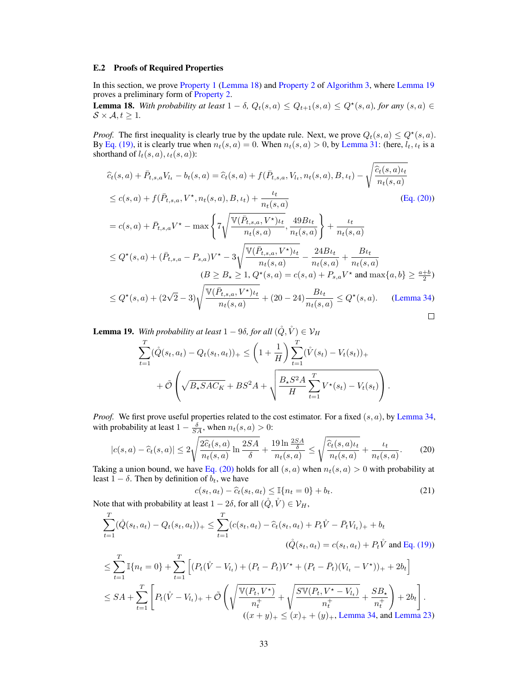#### <span id="page-32-1"></span>E.2 Proofs of Required Properties

In this section, we prove [Property 1](#page-4-0) [\(Lemma 18\)](#page-32-0) and [Property 2](#page-4-1) of [Algorithm 3,](#page-8-1) where [Lemma 19](#page-32-2) proves a preliminary form of [Property 2.](#page-4-1)

<span id="page-32-0"></span>**Lemma 18.** With probability at least  $1 - \delta$ ,  $Q_t(s, a) \leq Q_{t+1}(s, a) \leq Q^*(s, a)$ , for any  $(s, a) \in$  $S \times A, t \geq 1$ .

*Proof.* The first inequality is clearly true by the update rule. Next, we prove  $Q_t(s, a) \le Q^*(s, a)$ . By [Eq. \(19\),](#page-30-3) it is clearly true when  $n_t(s, a) = 0$ . When  $n_t(s, a) > 0$ , by [Lemma 31:](#page-41-3) (here,  $l_t, l_t$  is a shorthand of  $l_t(s, a)$ ,  $\iota_t(s, a)$ :

$$
\hat{c}_{t}(s, a) + \bar{P}_{t,s,a}V_{t_{t}} - b_{t}(s, a) = \hat{c}_{t}(s, a) + f(\bar{P}_{t,s,a}, V_{t_{t}}, n_{t}(s, a), B, \iota_{t}) - \sqrt{\frac{\hat{c}_{t}(s, a)\iota_{t}}{n_{t}(s, a)}}
$$
\n
$$
\leq c(s, a) + f(\bar{P}_{t,s,a}, V^{\star}, n_{t}(s, a), B, \iota_{t}) + \frac{\iota_{t}}{n_{t}(s, a)}
$$
\n
$$
= c(s, a) + \bar{P}_{t,s,a}V^{\star} - \max\left\{7\sqrt{\frac{V(\bar{P}_{t,s,a}, V^{\star})\iota_{t}}{n_{t}(s, a)}}, \frac{49B\iota_{t}}{n_{t}(s, a)}\right\} + \frac{\iota_{t}}{n_{t}(s, a)}
$$
\n
$$
\leq Q^{\star}(s, a) + (\bar{P}_{t,s,a} - P_{s,a})V^{\star} - 3\sqrt{\frac{V(\bar{P}_{t,s,a}, V^{\star})\iota_{t}}{n_{t}(s, a)}} - \frac{24B\iota_{t}}{n_{t}(s, a)} + \frac{B\iota_{t}}{n_{t}(s, a)}
$$
\n
$$
(B \geq B_{\star} \geq 1, Q^{\star}(s, a) = c(s, a) + P_{s,a}V^{\star} \text{ and } \max\{a, b\} \geq \frac{a+b}{2})
$$
\n
$$
\leq Q^{\star}(s, a) + (2\sqrt{2} - 3)\sqrt{\frac{V(\bar{P}_{t,s,a}, V^{\star})\iota_{t}}{n_{t}(s, a)}} + (20 - 24)\frac{B\iota_{t}}{n_{t}(s, a)} \leq Q^{\star}(s, a). \quad \text{(Lemma 34)}
$$

 $\Box$ 

<span id="page-32-2"></span>**Lemma 19.** With probability at least  $1 - 9\delta$ , for all  $(\hat{Q}, \hat{V}) \in \mathcal{V}_H$ 

$$
\sum_{t=1}^{T} (\mathring{Q}(s_t, a_t) - Q_t(s_t, a_t))_{+} \leq \left(1 + \frac{1}{H}\right) \sum_{t=1}^{T} (\mathring{V}(s_t) - V_t(s_t))_{+} + \tilde{\mathcal{O}}\left(\sqrt{B_{\star} S A C_K} + B S^2 A + \sqrt{\frac{B_{\star} S^2 A}{H} \sum_{t=1}^{T} V^{\star}(s_t) - V_t(s_t)}\right).
$$

*Proof.* We first prove useful properties related to the cost estimator. For a fixed  $(s, a)$ , by [Lemma 34,](#page-42-3) with probability at least  $1 - \frac{\delta}{SA}$ , when  $n_t(s, a) > 0$ :

$$
|c(s,a) - \widehat{c}_t(s,a)| \le 2\sqrt{\frac{2\widehat{c}_t(s,a)}{n_t(s,a)}\ln\frac{2SA}{\delta}} + \frac{19\ln\frac{2SA}{\delta}}{n_t(s,a)} \le \sqrt{\frac{\widehat{c}_t(s,a)\iota_t}{n_t(s,a)}} + \frac{\iota_t}{n_t(s,a)}.
$$
 (20)

Taking a union bound, we have [Eq. \(20\)](#page-32-3) holds for all  $(s, a)$  when  $n_t(s, a) > 0$  with probability at least  $1 - \delta$ . Then by definition of  $b_t$ , we have

<span id="page-32-4"></span><span id="page-32-3"></span>
$$
c(s_t, a_t) - \hat{c}_t(s_t, a_t) \le \mathbb{I}\{n_t = 0\} + b_t.
$$
 (21)

Note that with probability at least  $1 - 2\delta$ , for all  $(\hat{Q}, \hat{V}) \in \mathcal{V}_H$ ,

$$
\sum_{t=1}^{T} (\hat{Q}(s_t, a_t) - Q_t(s_t, a_t))_+ \leq \sum_{t=1}^{T} (c(s_t, a_t) - \hat{c}_t(s_t, a_t) + P_t \hat{V} - \bar{P}_t V_{t_t})_+ + b_t
$$
  

$$
(\hat{Q}(s_t, a_t) = c(s_t, a_t) + P_t \hat{V} \text{ and Eq. (19))}
$$

$$
\leq \sum_{t=1}^{T} \mathbb{I}\{n_t = 0\} + \sum_{t=1}^{T} \left[ (P_t(\mathring{V} - V_{t_t}) + (P_t - \bar{P}_t)V^* + (P_t - \bar{P}_t)(V_{t_t} - V^*))_+ + 2b_t \right]
$$
  
\n
$$
\leq SA + \sum_{t=1}^{T} \left[ P_t(\mathring{V} - V_{t_t})_+ + \tilde{O}\left(\sqrt{\frac{\mathbb{V}(P_t, V^*)}{n_t^+}} + \sqrt{\frac{S\mathbb{V}(P_t, V^* - V_{t_t})}{n_t^+}} + \frac{SB_*}{n_t^+}\right) + 2b_t \right].
$$
  
\n
$$
((x + y)_+ \leq (x)_+ + (y)_+.
$$
 Lemma 34, and Lemma 23)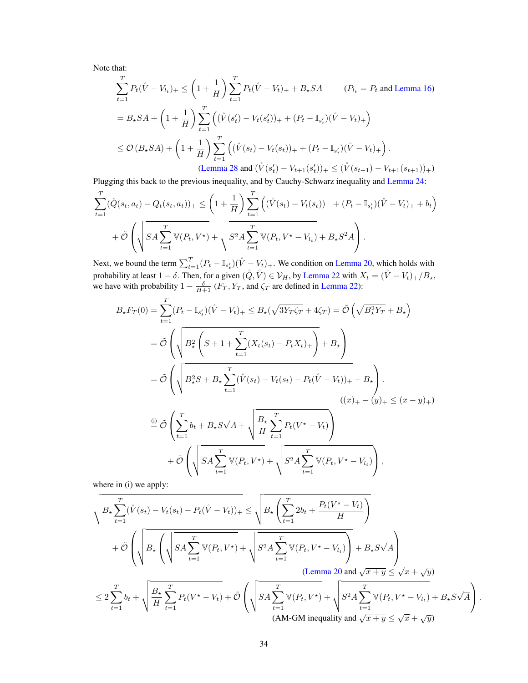Note that:

$$
\sum_{t=1}^{T} P_t(\mathring{V} - V_{l_t})_+ \leq \left(1 + \frac{1}{H}\right) \sum_{t=1}^{T} P_t(\mathring{V} - V_t)_+ + B_\star SA \qquad (P_{l_t} = P_t \text{ and Lemma 16})
$$
\n
$$
= B_\star SA + \left(1 + \frac{1}{H}\right) \sum_{t=1}^{T} \left( (\mathring{V}(s'_t) - V_t(s'_t))_+ + (P_t - \mathbb{I}_{s'_t})(\mathring{V} - V_t)_+\right)
$$
\n
$$
\leq \mathcal{O}\left(B_\star SA\right) + \left(1 + \frac{1}{H}\right) \sum_{t=1}^{T} \left( (\mathring{V}(s_t) - V_t(s_t))_+ + (P_t - \mathbb{I}_{s'_t})(\mathring{V} - V_t)_+\right).
$$
\n(Lemma 28 and  $(\mathring{V}(s'_t) - V_{t+1}(s'_t))_+ \leq (\mathring{V}(s_{t+1}) - V_{t+1}(s_{t+1}))_+)$ )

Plugging this back to the previous inequality, and by Cauchy-Schwarz inequality and [Lemma 24:](#page-39-2)

$$
\sum_{t=1}^{T} (\hat{Q}(s_t, a_t) - Q_t(s_t, a_t))_{+} \leq \left(1 + \frac{1}{H}\right) \sum_{t=1}^{T} \left( (\hat{V}(s_t) - V_t(s_t))_{+} + (P_t - \mathbb{I}_{s'_t})(\hat{V} - V_t)_{+} + b_t \right) + \tilde{\mathcal{O}} \left( \sqrt{SA \sum_{t=1}^{T} \mathbb{V}(P_t, V^*)} + \sqrt{S^2 A \sum_{t=1}^{T} \mathbb{V}(P_t, V^* - V_{t_t})} + B_{\star} S^2 A \right).
$$

Next, we bound the term  $\sum_{t=1}^{T} (P_t - \mathbb{I}_{s_t})(\mathring{V} - V_t)_+$ . We condition on [Lemma 20,](#page-36-1) which holds with probability at least  $1 - \delta$ . Then, for a given  $(\mathring{Q}, \mathring{V}) \in \mathcal{V}_H$ , by [Lemma 22](#page-39-0) with  $X_t = (\mathring{V} - V_t)_+ / B_*$ , we have with probability  $1 - \frac{\delta}{H+1} (F_T, Y_T, \text{ and } \zeta_T \text{ are defined in Lemma 22}):$ 

$$
B_{\star}F_{T}(0) = \sum_{t=1}^{T} (P_{t} - \mathbb{I}_{s'_{t}})(\mathring{V} - V_{t})_{+} \leq B_{\star}(\sqrt{3Y_{T}\zeta_{T}} + 4\zeta_{T}) = \tilde{\mathcal{O}}\left(\sqrt{B_{\star}^{2}Y_{T}} + B_{\star}\right)
$$
  
\n
$$
= \tilde{\mathcal{O}}\left(\sqrt{B_{\star}^{2}\left(S + 1 + \sum_{t=1}^{T} (X_{t}(s_{t}) - P_{t}X_{t})_{+}\right)} + B_{\star}\right)
$$
  
\n
$$
= \tilde{\mathcal{O}}\left(\sqrt{B_{\star}^{2}S + B_{\star}\sum_{t=1}^{T} (\mathring{V}(s_{t}) - V_{t}(s_{t}) - P_{t}(\mathring{V} - V_{t}))_{+} + B_{\star}\right).
$$
  
\n
$$
((x)_{+} - (y)_{+} \leq (x - y)_{+})
$$
  
\n
$$
\stackrel{\text{(i)}}{=} \tilde{\mathcal{O}}\left(\sum_{t=1}^{T} b_{t} + B_{\star}S\sqrt{A} + \sqrt{\frac{B_{\star}}{H}\sum_{t=1}^{T} P_{t}(V^{\star} - V_{t})}\right)
$$
  
\n
$$
+ \tilde{\mathcal{O}}\left(\sqrt{SA\sum_{t=1}^{T} \mathbb{V}(P_{t}, V^{\star})} + \sqrt{S^{2}A\sum_{t=1}^{T} \mathbb{V}(P_{t}, V^{\star} - V_{t})}\right),
$$

where in (i) we apply:

$$
\sqrt{B_{\star}\sum_{t=1}^{T}(\mathring{V}(s_{t})-V_{t}(s_{t})-P_{t}(\mathring{V}-V_{t}))_{+}} \leq \sqrt{B_{\star}\left(\sum_{t=1}^{T}2b_{t}+\frac{P_{t}(V^{\star}-V_{t})}{H}\right)} + \tilde{\mathcal{O}}\left(\sqrt{B_{\star}\left(\sqrt{SA\sum_{t=1}^{T}\mathbb{V}(P_{t},V^{\star})}+\sqrt{S^{2}A\sum_{t=1}^{T}\mathbb{V}(P_{t},V^{\star}-V_{t})}\right)+B_{\star}S\sqrt{A}}\right) + \frac{1}{2}\sqrt{B_{\star}\sum_{t=1}^{T}\mathbb{V}(P_{t},V^{\star}-V_{t})} + \frac{1}{2}\sqrt{B_{\star}\sum_{t=1}^{T}\mathbb{V}(P_{t},V^{\star})} + \frac{1}{2}\sqrt{B_{\star}\sum_{t=1}^{T}\mathbb{V}(P_{t},V^{\star})} + \frac{1}{2}\sqrt{B_{\star}\sum_{t=1}^{T}\mathbb{V}(P_{t},V^{\star}-V_{t})} + B_{\star}S\sqrt{A}} + \frac{1}{2}\sqrt{B_{\star}\sum_{t=1}^{T}\mathbb{V}(P_{t},V^{\star})} + \frac{1}{2}\sqrt{B_{\star}\sum_{t=1}^{T}\mathbb{V}(P_{t},V^{\star}-V_{t})} + B_{\star}S\sqrt{A}} + \frac{1}{2}\sqrt{B_{\star}\sum_{t=1}^{T}\mathbb{V}(P_{t},V^{\star})} + \frac{1}{2}\sqrt{B_{\star}\sum_{t=1}^{T}\mathbb{V}(P_{t},V^{\star}-V_{t})} + B_{\star}S\sqrt{A}} + \frac{1}{2}\sqrt{B_{\star}\sum_{t=1}^{T}\mathbb{V}(P_{t},V^{\star})} + \frac{1}{2}\sqrt{B_{\star}\sum_{t=1}^{T}\mathbb{V}(P_{t},V^{\star})} + \frac{1}{2}\sqrt{B_{\star}\sum_{t=1}^{T}\mathbb{V}(P_{t},V^{\star})} + \frac{1}{2}\sqrt{B_{\star}\sum_{t=1}^{T}\mathbb{V}(P_{t},V^{\star})} + \frac{1}{2}\sqrt{B_{\star}\sum_{t=1}^{T}\mathbb{V}(P_{t},V^
$$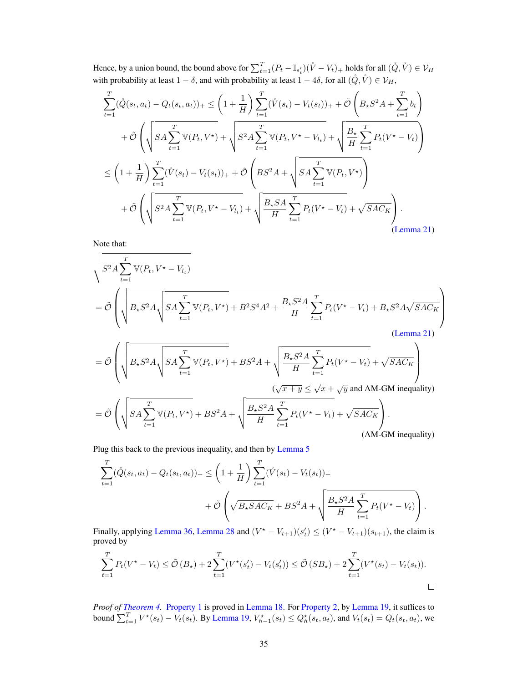Hence, by a union bound, the bound above for  $\sum_{t=1}^T (P_t - \mathbb{I}_{s'_t})(\mathring{V} - V_t)_+$  holds for all  $(\mathring{Q}, \mathring{V}) \in \mathcal{V}_H$ with probability at least  $1 - \delta$ , and with probability at least  $1 - 4\delta$ , for all  $(\mathring{Q}, \mathring{V}) \in \mathcal{V}_H$ ,

$$
\sum_{t=1}^{T} (\hat{Q}(s_t, a_t) - Q_t(s_t, a_t))_{+} \leq \left(1 + \frac{1}{H}\right) \sum_{t=1}^{T} (\mathring{V}(s_t) - V_t(s_t))_{+} + \tilde{\mathcal{O}}\left(B_{\star} S^2 A + \sum_{t=1}^{T} b_t\right) \n+ \tilde{\mathcal{O}}\left(\sqrt{SA \sum_{t=1}^{T} \mathbb{V}(P_t, V^*)} + \sqrt{S^2 A \sum_{t=1}^{T} \mathbb{V}(P_t, V^* - V_{l_t})} + \sqrt{\frac{B_{\star}}{H} \sum_{t=1}^{T} P_t(V^* - V_t)}\right) \n\leq \left(1 + \frac{1}{H}\right) \sum_{t=1}^{T} (\mathring{V}(s_t) - V_t(s_t))_{+} + \tilde{\mathcal{O}}\left(BS^2 A + \sqrt{SA \sum_{t=1}^{T} \mathbb{V}(P_t, V^*)}\right) \n+ \tilde{\mathcal{O}}\left(\sqrt{S^2 A \sum_{t=1}^{T} \mathbb{V}(P_t, V^* - V_{l_t})} + \sqrt{\frac{B_{\star} SA}{H} \sum_{t=1}^{T} P_t(V^* - V_t)} + \sqrt{SAC_K}\right).
$$
\n(Lemma 21)

Note that:

$$
\sqrt{S^2 A \sum_{t=1}^T \mathbb{V}(P_t, V^* - V_{t_t})}
$$
\n
$$
= \tilde{\mathcal{O}} \left( \sqrt{B_* S^2 A \sqrt{SA \sum_{t=1}^T \mathbb{V}(P_t, V^*)} + B^2 S^4 A^2 + \frac{B_* S^2 A}{H} \sum_{t=1}^T P_t (V^* - V_t) + B_* S^2 A \sqrt{SAC_K}} \right)
$$
\n
$$
= \tilde{\mathcal{O}} \left( \sqrt{B_* S^2 A \sqrt{SA \sum_{t=1}^T \mathbb{V}(P_t, V^*)} + BS^2 A + \sqrt{\frac{B_* S^2 A}{H} \sum_{t=1}^T P_t (V^* - V_t) + \sqrt{SAC_K}} \right)
$$
\n
$$
= \tilde{\mathcal{O}} \left( \sqrt{SA \sum_{t=1}^T \mathbb{V}(P_t, V^*)} + BS^2 A + \sqrt{\frac{B_* S^2 A}{H} \sum_{t=1}^T P_t (V^* - V_t) + \sqrt{SAC_K}} \right).
$$
\n(Lemma 21)

Plug this back to the previous inequality, and then by [Lemma 5](#page-14-1)

$$
\sum_{t=1}^{T} (\mathring{Q}(s_t, a_t) - Q_t(s_t, a_t))_{+} \leq \left(1 + \frac{1}{H}\right) \sum_{t=1}^{T} (\mathring{V}(s_t) - V_t(s_t))_{+} + \tilde{\mathcal{O}}\left(\sqrt{B_{\star} S A C_K} + B S^2 A + \sqrt{\frac{B_{\star} S^2 A}{H} \sum_{t=1}^{T} P_t(V^{\star} - V_t)}\right).
$$

H

 $t=1$ 

(AM-GM inequality)

Finally, applying [Lemma 36,](#page-42-2) [Lemma 28](#page-41-2) and  $(V^* - V_{t+1})(s_t') \leq (V^* - V_{t+1})(s_{t+1})$ , the claim is proved by

$$
\sum_{t=1}^{T} P_t(V^* - V_t) \le \tilde{\mathcal{O}}(B_\star) + 2\sum_{t=1}^{T} (V^*(s_t') - V_t(s_t')) \le \tilde{\mathcal{O}}(SB_\star) + 2\sum_{t=1}^{T} (V^*(s_t) - V_t(s_t)).
$$

*Proof of [Theorem 4.](#page-9-0)* [Property 1](#page-4-0) is proved in [Lemma 18.](#page-32-0) For [Property 2,](#page-4-1) by [Lemma 19,](#page-32-2) it suffices to bound  $\sum_{t=1}^{T} V^*(s_t) - V_t(s_t)$ . By [Lemma 19,](#page-32-2)  $V^*_{h-1}(s_t) \leq Q^*_h(s_t, a_t)$ , and  $V_t(s_t) = Q_t(s_t, a_t)$ , we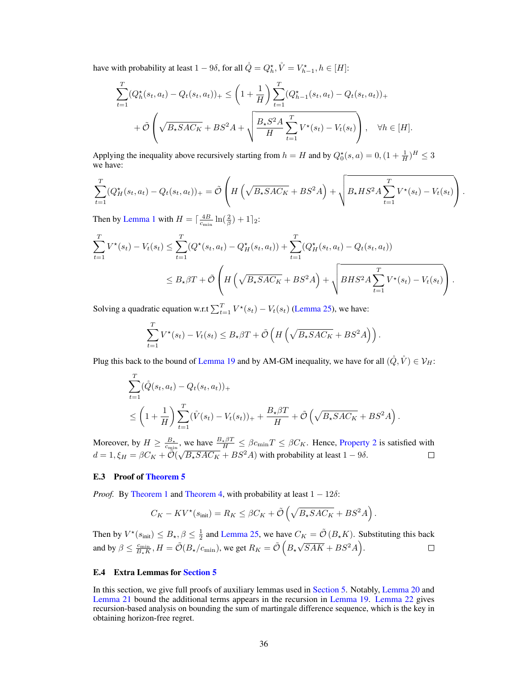have with probability at least  $1 - 9\delta$ , for all  $\mathring{Q} = Q_h^{\star}$ ,  $\mathring{V} = V_{h-1}^{\star}$ ,  $h \in [H]$ :

$$
\sum_{t=1}^{T} (Q_h^{\star}(s_t, a_t) - Q_t(s_t, a_t))_{+} \leq \left(1 + \frac{1}{H}\right) \sum_{t=1}^{T} (Q_{h-1}^{\star}(s_t, a_t) - Q_t(s_t, a_t))_{+}
$$

$$
+ \tilde{\mathcal{O}}\left(\sqrt{B_{\star} S A C_K} + B S^2 A + \sqrt{\frac{B_{\star} S^2 A}{H} \sum_{t=1}^{T} V^{\star}(s_t) - V_t(s_t)}\right), \quad \forall h \in [H].
$$

Applying the inequality above recursively starting from  $h = H$  and by  $Q_0^*(s, a) = 0, (1 + \frac{1}{H})^H \leq 3$ we have:

$$
\sum_{t=1}^{T} (Q_H^{\star}(s_t, a_t) - Q_t(s_t, a_t))_{+} = \tilde{\mathcal{O}}\left( H\left(\sqrt{B_{\star} S A C_K} + B S^2 A\right) + \sqrt{B_{\star} H S^2 A \sum_{t=1}^{T} V^{\star}(s_t) - V_t(s_t)} \right).
$$

Then by [Lemma 1](#page-4-4) with  $H = \left[\frac{4B}{c_{\min}}\ln(\frac{2}{\beta}) + 1\right]_2$ :

$$
\sum_{t=1}^{T} V^*(s_t) - V_t(s_t) \le \sum_{t=1}^{T} (Q^*(s_t, a_t) - Q^*_H(s_t, a_t)) + \sum_{t=1}^{T} (Q^*_H(s_t, a_t) - Q_t(s_t, a_t))
$$
  

$$
\le B_{\star} \beta T + \tilde{\mathcal{O}} \left( H \left( \sqrt{B_{\star} S A C_K} + B S^2 A \right) + \sqrt{B H S^2 A \sum_{t=1}^{T} V^*(s_t) - V_t(s_t)} \right).
$$

Solving a quadratic equation w.r.t  $\sum_{t=1}^{T} V^*(s_t) - V_t(s_t)$  [\(Lemma 25\)](#page-41-1), we have:

$$
\sum_{t=1}^T V^\star(s_t) - V_t(s_t) \leq B_\star \beta T + \tilde{\mathcal{O}}\left(H\left(\sqrt{B_\star S A C_K} + B S^2 A\right)\right).
$$

Plug this back to the bound of [Lemma 19](#page-32-2) and by AM-GM inequality, we have for all  $(\mathring{Q}, \mathring{V}) \in \mathcal{V}_H$ :

$$
\sum_{t=1}^{T} (\mathring{Q}(s_t, a_t) - Q_t(s_t, a_t))_{+}
$$
\n
$$
\leq \left(1 + \frac{1}{H}\right) \sum_{t=1}^{T} (\mathring{V}(s_t) - V_t(s_t))_{+} + \frac{B_{\star}\beta T}{H} + \tilde{\mathcal{O}}\left(\sqrt{B_{\star} S A C_{K}} + B S^2 A\right).
$$

Moreover, by  $H \ge \frac{B_*}{c_{\min}}$ , we have  $\frac{B_*\beta T}{H} \le \beta c_{\min} T \le \beta C_K$ . Hence, [Property 2](#page-4-1) is satisfied with  $d = 1, \xi_H = \beta C_K + \mathcal{O}(\sqrt{B_{\star} S A C_K} + B S^2 A)$  with probability at least  $1 - 9\delta$ .

## <span id="page-35-0"></span>E.3 Proof of [Theorem 5](#page-9-2)

*Proof.* By [Theorem 1](#page-5-1) and [Theorem 4,](#page-9-0) with probability at least  $1 - 12\delta$ :

$$
C_K - KV^*(s_{\text{init}}) = R_K \le \beta C_K + \tilde{\mathcal{O}}\left(\sqrt{B_* S A C_K} + B S^2 A\right).
$$

Then by  $V^*(s_{\text{init}}) \leq B_{\star}, \beta \leq \frac{1}{2}$  and [Lemma 25,](#page-41-1) we have  $C_K = \tilde{\mathcal{O}}(B_{\star}K)$ . Substituting this back  $\sqrt{SAK} + BS^2A$ . and by  $\beta \le \frac{c_{\min}}{B_{\star}K}$ ,  $H = \tilde{\mathcal{O}}(B_{\star}/c_{\min})$ , we get  $R_K = \tilde{\mathcal{O}}\left(B_{\star}/c_{\min}\right)$  $\Box$ 

#### E.4 Extra Lemmas for [Section 5](#page-8-0)

In this section, we give full proofs of auxiliary lemmas used in [Section 5.](#page-8-0) Notably, [Lemma 20](#page-36-1) and [Lemma 21](#page-36-0) bound the additional terms appears in the recursion in [Lemma 19.](#page-32-2) [Lemma 22](#page-39-0) gives recursion-based analysis on bounding the sum of martingale difference sequence, which is the key in obtaining horizon-free regret.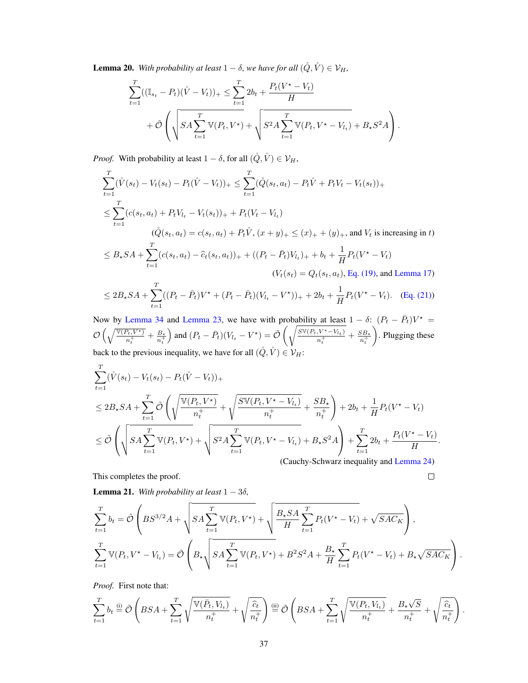<span id="page-36-1"></span>**Lemma 20.** *With probability at least*  $1 - \delta$ *, we have for all*  $(\hat{Q}, \hat{V}) \in \mathcal{V}_H$ *,* 

$$
\sum_{t=1}^{T} ((\mathbb{I}_{s_t} - P_t)(\mathring{V} - V_t))_+ \leq \sum_{t=1}^{T} 2b_t + \frac{P_t(V^* - V_t)}{H} + \tilde{\mathcal{O}}\left(\sqrt{SA\sum_{t=1}^{T} \mathbb{V}(P_t, V^*)} + \sqrt{S^2A\sum_{t=1}^{T} \mathbb{V}(P_t, V^* - V_{l_t})} + B_{\star}S^2A\right).
$$

*Proof.* With probability at least  $1 - \delta$ , for all  $(\mathring{Q}, \mathring{V}) \in \mathcal{V}_H$ ,

$$
\sum_{t=1}^{T} (\hat{V}(s_t) - V_t(s_t) - P_t(\hat{V} - V_t))_{+} \leq \sum_{t=1}^{T} (\hat{Q}(s_t, a_t) - P_t\hat{V} + P_tV_t - V_t(s_t))_{+}
$$
\n
$$
\leq \sum_{t=1}^{T} (c(s_t, a_t) + P_tV_t - V_t(s_t))_{+} + P_t(V_t - V_t)
$$
\n
$$
(\hat{Q}(s_t, a_t) = c(s_t, a_t) + P_t\hat{V}, (x + y)_{+} \leq (x)_{+} + (y)_{+}, \text{ and } V_t \text{ is increasing in } t)
$$
\n
$$
\leq B_{\star}SA + \sum_{t=1}^{T} (c(s_t, a_t) - \hat{c}_t(s_t, a_t))_{+} + ((P_t - \bar{P}_t)V_{t_t})_{+} + b_t + \frac{1}{H}P_t(V^* - V_t)
$$
\n
$$
(V_t(s_t) = Q_t(s_t, a_t), \text{Eq. (19), and Lemma 17)}
$$

$$
\leq 2B_{\star}SA + \sum_{t=1}^{I} ((P_t - \bar{P}_t)V^{\star} + (P_t - \bar{P}_t)(V_{l_t} - V^{\star}))_{+} + 2b_t + \frac{1}{H}P_t(V^{\star} - V_t). \quad \text{(Eq. (21))}
$$

Now by [Lemma 34](#page-42-3) and [Lemma 23,](#page-39-1) we have with probability at least  $1 - \delta$ :  $(P_t - \bar{P}_t)V^* =$  $\mathcal{O}\left(\sqrt{\frac{\mathbb{V}(P_t, V^\star)}{n_t^+}} + \frac{B_\star}{n_t^+}\right)$  $\overline{n_t^+}$ and  $(P_t - \bar{P}_t)(V_{l_t} - V^*) = \tilde{\mathcal{O}}\left(\sqrt{\frac{S\mathbb{V}(P_t, V^* - V_{l_t})}{n^+}}\right)$  $\frac{N^{*}-V_{l_t})}{n_t^{+}} + \frac{SB_{*}}{n_t^{+}}$  $\overline{n_t^+}$  . Plugging these back to the previous inequality, we have for all  $(\hat{Q}, \hat{V}) \in V_H$ :

$$
\sum_{t=1}^{T} (\mathring{V}(s_t) - V_t(s_t) - P_t(\mathring{V} - V_t))_{+}
$$
\n
$$
\leq 2B_*SA + \sum_{t=1}^{T} \tilde{\mathcal{O}}\left(\sqrt{\frac{V(P_t, V^*)}{n_t^+}} + \sqrt{\frac{S V(P_t, V^* - V_{t_t})}{n_t^+}} + \frac{SB_*}{n_t^+}\right) + 2b_t + \frac{1}{H}P_t(V^* - V_t)
$$
\n
$$
\leq \tilde{\mathcal{O}}\left(\sqrt{SA \sum_{t=1}^{T} V(P_t, V^*)} + \sqrt{S^2 A \sum_{t=1}^{T} V(P_t, V^* - V_{t_t})} + B_*S^2 A\right) + \sum_{t=1}^{T} 2b_t + \frac{P_t(V^* - V_t)}{H}
$$
\n(Cauchy-Schwarz inequality and Lemma 24)

.

 $\Box$ 

This completes the proof.

<span id="page-36-0"></span>**Lemma 21.** *With probability at least*  $1 - 3\delta$ *,* 

$$
\sum_{t=1}^{T} b_t = \tilde{\mathcal{O}}\left( BS^{3/2}A + \sqrt{SA \sum_{t=1}^{T} \mathbb{V}(P_t, V^*)} + \sqrt{\frac{B_{\star}SA}{H} \sum_{t=1}^{T} P_t(V^* - V_t)} + \sqrt{SAC_K} \right),
$$
\n
$$
\sum_{t=1}^{T} \mathbb{V}(P_t, V^* - V_{l_t}) = \tilde{\mathcal{O}}\left( B_{\star} \sqrt{SA \sum_{t=1}^{T} \mathbb{V}(P_t, V^*)} + B^2 S^2 A + \frac{B_{\star}}{H} \sum_{t=1}^{T} P_t(V^* - V_t) + B_{\star} \sqrt{SAC_K} \right).
$$

*Proof.* First note that:

$$
\sum_{t=1}^T b_t \stackrel{\text{(i)}}{=} \tilde{\mathcal{O}}\left( BSA + \sum_{t=1}^T \sqrt{\frac{\mathbb{V}(\bar{P}_t, V_{l_t})}{n_t^+}} + \sqrt{\frac{\hat{c}_t}{n_t^+}} \right) \stackrel{\text{(ii)}}{=} \tilde{\mathcal{O}}\left( BSA + \sum_{t=1}^T \sqrt{\frac{\mathbb{V}(P_t, V_{l_t})}{n_t^+}} + \frac{B_\star \sqrt{S}}{n_t^+} + \sqrt{\frac{\hat{c}_t}{n_t^+}} \right).
$$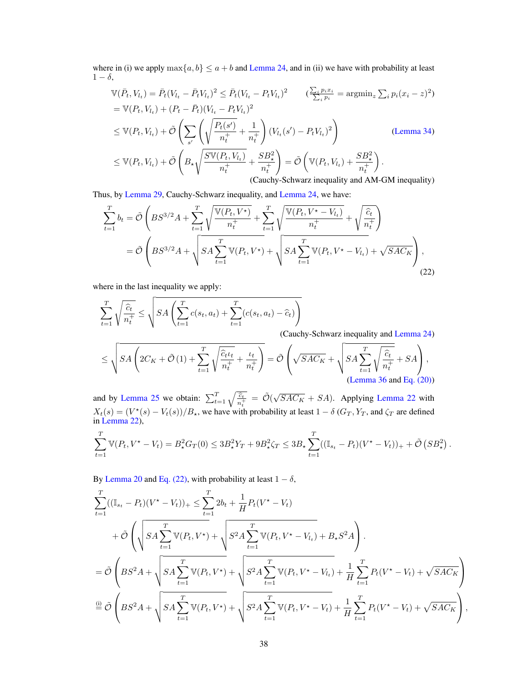where in (i) we apply  $\max\{a, b\} \le a + b$  and [Lemma 24,](#page-39-2) and in (ii) we have with probability at least  $1 - \delta$ ,

$$
\mathbb{V}(\bar{P}_t, V_{l_t}) = \bar{P}_t (V_{l_t} - \bar{P}_t V_{l_t})^2 \le \bar{P}_t (V_{l_t} - P_t V_{l_t})^2 \qquad (\frac{\sum_i p_i x_i}{\sum_i p_i} = \operatorname{argmin}_z \sum_i p_i (x_i - z)^2)
$$
  
\n
$$
= \mathbb{V}(P_t, V_{l_t}) + (P_t - \bar{P}_t)(V_{l_t} - P_t V_{l_t})^2
$$
  
\n
$$
\le \mathbb{V}(P_t, V_{l_t}) + \tilde{\mathcal{O}} \left( \sum_{s'} \left( \sqrt{\frac{P_t(s')}{n_t^+}} + \frac{1}{n_t^+} \right) (V_{l_t}(s') - P_t V_{l_t})^2 \right)
$$
  
\n
$$
\le \mathbb{V}(P_t, V_{l_t}) + \tilde{\mathcal{O}} \left( B_{\star} \sqrt{\frac{S \mathbb{V}(P_t, V_{l_t})}{n_t^+}} + \frac{SB_{\star}^2}{n_t^+} \right) = \tilde{\mathcal{O}} \left( \mathbb{V}(P_t, V_{l_t}) + \frac{SB_{\star}^2}{n_t^+} \right).
$$
  
\n(Cauchy-Schwarz inequality and AM-GM inequality)

Thus, by [Lemma 29,](#page-41-4) Cauchy-Schwarz inequality, and [Lemma 24,](#page-39-2) we have:

$$
\sum_{t=1}^{T} b_t = \tilde{\mathcal{O}}\left( BS^{3/2}A + \sum_{t=1}^{T} \sqrt{\frac{\mathbb{V}(P_t, V^*)}{n_t^+}} + \sum_{t=1}^{T} \sqrt{\frac{\mathbb{V}(P_t, V^* - V_{l_t})}{n_t^+}} + \sqrt{\frac{\hat{c}_t}{n_t^+}} \right)
$$
  
=  $\tilde{\mathcal{O}}\left( BS^{3/2}A + \sqrt{SA \sum_{t=1}^{T} \mathbb{V}(P_t, V^*)} + \sqrt{SA \sum_{t=1}^{T} \mathbb{V}(P_t, V^* - V_{l_t})} + \sqrt{SAC_K} \right),$  (22)

where in the last inequality we apply:

<span id="page-37-0"></span>
$$
\sum_{t=1}^{T} \sqrt{\frac{\hat{c}_t}{n_t^+}} \le \sqrt{SA\left(\sum_{t=1}^{T} c(s_t, a_t) + \sum_{t=1}^{T} (c(s_t, a_t) - \hat{c}_t)\right)}
$$
\n(Cauchy-Schwarz inequality and Lemma 24)\n
$$
\le \sqrt{SA\left(2C_{11} + \tilde{O}(1) + \sum_{t=1}^{T} \sqrt{\hat{c}_t \iota_t} + \frac{\iota_t}{\kappa}\right)} - \tilde{O}\left(\sqrt{SAC_{11}} + \sqrt{SA\sum_{t=1}^{T} \sqrt{\hat{c}_t}} + SA\right)
$$

$$
\leq \sqrt{SA\left(2C_K + \tilde{\mathcal{O}}\left(1\right) + \sum_{t=1}^T \sqrt{\frac{\hat{c}_{t}t_t}{n_t^+}} + \frac{t_t}{n_t^+}\right)} = \tilde{\mathcal{O}}\left(\sqrt{SAC_K} + \sqrt{SA\sum_{t=1}^T \sqrt{\frac{\hat{c}_t}{n_t^+}} + SA}\right),\tag{Lemma 36 and Eq. (20)}
$$

and by [Lemma 25](#page-41-1) we obtain:  $\sum_{t=1}^{T} \sqrt{\frac{\hat{c}_t}{n_t^+}} = \tilde{\mathcal{O}}(\sqrt{SAC_K} + SA)$ . Applying [Lemma 22](#page-39-0) with  $X_t(s) = (V^*(s) - V_t(s))/B_{\star}$ , we have with probability at least  $1 - \delta (G_T, Y_T)$ , and  $\zeta_T$  are defined in [Lemma 22\)](#page-39-0),

$$
\sum_{t=1}^T \mathbb{V}(P_t, V^\star - V_t) = B_\star^2 G_T(0) \leq 3B_\star^2 Y_T + 9B_\star^2 \zeta_T \leq 3B_\star \sum_{t=1}^T ((\mathbb{I}_{s_t} - P_t)(V^\star - V_t))_+ + \tilde{\mathcal{O}}\left(SB_\star^2\right).
$$

By [Lemma 20](#page-36-1) and [Eq. \(22\),](#page-37-0) with probability at least  $1 - \delta$ ,

$$
\sum_{t=1}^{T} ((\mathbb{I}_{s_t} - P_t)(V^* - V_t))_+ \leq \sum_{t=1}^{T} 2b_t + \frac{1}{H} P_t(V^* - V_t) \n+ \tilde{\mathcal{O}} \left( \sqrt{SA \sum_{t=1}^{T} \mathbb{V}(P_t, V^*)} + \sqrt{S^2 A \sum_{t=1}^{T} \mathbb{V}(P_t, V^* - V_{t_t})} + B_{\star} S^2 A \right).
$$
\n
$$
= \tilde{\mathcal{O}} \left( BS^2 A + \sqrt{SA \sum_{t=1}^{T} \mathbb{V}(P_t, V^*)} + \sqrt{S^2 A \sum_{t=1}^{T} \mathbb{V}(P_t, V^* - V_{t_t})} + \frac{1}{H} \sum_{t=1}^{T} P_t(V^* - V_t) + \sqrt{SAC_K} \right).
$$
\n
$$
\stackrel{\text{(i)}}{=} \tilde{\mathcal{O}} \left( BS^2 A + \sqrt{SA \sum_{t=1}^{T} \mathbb{V}(P_t, V^*)} + \sqrt{S^2 A \sum_{t=1}^{T} \mathbb{V}(P_t, V^* - V_t)} + \frac{1}{H} \sum_{t=1}^{T} P_t(V^* - V_t) + \sqrt{SAC_K} \right),
$$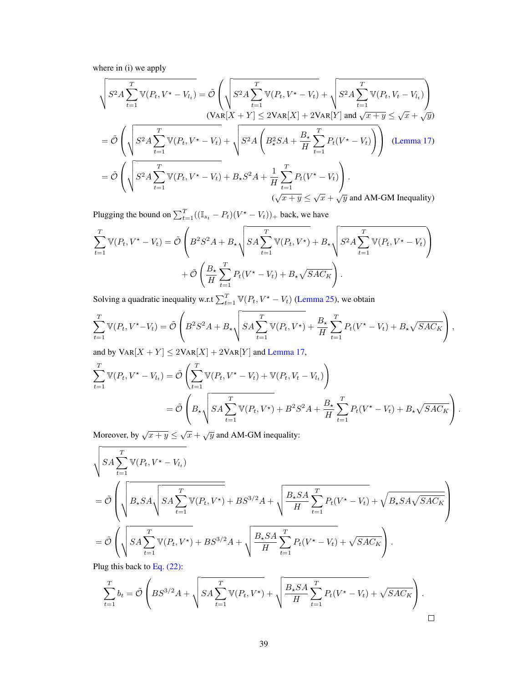where in (i) we apply

$$
\sqrt{S^2 A \sum_{t=1}^T \mathbb{V}(P_t, V^\star - V_{l_t})} = \tilde{\mathcal{O}} \left( \sqrt{S^2 A \sum_{t=1}^T \mathbb{V}(P_t, V^\star - V_t)} + \sqrt{S^2 A \sum_{t=1}^T \mathbb{V}(P_t, V_t - V_{l_t})} \right)
$$
  
\n
$$
= \tilde{\mathcal{O}} \left( \sqrt{S^2 A \sum_{t=1}^T \mathbb{V}(P_t, V^\star - V_t)} + \sqrt{S^2 A \left( B_z^2 S A + \frac{B_\star}{H} \sum_{t=1}^T P_t (V^\star - V_t) \right)} \right)
$$
 (Lemma 17)  
\n
$$
= \tilde{\mathcal{O}} \left( \sqrt{S^2 A \sum_{t=1}^T \mathbb{V}(P_t, V^\star - V_t)} + B_\star S^2 A + \frac{1}{H} \sum_{t=1}^T P_t (V^\star - V_t) \right).
$$
  
\n
$$
(\sqrt{x + y} \le \sqrt{x} + \sqrt{y} \text{ and AM-GM Inequality})
$$

Plugging the bound on  $\sum_{t=1}^{T}((\mathbb{I}_{s_t} - P_t)(V^* - V_t))_+$  back, we have

$$
\sum_{t=1}^{T} \mathbb{V}(P_t, V^* - V_t) = \tilde{\mathcal{O}}\left(B^2 S^2 A + B_{\star} \sqrt{SA \sum_{t=1}^{T} \mathbb{V}(P_t, V^*)} + B_{\star} \sqrt{S^2 A \sum_{t=1}^{T} \mathbb{V}(P_t, V^* - V_t)}\right) + \tilde{\mathcal{O}}\left(\frac{B_{\star}}{H} \sum_{t=1}^{T} P_t (V^* - V_t) + B_{\star} \sqrt{SAC_K}\right).
$$

Solving a quadratic inequality w.r.t  $\sum_{t=1}^{T} \mathbb{V}(P_t, V^* - V_t)$  [\(Lemma 25\)](#page-41-1), we obtain

$$
\sum_{t=1}^{T} \mathbb{V}(P_t, V^{\star} - V_t) = \tilde{\mathcal{O}}\left(B^2 S^2 A + B_{\star} \sqrt{SA \sum_{t=1}^{T} \mathbb{V}(P_t, V^{\star})} + \frac{B_{\star}}{H} \sum_{t=1}^{T} P_t (V^{\star} - V_t) + B_{\star} \sqrt{SAC_K}\right),
$$

and by  $\text{Var}[X + Y] \leq 2\text{Var}[X] + 2\text{Var}[Y]$  and [Lemma 17,](#page-31-1)

$$
\sum_{t=1}^{T} \mathbb{V}(P_t, V^* - V_{l_t}) = \tilde{\mathcal{O}}\left(\sum_{t=1}^{T} \mathbb{V}(P_t, V^* - V_t) + \mathbb{V}(P_t, V_t - V_{l_t})\right)
$$
\n
$$
= \tilde{\mathcal{O}}\left(B_{\star}\sqrt{SA\sum_{t=1}^{T} \mathbb{V}(P_t, V^*) + B^2S^2A + \frac{B_{\star}}{H}\sum_{t=1}^{T} P_t(V^* - V_t) + B_{\star}\sqrt{SAC_K}}\right).
$$

Moreover, by  $\sqrt{x+y} \leq \sqrt{x} + \sqrt{y}$  and AM-GM inequality:

$$
\sqrt{SA \sum_{t=1}^{T} \mathbb{V}(P_t, V^* - V_{l_t})}
$$
\n
$$
= \tilde{\mathcal{O}}\left(\sqrt{B_*SA\sqrt{SA \sum_{t=1}^{T} \mathbb{V}(P_t, V^*)} + BS^{3/2}A + \sqrt{\frac{B_*SA}{H} \sum_{t=1}^{T} P_t(V^* - V_t)} + \sqrt{B_*SA\sqrt{SAC_K}}}\right)
$$
\n
$$
= \tilde{\mathcal{O}}\left(\sqrt{SA \sum_{t=1}^{T} \mathbb{V}(P_t, V^*)} + BS^{3/2}A + \sqrt{\frac{B_*SA}{H} \sum_{t=1}^{T} P_t(V^* - V_t)} + \sqrt{SAC_K}\right).
$$
\nPluq this back to Eq. (22):

Plug this back to Eq.  $(22)$ :

$$
\sum_{t=1}^{T} b_t = \tilde{\mathcal{O}}\left( BS^{3/2}A + \sqrt{SA\sum_{t=1}^{T} \mathbb{V}(P_t, V^*)} + \sqrt{\frac{B_*SA}{H}\sum_{t=1}^{T} P_t(V^*-V_t)} + \sqrt{SAC_K} \right).
$$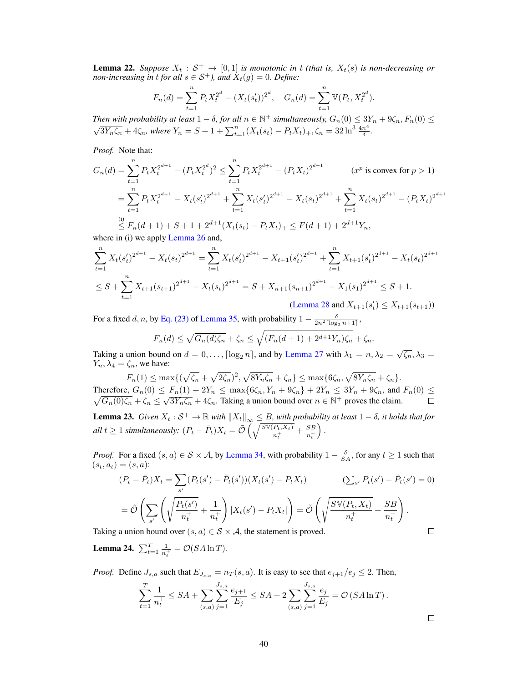<span id="page-39-0"></span>**Lemma 22.** Suppose  $X_t : \mathcal{S}^+ \to [0,1]$  is monotonic in t (that is,  $X_t(s)$  is non-decreasing or *non-increasing in t for all*  $s \in S^+$ *), and*  $\dot{X}_t(g) = 0$ *. Define:* 

$$
F_n(d) = \sum_{t=1}^n P_t X_t^{2^d} - (X_t(s'_t))^{2^d}, \quad G_n(d) = \sum_{t=1}^n \mathbb{V}(P_t, X_t^{2^d}).
$$

*Then with probability at least*  $1 - \delta$ , for all  $n \in \mathbb{N}^+$  simultaneously,  $G_n(0) \leq 3Y_n + 9\zeta_n$ ,  $F_n(0) \leq$  $\sqrt{3Y_n\zeta_n} + 4\zeta_n$ , where  $Y_n = S + 1 + \sum_{t=1}^n (X_t(s_t) - P_tX_t)_+, \zeta_n = 32\ln^3 \frac{4n^4}{\delta}$  $\frac{n^4}{\delta}$ .

*Proof.* Note that:

$$
G_n(d) = \sum_{t=1}^n P_t X_t^{2^{d+1}} - (P_t X_t^{2^d})^2 \le \sum_{t=1}^n P_t X_t^{2^{d+1}} - (P_t X_t)^{2^{d+1}} \qquad (x^p \text{ is convex for } p > 1)
$$
  
= 
$$
\sum_{t=1}^n P_t X_t^{2^{d+1}} - X_t (s_t')^{2^{d+1}} + \sum_{t=1}^n X_t (s_t')^{2^{d+1}} - X_t (s_t)^{2^{d+1}} + \sum_{t=1}^n X_t (s_t)^{2^{d+1}} - (P_t X_t)^{2^{d+1}}
$$
  

$$
\stackrel{(i)}{\leq} F_n(d+1) + S + 1 + 2^{d+1} (X_t (s_t) - P_t X_t) + \leq F(d+1) + 2^{d+1} Y_n,
$$

where in (i) we apply [Lemma 26](#page-41-5) and,

$$
\sum_{t=1}^{n} X_t (s_t')^{2^{d+1}} - X_t (s_t)^{2^{d+1}} = \sum_{t=1}^{n} X_t (s_t')^{2^{d+1}} - X_{t+1} (s_t')^{2^{d+1}} + \sum_{t=1}^{n} X_{t+1} (s_t')^{2^{d+1}} - X_t (s_t)^{2^{d+1}}
$$
  

$$
\leq S + \sum_{t=1}^{n} X_{t+1} (s_{t+1})^{2^{d+1}} - X_t (s_t)^{2^{d+1}} = S + X_{n+1} (s_{n+1})^{2^{d+1}} - X_1 (s_1)^{2^{d+1}} \leq S + 1.
$$

[\(Lemma 28](#page-41-2) and  $X_{t+1}(s_t) \leq X_{t+1}(s_{t+1})$ )

For a fixed d, n, by [Eq. \(23\)](#page-42-4) of [Lemma 35,](#page-42-0) with probability  $1 - \frac{\delta}{2n^2 \lceil \log_2 n + 1 \rceil}$ ,

$$
F_n(d) \le \sqrt{G_n(d)\zeta_n} + \zeta_n \le \sqrt{(F_n(d+1) + 2^{d+1}Y_n)\zeta_n} + \zeta_n.
$$

Taking a union bound on  $d = 0, ..., \lceil \log_2 n \rceil$ , and by [Lemma 27](#page-41-6) with  $\lambda_1 = n, \lambda_2 = \sqrt{\zeta_n}, \lambda_3 =$  $Y_n, \lambda_4 = \zeta_n$ , we have:

$$
F_n(1) \le \max\{(\sqrt{\zeta_n} + \sqrt{2\zeta_n})^2, \sqrt{8Y_n\zeta_n} + \zeta_n\} \le \max\{6\zeta_n, \sqrt{8Y_n\zeta_n} + \zeta_n\}.
$$
  
Therefore,  $G_n(0) \le F_n(1) + 2Y_n \le \max\{6\zeta_n, Y_n + 9\zeta_n\} + 2Y_n \le 3Y_n + 9\zeta_n$ , and  $F_n(0) \le \sqrt{G_n(0)\zeta_n} + \zeta_n \le \sqrt{3Y_n\zeta_n} + 4\zeta_n$ . Taking a union bound over  $n \in \mathbb{N}^+$  proves the claim.

<span id="page-39-1"></span>**Lemma 23.** *Given*  $X_t : \mathcal{S}^+ \to \mathbb{R}$  *with*  $||X_t||_{\infty} \leq B$ *, with probability at least*  $1 - \delta$ *, it holds that for all*  $t \geq 1$  *simultaneously:*  $(P_t - \bar{P}_t)X_t = \tilde{\mathcal{O}}\left(\sqrt{\frac{S\mathbb{V}(P_t, X_t)}{n_t^+}} + \frac{SB}{n_t^+}\right)$  $\overline{n_t^+}$  $\big)$  .

*Proof.* For a fixed  $(s, a) \in S \times A$ , by [Lemma 34,](#page-42-3) with probability  $1 - \frac{\delta}{SA}$ , for any  $t \ge 1$  such that  $(s_t, a_t) = (s, a)$ :

$$
(P_t - \bar{P}_t)X_t = \sum_{s'} (P_t(s') - \bar{P}_t(s'))(X_t(s') - P_tX_t)
$$
  
\n
$$
= \tilde{\mathcal{O}}\left(\sum_{s'}\left(\sqrt{\frac{P_t(s')}{n_t^+}} + \frac{1}{n_t^+}\right)|X_t(s') - P_tX_t|\right) = \tilde{\mathcal{O}}\left(\sqrt{\frac{S\mathbb{V}(P_t, X_t)}{n_t^+}} + \frac{SB}{n_t^+}\right).
$$
  
\na union bound over  $(s, a) \in S \times A$ , the statement is proved.

Taking a union bound over  $(s, a) \in S \times A$ , the statement is proved.

<span id="page-39-2"></span>**Lemma 24.**  $\sum_{t=1}^{T} \frac{1}{n}$  $\frac{1}{n_t^+} = \mathcal{O}(SA \ln T).$ 

*Proof.* Define  $J_{s,a}$  such that  $E_{J_{s,a}} = n_T(s,a)$ . It is easy to see that  $e_{j+1}/e_j \leq 2$ . Then,

$$
\sum_{t=1}^{T} \frac{1}{n_t^+} \le SA + \sum_{(s,a)} \sum_{j=1}^{J_{s,a}} \frac{e_{j+1}}{E_j} \le SA + 2 \sum_{(s,a)} \sum_{j=1}^{J_{s,a}} \frac{e_j}{E_j} = \mathcal{O}(SA \ln T).
$$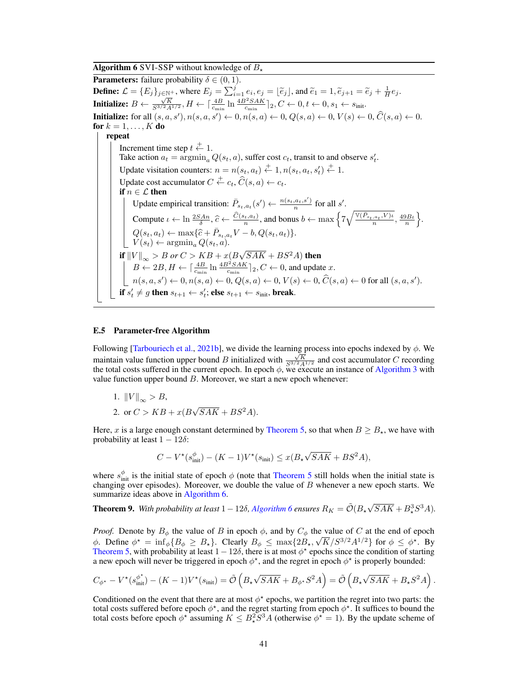**Algorithm 6 SVI-SSP** without knowledge of  $B_{\star}$ 

<span id="page-40-1"></span>**Parameters:** failure probability  $\delta \in (0, 1)$ . **Define:**  $\mathcal{L} = \{E_j\}_{j \in \mathbb{N}^+}$ , where  $E_j = \sum_{i=1}^j e_i, e_j = \lfloor \tilde{e}_j \rfloor$ , and  $\tilde{e}_1 = 1, \tilde{e}_{j+1} = \tilde{e}_j + \frac{1}{H}e_j$ . **Initialize:**  $B \leftarrow \frac{\sqrt{K}}{S^{3/2}A^{1/2}}, H \leftarrow \left[\frac{4B}{c_{\min}} \ln \frac{4B^2 S AK}{c_{\min}}\right]_2, C \leftarrow 0, t \leftarrow 0, s_1 \leftarrow s_{\text{init}}.$ **Initialize:** for all  $(s, a, s')$ ,  $n(s, a, s') \leftarrow 0$ ,  $n(s, a) \leftarrow 0$ ,  $Q(s, a) \leftarrow 0$ ,  $V(s) \leftarrow 0$ ,  $\widehat{C}(s, a) \leftarrow 0$ . for  $k = 1, \ldots, K$  do repeat Increment time step  $t \stackrel{+}{\leftarrow} 1$ . Take action  $a_t = \operatorname{argmin}_a Q(s_t, a)$ , suffer cost  $c_t$ , transit to and observe  $s'_t$ . Update visitation counters:  $n = n(s_t, a_t) \stackrel{+}{\leftarrow} 1, n(s_t, a_t, s_t') \stackrel{+}{\leftarrow} 1.$ Update cost accumulator  $C \stackrel{+}{\leftarrow} c_t$ ,  $\widehat{C}(s, a) \leftarrow c_t$ . if  $n \in \mathcal{L}$  then Update empirical transition:  $\bar{P}_{s_t, a_t}(s') \leftarrow \frac{n(s_t, a_t, s')}{n}$  for all s'.  $s_t, a_t (S) \leftarrow \frac{1}{n}$ Compute  $\iota \leftarrow \ln \frac{2SA_n}{\delta}, \hat{c} \leftarrow \frac{\hat{C}(s_t, a_t)}{n},$  and bonus  $b \leftarrow \max \left\{ 7\sqrt{\frac{V(\bar{P}_{s_t, a_t}, V)\iota}{n}} \right\}$  $\frac{a_t, v) \iota}{n}, \frac{49B\iota}{n}$ .  $Q(s_t, a_t) \leftarrow \max{\{\hat{c} + \bar{P}_{s_t, a_t}V - b, Q(s_t, a_t)\}}.$ <br> $V(s_t) \leftarrow \text{aromin } Q(s_t, a_t)$  $V(s_t) \leftarrow \operatorname{argmin}_a Q(s_t, a).$ if  $\|V\|_{\infty} > B$  or  $C > KB + x(B)$  $\sqrt{SAK} + BS^2A)$  then  $B \leftarrow 2B, H \leftarrow \left[\frac{4B}{c_{\min}} \ln \frac{4B^2 S A K}{c_{\min}}\right]_2, C \leftarrow 0$ , and update x.  $n(s, a, s') \leftarrow 0, n(s, a) \leftarrow 0, Q(s, a) \leftarrow 0, V(s) \leftarrow 0, \widehat{C}(s, a) \leftarrow 0$  for all  $(s, a, s')$ . if  $s_t' \neq g$  then  $s_{t+1} \leftarrow s_t'$ ; else  $s_{t+1} \leftarrow s_{\text{init}}$ , break.

## <span id="page-40-0"></span>E.5 Parameter-free Algorithm

Following [\[Tarbouriech et al.,](#page-11-0) [2021b\]](#page-11-0), we divide the learning process into epochs indexed by  $\phi$ . We maintain value function upper bound B initialized with  $\frac{\sqrt{K}}{S^{3/2}A^{1/2}}$  and cost accumulator C recording the total costs suffered in the current epoch. In epoch  $\phi$ , we execute an instance of [Algorithm 3](#page-8-1) with value function upper bound  $B$ . Moreover, we start a new epoch whenever:

- 1.  $||V||_{\infty} > B$ ,
- 2. or  $C > KB + x(B)$  $\sqrt{SAK} + BS^2A$ ).

Here, x is a large enough constant determined by [Theorem 5,](#page-9-2) so that when  $B \ge B_{\star}$ , we have with probability at least  $1 - 12\delta$ :

$$
C - V^{\star}(s_{\text{init}}^{\phi}) - (K - 1)V^{\star}(s_{\text{init}}) \le x(B_{\star}\sqrt{SAK} + BS^{2}A),
$$

where  $s_{\text{init}}^{\phi}$  is the initial state of epoch  $\phi$  (note that [Theorem 5](#page-9-2) still holds when the initial state is changing over episodes). Moreover, we double the value of  $B$  whenever a new epoch starts. We summarize ideas above in [Algorithm 6.](#page-40-1)

**Theorem 9.** With probability at least  $1 - 12\delta$ , [Algorithm 6](#page-40-1) ensures  $R_K = \tilde{\mathcal{O}}(B_\star \sqrt{SAK} + B_\star^3 S^3 A)$ .

*Proof.* Denote by  $B_{\phi}$  the value of B in epoch  $\phi$ , and by  $C_{\phi}$  the value of C at the end of epoch  $\phi$ . Define  $\phi^* = \inf_{\phi} \{ B_{\phi} \geq B_{\star} \}$ . Clearly  $B_{\phi} \leq \max \{ 2B_{\star}, \sqrt{K}/S^{3/2}A^{1/2} \}$  for  $\phi \leq \phi^*$ . By [Theorem 5,](#page-9-2) with probability at least  $1 - 12\delta$ , there is at most  $\phi^*$  epochs since the condition of starting a new epoch will never be triggered in epoch  $\phi^*$ , and the regret in epoch  $\phi^*$  is properly bounded:

$$
C_{\phi^{\star}} - V^{\star}(s_{\rm init}^{\phi^{\star}}) - (K-1)V^{\star}(s_{\rm init}) = \tilde{\mathcal{O}}\left(B_{\star}\sqrt{SAK} + B_{\phi^{\star}}S^2A\right) = \tilde{\mathcal{O}}\left(B_{\star}\sqrt{SAK} + B_{\star}S^2A\right).
$$

Conditioned on the event that there are at most  $\phi^*$  epochs, we partition the regret into two parts: the total costs suffered before epoch  $\phi^*$ , and the regret starting from epoch  $\phi^*$ . It suffices to bound the total costs before epoch  $\phi^*$  assuming  $K \leq B_*^2 S^3 A$  (otherwise  $\phi^* = 1$ ). By the update scheme of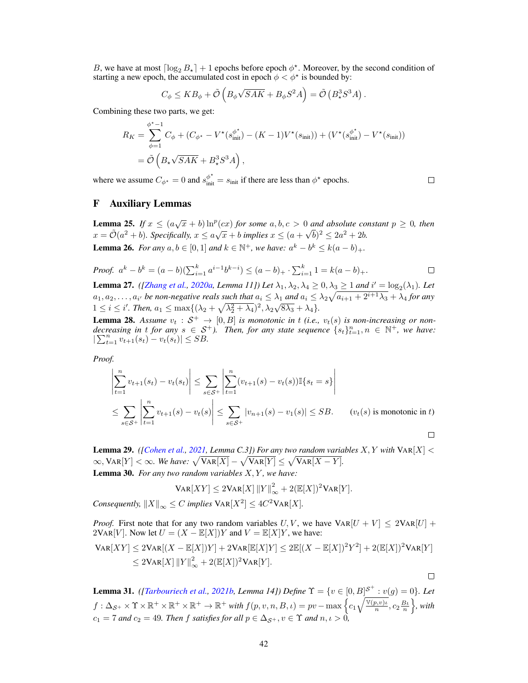B, we have at most  $\lceil \log_2 B_\star \rceil + 1$  epochs before epoch  $\phi^*$ . Moreover, by the second condition of starting a new epoch, the accumulated cost in epoch  $\phi < \phi^*$  is bounded by:

$$
C_{\phi} \leq KB_{\phi} + \tilde{\mathcal{O}}\left(B_{\phi}\sqrt{SAK} + B_{\phi}S^2A\right) = \tilde{\mathcal{O}}\left(B_{\star}^3S^3A\right).
$$

Combining these two parts, we get:

$$
R_K = \sum_{\phi=1}^{\phi^* - 1} C_{\phi} + (C_{\phi^*} - V^*(s_{\text{init}}^{\phi^*}) - (K - 1)V^*(s_{\text{init}})) + (V^*(s_{\text{init}}^{\phi^*}) - V^*(s_{\text{init}}))
$$
  
=  $\tilde{\mathcal{O}}\left(B_{\star}\sqrt{SAK} + B_{\star}^3S^3A\right),$ 

 $\Box$ 

 $\Box$ 

where we assume  $C_{\phi^*} = 0$  and  $s_{\text{init}}^{\phi^*} = s_{\text{init}}$  if there are less than  $\phi^*$  epochs.

# F Auxiliary Lemmas

<span id="page-41-1"></span>**Lemma 25.** *If*  $x \leq (a\sqrt{x} + b) \ln^p(cx)$  *for some*  $a, b, c > 0$  *and absolute constant*  $p \geq 0$ *, then* **Example 23.** If  $x \leq (a\sqrt{x} + b)$  in  $(cx)$  for some  $a, b, c > 0$  and absolute to:<br>  $x = \tilde{\mathcal{O}}(a^2 + b)$ . Specifically,  $x \leq a\sqrt{x} + b$  implies  $x \leq (a + \sqrt{b})^2 \leq 2a^2 + 2b$ . **Lemma 26.** *For any*  $a, b \in [0, 1]$  *and*  $k \in \mathbb{N}^+$ *, we have:*  $a^k - b^k \le k(a - b)_+$ *.* 

<span id="page-41-5"></span>*Proof.* 
$$
a^k - b^k = (a - b)(\sum_{i=1}^k a^{i-1}b^{k-i}) \le (a - b)_+ \cdot \sum_{i=1}^k 1 = k(a - b)_+.
$$

<span id="page-41-6"></span>**Lemma 27.** *([\[Zhang et al.,](#page-11-3) [2020a,](#page-11-3) Lemma 11])* Let  $\lambda_1, \lambda_2, \lambda_4 \geq 0, \lambda_3 \geq 1$  and  $i' = \log_2(\lambda_1)$ . Let  $a_1, a_2, \ldots, a_{i'}$  be non-negative reals such that  $a_i \leq \lambda_1$  and  $a_i \leq \lambda_2\sqrt{a_{i+1} + 2^{i+1}\lambda_3} + \lambda_4$  for any  $1 \le i \le i'$ . Then,  $a_1 \le \max\{(\lambda_2 + \sqrt{\lambda_2^2 + \lambda_4})^2, \lambda_2\sqrt{8\lambda_3} + \lambda_4\}.$ 

<span id="page-41-2"></span>**Lemma 28.** Assume  $v_t : S^+ \to [0, B]$  is monotonic in t (i.e.,  $v_t(s)$  is non-increasing or non*decreasing in t for any*  $s \in S^+$ ). Then, for any state sequence  $\{s_t\}_{t=1}^n$ ,  $n \in \mathbb{N}^+$ , we have:  $|\sum_{t=1}^n v_{t+1}(s_t) - v_t(s_t)| \leq SB.$ 

*Proof.*

$$
\left| \sum_{t=1}^{n} v_{t+1}(s_t) - v_t(s_t) \right| \leq \sum_{s \in S^+} \left| \sum_{t=1}^{n} (v_{t+1}(s) - v_t(s)) \mathbb{I}\{s_t = s\} \right|
$$
  

$$
\leq \sum_{s \in S^+} \left| \sum_{t=1}^{n} v_{t+1}(s) - v_t(s) \right| \leq \sum_{s \in S^+} |v_{n+1}(s) - v_1(s)| \leq SB. \qquad (v_t(s) \text{ is monotonic in } t)
$$

<span id="page-41-4"></span><span id="page-41-0"></span>**Lemma 29.** *([\[Cohen et al.,](#page-10-5) [2021,](#page-10-5) Lemma C.3]) For any two random variables*  $X, Y$  *with*  $\text{VaR}[X] <$  $\infty$ ,  $\text{VAR}[Y] < \infty$ . We have:  $\sqrt{\text{VAR}[X]} - \sqrt{\text{VAR}[Y]} \leq \sqrt{\text{VAR}[X - Y]}$ . Lemma 30. *For any two random variables* X, Y *, we have:*

$$
Var[XY] \le 2Var[X] ||Y||_{\infty}^{2} + 2(E[X])^{2}Var[Y].
$$
  
*C implies V*<sub>AP</sub>[Y<sup>2</sup>] < 4C<sup>2</sup>VAP[Y]

*Consequently,*  $||X||_{\infty} \leq C$  *implies*  $\text{VAR}[X^2] \leq 4C^2 \text{VAR}[X]$ *.* 

*Proof.* First note that for any two random variables U, V, we have  $VAR[U + V] \leq 2VAR[U] +$  $2\text{VAR}[V]$ . Now let  $U = (X - \mathbb{E}[X])Y$  and  $V = \mathbb{E}[X]Y$ , we have:

$$
Var[XY] \le 2Var[(X - \mathbb{E}[X])Y] + 2Var[\mathbb{E}[X]Y] \le 2\mathbb{E}[(X - \mathbb{E}[X])^2Y^2] + 2(\mathbb{E}[X])^2VAR[Y]
$$
  

$$
\le 2Var[X] ||Y||_{\infty}^2 + 2(\mathbb{E}[X])^2VAR[Y].
$$

<span id="page-41-3"></span>**Lemma 31.** *([\[Tarbouriech et al.,](#page-11-0) [2021b,](#page-11-0) Lemma 14])* Define  $\Upsilon = \{v \in [0, B]^{S^+} : v(g) = 0\}$ . Let  $f: \Delta_{\mathcal{S}^+} \times \Upsilon \times \mathbb{R}^+ \times \mathbb{R}^+ \times \mathbb{R}^+ \to \mathbb{R}^+$  with  $f(p, v, n, B, \iota) = pv - \max \left\{ c_1 \sqrt{\frac{\mathbb{V}(p, v)\iota}{n}} \right\}$  $\left\{\frac{p,v}{n},c_2\frac{B\iota}{n}\right\}$ , with  $c_1 = 7$  and  $c_2 = 49$ *. Then* f satisfies for all  $p \in \Delta_{\mathcal{S}^+}$ ,  $v \in \Upsilon$  and  $n, \iota > 0$ ,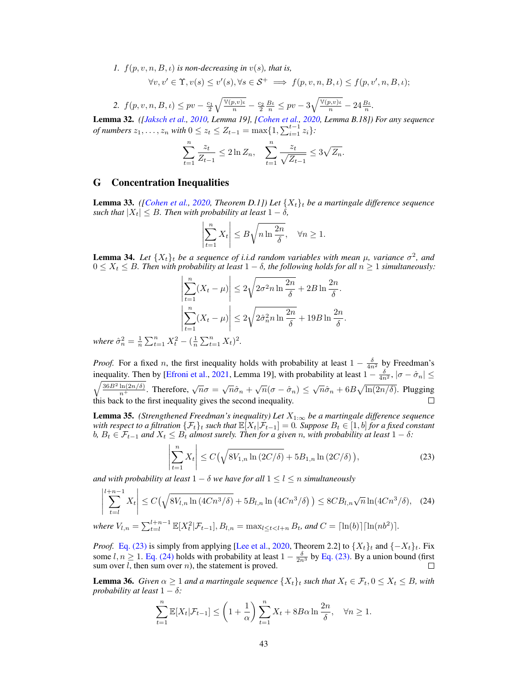*1.*  $f(p, v, n, B, \iota)$  *is non-decreasing in*  $v(s)$ *, that is,* 

$$
\forall v, v' \in \Upsilon, v(s) \le v'(s), \forall s \in \mathcal{S}^+ \implies f(p, v, n, B, \iota) \le f(p, v', n, B, \iota);
$$

2. 
$$
f(p, v, n, B, \iota) \leq pv - \frac{c_1}{2} \sqrt{\frac{\mathbb{V}(p, v)\iota}{n}} - \frac{c_2}{2} \frac{B\iota}{n} \leq pv - 3 \sqrt{\frac{\mathbb{V}(p, v)\iota}{n}} - 24 \frac{B\iota}{n}.
$$

Lemma 32. *([\[Jaksch et al.,](#page-10-13) [2010,](#page-10-13) Lemma 19], [\[Cohen et al.,](#page-10-4) [2020,](#page-10-4) Lemma B.18]) For any sequence of numbers*  $z_1, \ldots, z_n$  *with*  $0 \le z_t \le Z_{t-1} = \max\{1, \sum_{i=1}^{t-1} z_i\}$ :

$$
\sum_{t=1}^{n} \frac{z_t}{Z_{t-1}} \le 2 \ln Z_n, \quad \sum_{t=1}^{n} \frac{z_t}{\sqrt{Z_{t-1}}} \le 3\sqrt{Z_n}.
$$

## G Concentration Inequalities

**Lemma 33.** *([\[Cohen et al.,](#page-10-4) [2020,](#page-10-4) Theorem D.1]) Let*  $\{X_t\}_t$  *be a martingale difference sequence such that*  $|X_t| \leq B$ *. Then with probability at least*  $1 - \delta$ *,* 

$$
\left|\sum_{t=1}^{n} X_t\right| \le B\sqrt{n \ln \frac{2n}{\delta}}, \quad \forall n \ge 1.
$$

<span id="page-42-3"></span>**Lemma 34.** Let  $\{X_t\}_t$  be a sequence of i.i.d random variables with mean  $\mu$ , variance  $\sigma^2$ , and  $0 \leq X_t \leq B$ . Then with probability at least  $1 - \delta$ , the following holds for all  $n \geq 1$  simultaneously:

$$
\left| \sum_{t=1}^{n} (X_t - \mu) \right| \le 2\sqrt{2\sigma^2 n \ln \frac{2n}{\delta}} + 2B \ln \frac{2n}{\delta}.
$$

$$
\left| \sum_{t=1}^{n} (X_t - \mu) \right| \le 2\sqrt{2\hat{\sigma}_n^2 n \ln \frac{2n}{\delta}} + 19B \ln \frac{2n}{\delta}.
$$

*where*  $\hat{\sigma}_n^2 = \frac{1}{n} \sum_{t=1}^n X_t^2 - (\frac{1}{n} \sum_{t=1}^n X_t)^2$ .

*Proof.* For a fixed n, the first inequality holds with probability at least  $1 - \frac{\delta}{4n^2}$  by Freedman's inequality. Then by [\[Efroni et al.,](#page-10-14) [2021,](#page-10-14) Lemma 19], with probability at least  $1 - \frac{\delta}{4n^2}$ ,  $|\sigma - \hat{\sigma}_n| \le$  $\sqrt{\frac{36B^2\ln(2n/\delta)}{n^+}}$ . Therefore,  $\sqrt{n}\sigma = \sqrt{n}\hat{\sigma}_n + \sqrt{n}(\sigma - \hat{\sigma}_n) \leq \sqrt{n}\hat{\sigma}_n + 6B\sqrt{\ln(2n/\delta)}$ . Plugging this back to the first inequality gives the second inequality.  $\Box$ 

<span id="page-42-0"></span>**Lemma 35.** *(Strengthened Freedman's inequality) Let*  $X_{1:\infty}$  *be a martingale difference sequence with respect to a filtration*  $\{\mathcal{F}_t\}_t$  *such that*  $\mathbb{E}[X_t|\mathcal{F}_{t-1}] = 0$ *. Suppose*  $B_t \in [1,b]$  *for a fixed constant*  $b, B_t$  ∈  $\mathcal{F}_{t-1}$  *and*  $X_t$  ≤  $B_t$  *almost surely. Then for a given n, with probability at least* 1 − δ*:* 

<span id="page-42-4"></span><span id="page-42-1"></span>
$$
\left| \sum_{t=1}^{n} X_t \right| \le C\left(\sqrt{8V_{1,n} \ln(2C/\delta)} + 5B_{1,n} \ln(2C/\delta)\right),\tag{23}
$$

*and with probability at least*  $1 - \delta$  *we have for all*  $1 \le l \le n$  *simultaneously* 

$$
\left| \sum_{t=l}^{l+n-1} X_t \right| \le C\left(\sqrt{8V_{l,n} \ln\left(4Cn^3/\delta\right)} + 5B_{l,n} \ln\left(4Cn^3/\delta\right)\right) \le 8CB_{l,n}\sqrt{n} \ln(4Cn^3/\delta), \quad (24)
$$

 $where V_{l,n} = \sum_{t=l}^{l+n-1} \mathbb{E}[X_t^2 | \mathcal{F}_{t-1}], B_{l,n} = \max_{l \le t < l+n} B_t$ *, and*  $C = \lceil \ln(b) \rceil \lceil \ln(n b^2) \rceil$ *.* 

*Proof.* [Eq. \(23\)](#page-42-4) is simply from applying [\[Lee et al.,](#page-10-15) [2020,](#page-10-15) Theorem 2.2] to  $\{X_t\}_t$  and  $\{-X_t\}_t$ . Fix some  $l, n \ge 1$ . [Eq. \(24\)](#page-42-1) holds with probability at least  $1 - \frac{\delta}{2n^3}$  by [Eq. \(23\).](#page-42-4) By a union bound (first sum over  $l$ , then sum over  $n$ ), the statement is proved.

<span id="page-42-2"></span>**Lemma 36.** *Given*  $\alpha \geq 1$  *and a martingale sequence*  $\{X_t\}_t$  *such that*  $X_t \in \mathcal{F}_t$ ,  $0 \leq X_t \leq B$ *, with probability at least*  $1 - \delta$ *:* 

$$
\sum_{t=1}^{n} \mathbb{E}[X_t | \mathcal{F}_{t-1}] \le \left(1 + \frac{1}{\alpha}\right) \sum_{t=1}^{n} X_t + 8B\alpha \ln \frac{2n}{\delta}, \quad \forall n \ge 1.
$$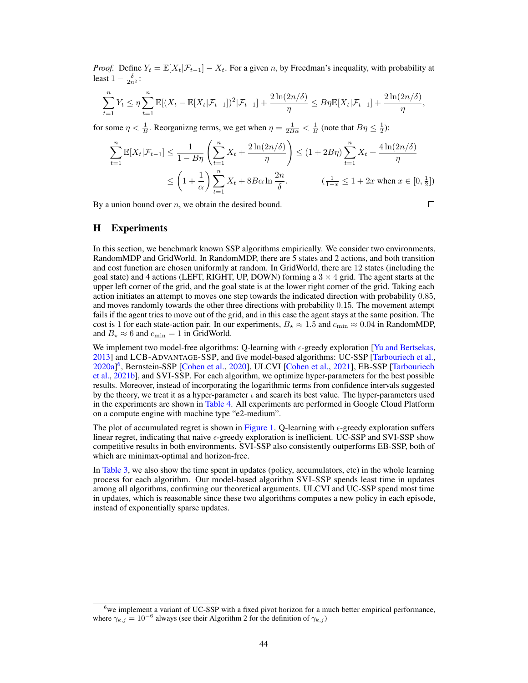*Proof.* Define  $Y_t = \mathbb{E}[X_t | \mathcal{F}_{t-1}] - X_t$ . For a given n, by Freedman's inequality, with probability at least  $1 - \frac{\delta}{2n^2}$ :

$$
\sum_{t=1}^{n} Y_t \leq \eta \sum_{t=1}^{n} \mathbb{E}[(X_t - \mathbb{E}[X_t | \mathcal{F}_{t-1}])^2 | \mathcal{F}_{t-1}] + \frac{2\ln(2n/\delta)}{\eta} \leq B\eta \mathbb{E}[X_t | \mathcal{F}_{t-1}] + \frac{2\ln(2n/\delta)}{\eta},
$$

for some  $\eta < \frac{1}{B}$ . Reorganizng terms, we get when  $\eta = \frac{1}{2B\alpha} < \frac{1}{B}$  (note that  $B\eta \le \frac{1}{2}$ ):

$$
\sum_{t=1}^{n} \mathbb{E}[X_t | \mathcal{F}_{t-1}] \le \frac{1}{1 - B\eta} \left( \sum_{t=1}^{n} X_t + \frac{2\ln(2n/\delta)}{\eta} \right) \le (1 + 2B\eta) \sum_{t=1}^{n} X_t + \frac{4\ln(2n/\delta)}{\eta}
$$
  

$$
\le \left(1 + \frac{1}{\alpha}\right) \sum_{t=1}^{n} X_t + 8B\alpha \ln \frac{2n}{\delta}. \qquad (\frac{1}{1 - x} \le 1 + 2x \text{ when } x \in [0, \frac{1}{2}])
$$

By a union bound over  $n$ , we obtain the desired bound.

 $\Box$ 

# <span id="page-43-0"></span>H Experiments

In this section, we benchmark known SSP algorithms empirically. We consider two environments, RandomMDP and GridWorld. In RandomMDP, there are 5 states and 2 actions, and both transition and cost function are chosen uniformly at random. In GridWorld, there are 12 states (including the goal state) and 4 actions (LEFT, RIGHT, UP, DOWN) forming a  $3 \times 4$  grid. The agent starts at the upper left corner of the grid, and the goal state is at the lower right corner of the grid. Taking each action initiates an attempt to moves one step towards the indicated direction with probability 0.85, and moves randomly towards the other three directions with probability 0.15. The movement attempt fails if the agent tries to move out of the grid, and in this case the agent stays at the same position. The cost is 1 for each state-action pair. In our experiments,  $B_{\star} \approx 1.5$  and  $c_{\min} \approx 0.04$  in RandomMDP, and  $B_{\star} \approx 6$  and  $c_{\text{min}} = 1$  in GridWorld.

We implement two model-free algorithms: Q-learning with  $\epsilon$ -greedy exploration [\[Yu and Bertsekas,](#page-11-13) [2013\]](#page-11-13) and LCB-ADVANTAGE-SSP, and five model-based algorithms: UC-SSP [\[Tarbouriech et al.,](#page-11-1) [2020a\]](#page-11-1) [6](#page-43-1) , Bernstein-SSP [\[Cohen et al.,](#page-10-4) [2020\]](#page-10-4), ULCVI [\[Cohen et al.,](#page-10-5) [2021\]](#page-10-5), EB-SSP [\[Tarbouriech](#page-11-0) [et al.,](#page-11-0) [2021b\]](#page-11-0), and SVI-SSP. For each algorithm, we optimize hyper-parameters for the best possible results. Moreover, instead of incorporating the logarithmic terms from confidence intervals suggested by the theory, we treat it as a hyper-parameter  $\iota$  and search its best value. The hyper-parameters used in the experiments are shown in [Table 4.](#page-44-0) All experiments are performed in Google Cloud Platform on a compute engine with machine type "e2-medium".

The plot of accumulated regret is shown in [Figure 1.](#page-44-1) Q-learning with  $\epsilon$ -greedy exploration suffers linear regret, indicating that naive  $\epsilon$ -greedy exploration is inefficient. UC-SSP and SVI-SSP show competitive results in both environments. SVI-SSP also consistently outperforms EB-SSP, both of which are minimax-optimal and horizon-free.

In [Table 3,](#page-44-2) we also show the time spent in updates (policy, accumulators, etc) in the whole learning process for each algorithm. Our model-based algorithm SVI-SSP spends least time in updates among all algorithms, confirming our theoretical arguments. ULCVI and UC-SSP spend most time in updates, which is reasonable since these two algorithms computes a new policy in each episode, instead of exponentially sparse updates.

<span id="page-43-1"></span><sup>&</sup>lt;sup>6</sup>we implement a variant of UC-SSP with a fixed pivot horizon for a much better empirical performance, where  $\gamma_{k,j} = 10^{-6}$  always (see their Algorithm 2 for the definition of  $\gamma_{k,j}$ )